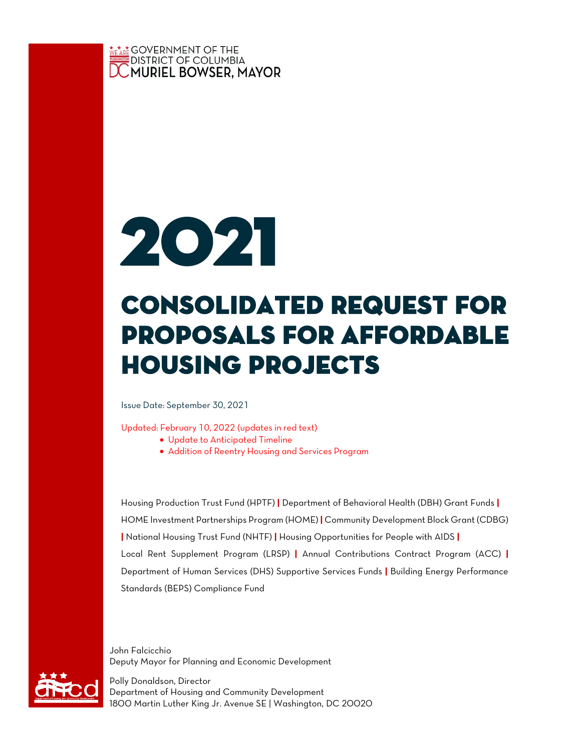



# Consolidated request for proposals for affordable housing projects

Issue Date: September 30, 2021

Updated: February 10, 2022 (updates in red text)

- Update to Anticipated Timeline
- Addition of Reentry Housing and Services Program

Housing Production Trust Fund (HPTF) **|** Department of Behavioral Health (DBH) Grant Funds **|** HOME Investment Partnerships Program (HOME) **|** Community Development Block Grant (CDBG) **|** National Housing Trust Fund (NHTF) **|** Housing Opportunities for People with AIDS **|** Local Rent Supplement Program (LRSP) **|** Annual Contributions Contract Program (ACC) **|** Department of Human Services (DHS) Supportive Services Funds **|** Building Energy Performance Standards (BEPS) Compliance Fund

John Falcicchio Deputy Mayor for Planning and Economic Development

Polly Donaldson, Director Department of Housing and Community Development 1800 Martin Luther King Jr. Avenue SE | Washington, DC 20020

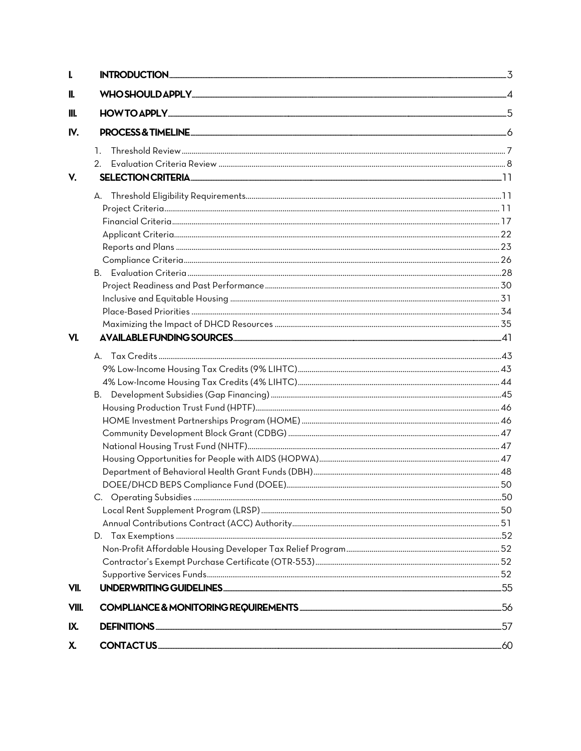| L     |                                                                                                                |  |
|-------|----------------------------------------------------------------------------------------------------------------|--|
| II.   |                                                                                                                |  |
| III.  |                                                                                                                |  |
| IV.   |                                                                                                                |  |
|       | $\mathbf{1}$                                                                                                   |  |
|       |                                                                                                                |  |
| V.    | SELECTION CRITERIA EXECUTIVE EXECUTIVE EXECUTIVE EXECUTIVE EXECUTIVE EXECUTIVE EXECUTIVE EXECUTIVE EXECUTIVE E |  |
|       |                                                                                                                |  |
|       |                                                                                                                |  |
|       |                                                                                                                |  |
|       |                                                                                                                |  |
|       |                                                                                                                |  |
|       |                                                                                                                |  |
|       |                                                                                                                |  |
|       |                                                                                                                |  |
|       |                                                                                                                |  |
|       |                                                                                                                |  |
|       |                                                                                                                |  |
| VI.   |                                                                                                                |  |
|       |                                                                                                                |  |
|       |                                                                                                                |  |
|       |                                                                                                                |  |
|       |                                                                                                                |  |
|       |                                                                                                                |  |
|       |                                                                                                                |  |
|       |                                                                                                                |  |
|       |                                                                                                                |  |
|       |                                                                                                                |  |
|       |                                                                                                                |  |
|       |                                                                                                                |  |
|       |                                                                                                                |  |
|       |                                                                                                                |  |
|       |                                                                                                                |  |
|       |                                                                                                                |  |
|       |                                                                                                                |  |
|       |                                                                                                                |  |
| VII.  |                                                                                                                |  |
| VIII. |                                                                                                                |  |
| IX.   |                                                                                                                |  |
| χ.    |                                                                                                                |  |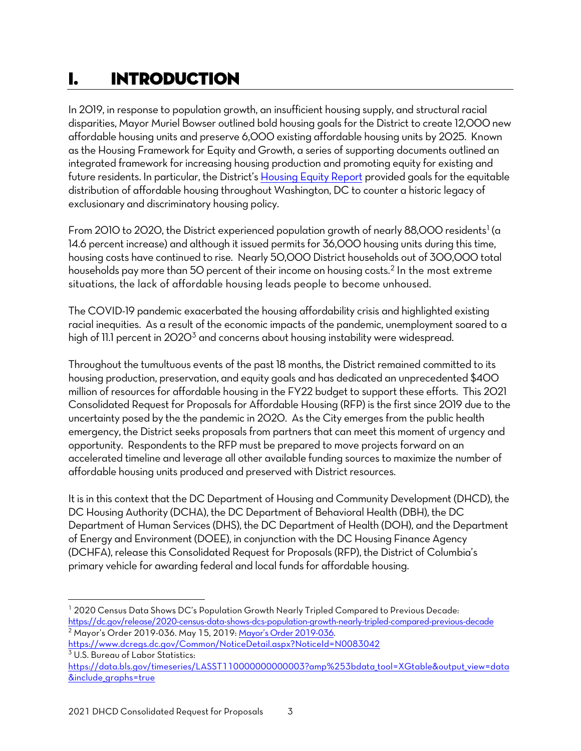# <span id="page-2-0"></span>I. INTRODUCTION

In 2019, in response to population growth, an insufficient housing supply, and structural racial disparities, Mayor Muriel Bowser outlined bold housing goals for the District to create 12,000 new affordable housing units and preserve 6,000 existing affordable housing units by 2025. Known as the Housing Framework for Equity and Growth, a series of supporting documents outlined an integrated framework for increasing housing production and promoting equity for existing and future residents. In particular, the District's [Housing Equity Report](https://planning.dc.gov/sites/default/files/dc/sites/housingdc/publication/attachments/Housing%20Equity%20Report.pdf) provided goals for the equitable distribution of affordable housing throughout Washington, DC to counter a historic legacy of exclusionary and discriminatory housing policy.

From 20[1](#page-2-1)0 to 2020, the District experienced population growth of nearly 88,000 residents<sup>1</sup> (a 14.6 percent increase) and although it issued permits for 36,000 housing units during this time, housing costs have continued to rise. Nearly 50,000 District households out of 300,000 total households pay more than 50 percent of their income on housing costs.<sup>[2](#page-2-2)</sup> In the most extreme situations, the lack of affordable housing leads people to become unhoused.

The COVID-19 pandemic exacerbated the housing affordability crisis and highlighted existing racial inequities. As a result of the economic impacts of the pandemic, unemployment soared to a high of 11.1 percent in  $2020<sup>3</sup>$  and concerns about housing instability were widespread.

Throughout the tumultuous events of the past 18 months, the District remained committed to its housing production, preservation, and equity goals and has dedicated an unprecedented \$400 million of resources for affordable housing in the FY22 budget to support these efforts. This 2021 Consolidated Request for Proposals for Affordable Housing (RFP) is the first since 2019 due to the uncertainty posed by the the pandemic in 2020. As the City emerges from the public health emergency, the District seeks proposals from partners that can meet this moment of urgency and opportunity. Respondents to the RFP must be prepared to move projects forward on an accelerated timeline and leverage all other available funding sources to maximize the number of affordable housing units produced and preserved with District resources.

It is in this context that the DC Department of Housing and Community Development (DHCD), the DC Housing Authority (DCHA), the DC Department of Behavioral Health (DBH), the DC Department of Human Services (DHS), the DC Department of Health (DOH), and the Department of Energy and Environment (DOEE), in conjunction with the DC Housing Finance Agency (DCHFA), release this Consolidated Request for Proposals (RFP), the District of Columbia's primary vehicle for awarding federal and local funds for affordable housing.

<span id="page-2-2"></span><https://www.dcregs.dc.gov/Common/NoticeDetail.aspx?NoticeId=N0083042> <sup>3</sup> U.S. Bureau of Labor Statistics:

<span id="page-2-1"></span><sup>1</sup> 2020 Census Data Shows DC's Population Growth Nearly Tripled Compared to Previous Decade: <https://dc.gov/release/2020-census-data-shows-dcs-population-growth-nearly-tripled-compared-previous-decade> <sup>2</sup> Mayor's Order 2019-036. May 15, 2019: [Mayor's Order 2019-036.](https://www.dcregs.dc.gov/Common/NoticeDetail.aspx?NoticeId=N0083042) 

<span id="page-2-3"></span>[https://data.bls.gov/timeseries/LASST110000000000003?amp%253bdata\\_tool=XGtable&output\\_view=data](https://data.bls.gov/timeseries/LASST110000000000003?amp%253bdata_tool=XGtable&output_view=data&include_graphs=true) [&include\\_graphs=true](https://data.bls.gov/timeseries/LASST110000000000003?amp%253bdata_tool=XGtable&output_view=data&include_graphs=true)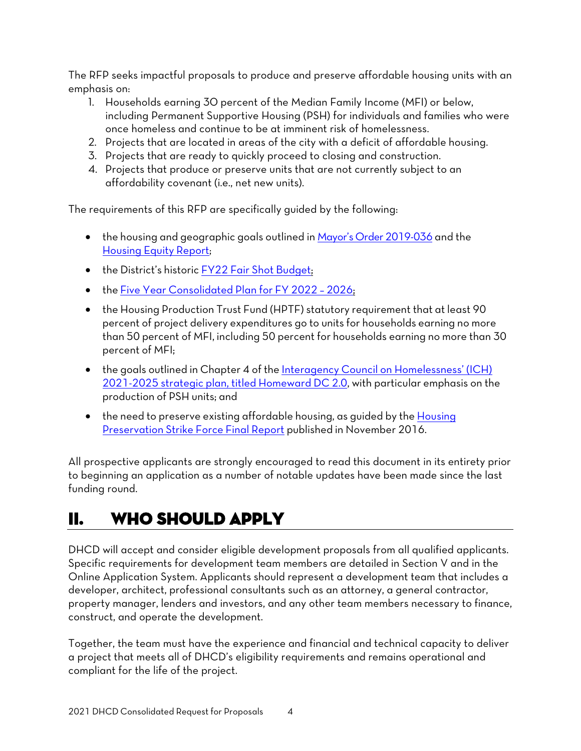The RFP seeks impactful proposals to produce and preserve affordable housing units with an emphasis on:

- 1. Households earning 30 percent of the Median Family Income (MFI) or below, including Permanent Supportive Housing (PSH) for individuals and families who were once homeless and continue to be at imminent risk of homelessness.
- 2. Projects that are located in areas of the city with a deficit of affordable housing.
- 3. Projects that are ready to quickly proceed to closing and construction.
- 4. Projects that produce or preserve units that are not currently subject to an affordability covenant (i.e., net new units).

The requirements of this RFP are specifically guided by the following:

- the housing and geographic goals outlined i[n Mayor's Order 2019-036](https://www.dcregs.dc.gov/Common/NoticeDetail.aspx?NoticeId=N0083042) and the [Housing Equity Report;](https://housing.dc.gov/sites/default/files/dc/sites/housingdc/page_content/attachments/Housing%20Equity%20Report%2010-15-19.pdf)
- the District's historic [FY22 Fair Shot Budget;](https://mayor.dc.gov/fy2022-fairshot-budget)
- the [Five Year Consolidated Plan for FY 2022 –](https://dhcd.dc.gov/node/1546921) 2026;
- the Housing Production Trust Fund (HPTF) statutory requirement that at least 90 percent of project delivery expenditures go to units for households earning no more than 50 percent of MFI, including 50 percent for households earning no more than 30 percent of MFI;
- the goals outlined in Chapter 4 of the [Interagency Council on Homelessness' \(ICH\)](https://dmhhs.dc.gov/sites/default/files/dc/sites/dmhhs/page_content/attachments/Homeward-DC-Report_FY2021-2025.pdf)  [2021-2025 strategic plan, titled Homeward DC 2.0,](https://dmhhs.dc.gov/sites/default/files/dc/sites/dmhhs/page_content/attachments/Homeward-DC-Report_FY2021-2025.pdf) with particular emphasis on the production of PSH units; and
- the need to preserve existing affordable housing, as guided by the Housing [Preservation Strike Force](https://dhcd.dc.gov/page/dc-housing-preservation-strike-force) Final Report published in November 2016.

All prospective applicants are strongly encouraged to read this document in its entirety prior to beginning an application as a number of notable updates have been made since the last funding round.

# <span id="page-3-0"></span>II. WHO SHOULD APPLY

DHCD will accept and consider eligible development proposals from all qualified applicants. Specific requirements for development team members are detailed in Section V and in the Online Application System. Applicants should represent a development team that includes a developer, architect, professional consultants such as an attorney, a general contractor, property manager, lenders and investors, and any other team members necessary to finance, construct, and operate the development.

Together, the team must have the experience and financial and technical capacity to deliver a project that meets all of DHCD's eligibility requirements and remains operational and compliant for the life of the project.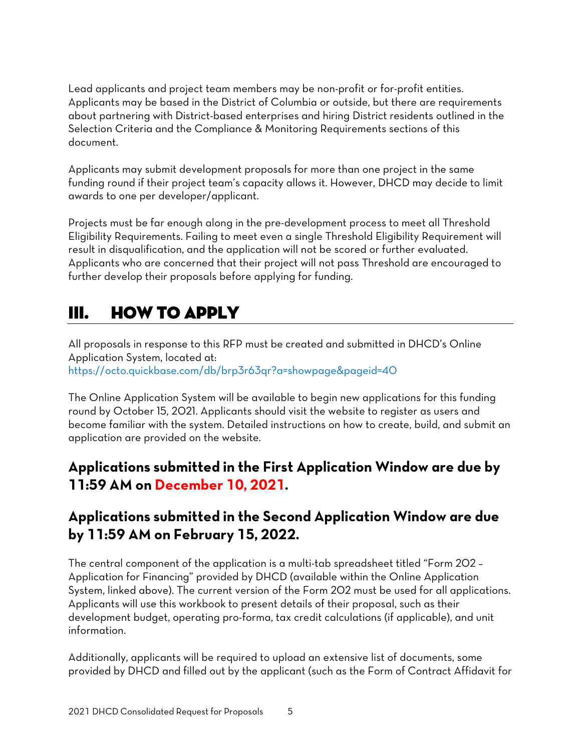Lead applicants and project team members may be non-profit or for-profit entities. Applicants may be based in the District of Columbia or outside, but there are requirements about partnering with District-based enterprises and hiring District residents outlined in the Selection Criteria and the Compliance & Monitoring Requirements sections of this document.

Applicants may submit development proposals for more than one project in the same funding round if their project team's capacity allows it. However, DHCD may decide to limit awards to one per developer/applicant.

Projects must be far enough along in the pre-development process to meet all Threshold Eligibility Requirements. Failing to meet even a single Threshold Eligibility Requirement will result in disqualification, and the application will not be scored or further evaluated. Applicants who are concerned that their project will not pass Threshold are encouraged to further develop their proposals before applying for funding.

# <span id="page-4-0"></span>III. HOW TO APPLY

All proposals in response to this RFP must be created and submitted in DHCD's Online Application System, located at: <https://octo.quickbase.com/db/brp3r63qr?a=showpage&pageid=40>

The Online Application System will be available to begin new applications for this funding round by October 15, 2021. Applicants should visit the website to register as users and become familiar with the system. Detailed instructions on how to create, build, and submit an application are provided on the website.

# **Applications submitted in the First Application Window are due by 11:59 AM on December 10, 2021.**

# **Applications submitted in the Second Application Window are due by 11:59 AM on February 15, 2022.**

The central component of the application is a multi-tab spreadsheet titled "Form 202 – Application for Financing" provided by DHCD (available within the Online Application System, linked above). The current version of the Form 202 must be used for all applications. Applicants will use this workbook to present details of their proposal, such as their development budget, operating pro-forma, tax credit calculations (if applicable), and unit information.

Additionally, applicants will be required to upload an extensive list of documents, some provided by DHCD and filled out by the applicant (such as the Form of Contract Affidavit for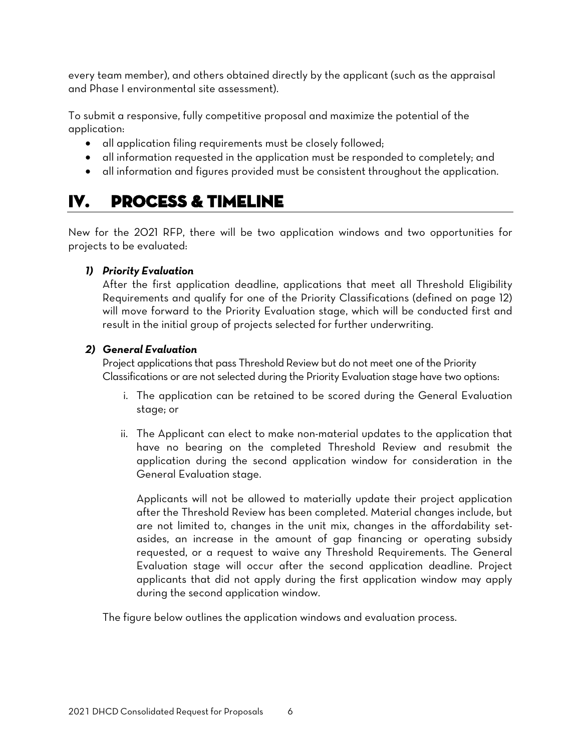every team member), and others obtained directly by the applicant (such as the appraisal and Phase I environmental site assessment).

To submit a responsive, fully competitive proposal and maximize the potential of the application:

- all application filing requirements must be closely followed;
- all information requested in the application must be responded to completely; and
- all information and figures provided must be consistent throughout the application.

# <span id="page-5-0"></span>IV. PROCESS & TIMELINE

New for the 2021 RFP, there will be two application windows and two opportunities for projects to be evaluated:

#### *1) Priority Evaluation*

After the first application deadline, applications that meet all Threshold Eligibility Requirements and qualify for one of the Priority Classifications (defined on page 12) will move forward to the Priority Evaluation stage, which will be conducted first and result in the initial group of projects selected for further underwriting.

#### *2) General Evaluation*

Project applications that pass Threshold Review but do not meet one of the Priority Classifications or are not selected during the Priority Evaluation stage have two options:

- i. The application can be retained to be scored during the General Evaluation stage; or
- ii. The Applicant can elect to make non-material updates to the application that have no bearing on the completed Threshold Review and resubmit the application during the second application window for consideration in the General Evaluation stage.

Applicants will not be allowed to materially update their project application after the Threshold Review has been completed. Material changes include, but are not limited to, changes in the unit mix, changes in the affordability setasides, an increase in the amount of gap financing or operating subsidy requested, or a request to waive any Threshold Requirements. The General Evaluation stage will occur after the second application deadline. Project applicants that did not apply during the first application window may apply during the second application window.

The figure below outlines the application windows and evaluation process.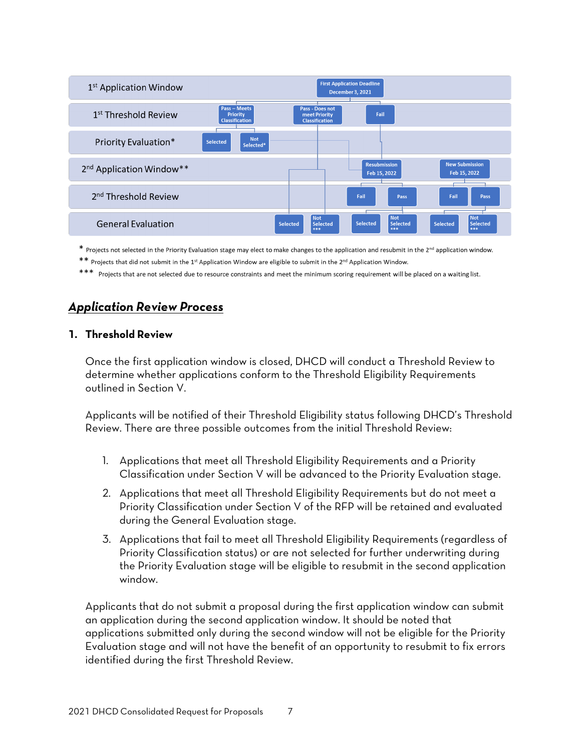| 1 <sup>st</sup> Application Window   |                                                          |                                                           | <b>First Application Deadline</b><br><b>December 3, 2021</b> |                                           |
|--------------------------------------|----------------------------------------------------------|-----------------------------------------------------------|--------------------------------------------------------------|-------------------------------------------|
| 1 <sup>st</sup> Threshold Review     | <b>Pass - Meets</b><br>Priority<br><b>Classification</b> | Pass - Does not<br>meet Priority<br><b>Classification</b> | Fail                                                         |                                           |
| Priority Evaluation*                 | <b>Not</b><br>Selected<br>Selected*                      |                                                           |                                                              |                                           |
| 2 <sup>nd</sup> Application Window** |                                                          |                                                           | <b>Resubmission</b><br>Feb 15, 2022                          | <b>New Submission</b><br>Feb 15, 2022     |
| 2 <sup>nd</sup> Threshold Review     |                                                          |                                                           | Fail                                                         | Fail<br>Pass<br>Pass                      |
| <b>General Evaluation</b>            |                                                          | Not<br><b>Selected</b><br><b>Selected</b><br>***          | l Not<br>Selected<br>Selected<br>***                         | Not<br>Selected<br><b>Selected</b><br>*** |

 $*$  Projects not selected in the Priority Evaluation stage may elect to make changes to the application and resubmit in the 2<sup>nd</sup> application window.

\*\* Projects that did not submit in the 1<sup>st</sup> Application Window are eligible to submit in the 2<sup>nd</sup> Application Window.

\*\*\* Projects that are not selected due to resource constraints and meet the minimum scoring requirement will be placed on a waiting list.

### *Application Review Process*

#### <span id="page-6-0"></span>**1. Threshold Review**

Once the first application window is closed, DHCD will conduct a Threshold Review to determine whether applications conform to the Threshold Eligibility Requirements outlined in Section V.

Applicants will be notified of their Threshold Eligibility status following DHCD's Threshold Review. There are three possible outcomes from the initial Threshold Review:

- 1. Applications that meet all Threshold Eligibility Requirements and a Priority Classification under Section V will be advanced to the Priority Evaluation stage.
- 2. Applications that meet all Threshold Eligibility Requirements but do not meet a Priority Classification under Section V of the RFP will be retained and evaluated during the General Evaluation stage.
- 3. Applications that fail to meet all Threshold Eligibility Requirements (regardless of Priority Classification status) or are not selected for further underwriting during the Priority Evaluation stage will be eligible to resubmit in the second application window.

Applicants that do not submit a proposal during the first application window can submit an application during the second application window. It should be noted that applications submitted only during the second window will not be eligible for the Priority Evaluation stage and will not have the benefit of an opportunity to resubmit to fix errors identified during the first Threshold Review.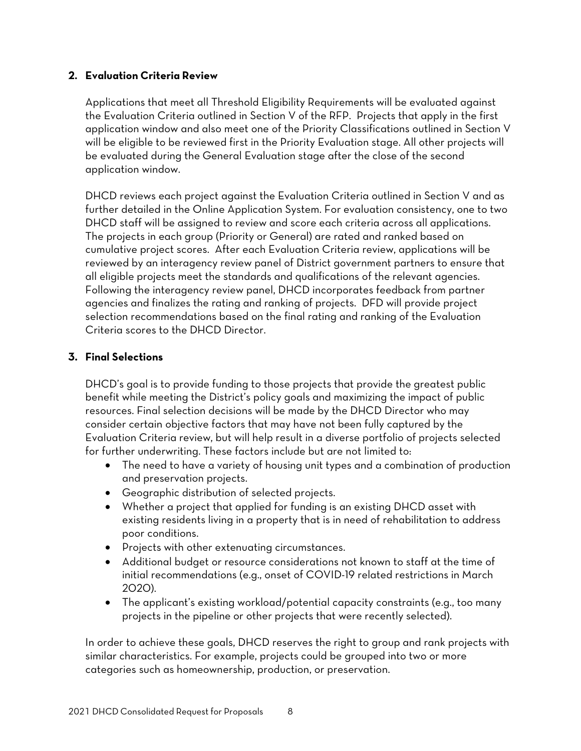#### <span id="page-7-0"></span>**2. Evaluation Criteria Review**

Applications that meet all Threshold Eligibility Requirements will be evaluated against the Evaluation Criteria outlined in Section V of the RFP. Projects that apply in the first application window and also meet one of the Priority Classifications outlined in Section V will be eligible to be reviewed first in the Priority Evaluation stage. All other projects will be evaluated during the General Evaluation stage after the close of the second application window.

DHCD reviews each project against the Evaluation Criteria outlined in Section V and as further detailed in the Online Application System. For evaluation consistency, one to two DHCD staff will be assigned to review and score each criteria across all applications. The projects in each group (Priority or General) are rated and ranked based on cumulative project scores. After each Evaluation Criteria review, applications will be reviewed by an interagency review panel of District government partners to ensure that all eligible projects meet the standards and qualifications of the relevant agencies. Following the interagency review panel, DHCD incorporates feedback from partner agencies and finalizes the rating and ranking of projects. DFD will provide project selection recommendations based on the final rating and ranking of the Evaluation Criteria scores to the DHCD Director.

### **3. Final Selections**

DHCD's goal is to provide funding to those projects that provide the greatest public benefit while meeting the District's policy goals and maximizing the impact of public resources. Final selection decisions will be made by the DHCD Director who may consider certain objective factors that may have not been fully captured by the Evaluation Criteria review, but will help result in a diverse portfolio of projects selected for further underwriting. These factors include but are not limited to:

- The need to have a variety of housing unit types and a combination of production and preservation projects.
- Geographic distribution of selected projects.
- Whether a project that applied for funding is an existing DHCD asset with existing residents living in a property that is in need of rehabilitation to address poor conditions.
- Projects with other extenuating circumstances.
- Additional budget or resource considerations not known to staff at the time of initial recommendations (e.g., onset of COVID-19 related restrictions in March 2020).
- The applicant's existing workload/potential capacity constraints (e.g., too many projects in the pipeline or other projects that were recently selected).

In order to achieve these goals, DHCD reserves the right to group and rank projects with similar characteristics. For example, projects could be grouped into two or more categories such as homeownership, production, or preservation.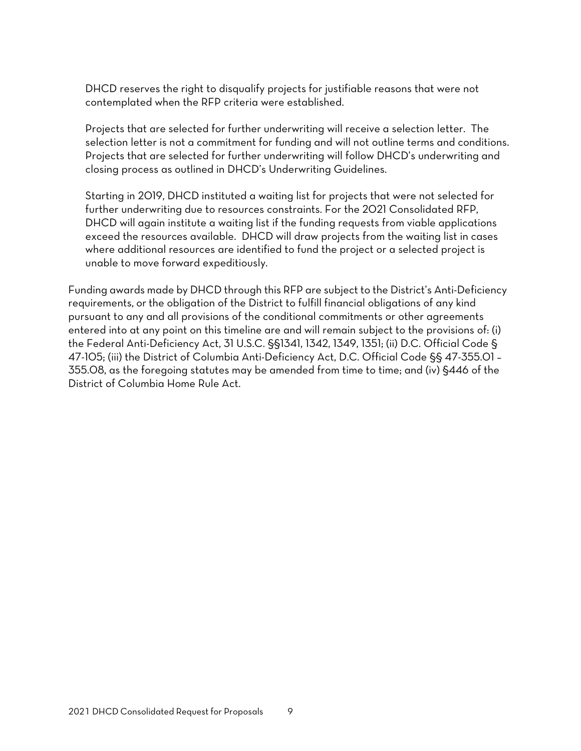DHCD reserves the right to disqualify projects for justifiable reasons that were not contemplated when the RFP criteria were established.

Projects that are selected for further underwriting will receive a selection letter. The selection letter is not a commitment for funding and will not outline terms and conditions. Projects that are selected for further underwriting will follow DHCD's underwriting and closing process as outlined in DHCD's Underwriting Guidelines.

Starting in 2019, DHCD instituted a waiting list for projects that were not selected for further underwriting due to resources constraints. For the 2021 Consolidated RFP, DHCD will again institute a waiting list if the funding requests from viable applications exceed the resources available. DHCD will draw projects from the waiting list in cases where additional resources are identified to fund the project or a selected project is unable to move forward expeditiously.

Funding awards made by DHCD through this RFP are subject to the District's Anti-Deficiency requirements, or the obligation of the District to fulfill financial obligations of any kind pursuant to any and all provisions of the conditional commitments or other agreements entered into at any point on this timeline are and will remain subject to the provisions of: (i) the Federal Anti-Deficiency Act, 31 U.S.C. §§1341, 1342, 1349, 1351; (ii) D.C. Official Code § 47-105; (iii) the District of Columbia Anti-Deficiency Act, D.C. Official Code §§ 47-355.01 – 355.08, as the foregoing statutes may be amended from time to time; and (iv) §446 of the District of Columbia Home Rule Act.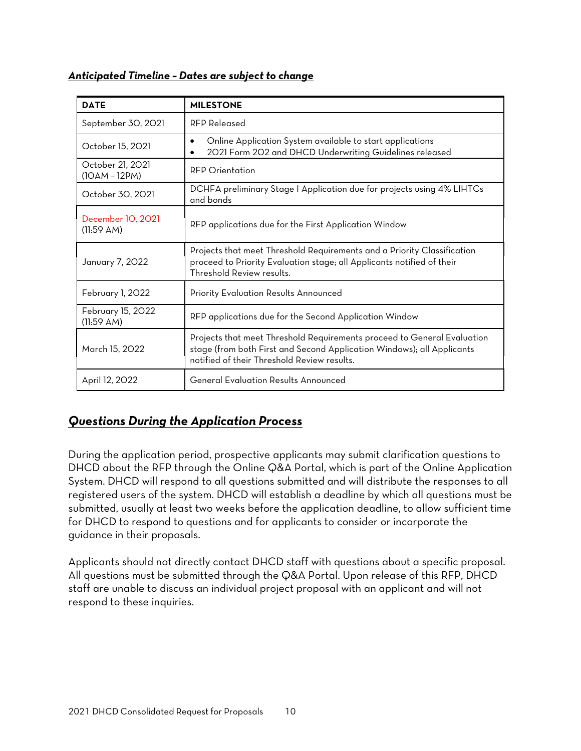|  | Anticipated Timeline - Dates are subject to change |  |
|--|----------------------------------------------------|--|
|  |                                                    |  |

| <b>DATE</b>                                                                                                                                                                                                        | <b>MILESTONE</b>                                                                                                                                                               |  |
|--------------------------------------------------------------------------------------------------------------------------------------------------------------------------------------------------------------------|--------------------------------------------------------------------------------------------------------------------------------------------------------------------------------|--|
| September 30, 2021                                                                                                                                                                                                 | RFP Released                                                                                                                                                                   |  |
| October 15, 2021                                                                                                                                                                                                   | Online Application System available to start applications<br>$\bullet$<br>2021 Form 202 and DHCD Underwriting Guidelines released                                              |  |
| October 21, 2021<br>$(10AM - 12PM)$                                                                                                                                                                                | <b>RFP Orientation</b>                                                                                                                                                         |  |
| October 30, 2021                                                                                                                                                                                                   | DCHFA preliminary Stage I Application due for projects using 4% LIHTCs<br>and bonds                                                                                            |  |
| December 10, 2021<br>(11.59 AM)                                                                                                                                                                                    | RFP applications due for the First Application Window                                                                                                                          |  |
| January 7, 2022                                                                                                                                                                                                    | Projects that meet Threshold Requirements and a Priority Classification<br>proceed to Priority Evaluation stage; all Applicants notified of their<br>Threshold Review results. |  |
| February 1, 2022                                                                                                                                                                                                   | Priority Evaluation Results Announced                                                                                                                                          |  |
| February 15, 2022<br>(11:59 AM)                                                                                                                                                                                    | RFP applications due for the Second Application Window                                                                                                                         |  |
| Projects that meet Threshold Requirements proceed to General Evaluation<br>stage (from both First and Second Application Windows); all Applicants<br>March 15, 2022<br>notified of their Threshold Review results. |                                                                                                                                                                                |  |
| April 12, 2022                                                                                                                                                                                                     | <b>General Evaluation Results Announced</b>                                                                                                                                    |  |

# *Questions During the Application Process*

During the application period, prospective applicants may submit clarification questions to DHCD about the RFP through the Online Q&A Portal, which is part of the Online Application System. DHCD will respond to all questions submitted and will distribute the responses to all registered users of the system. DHCD will establish a deadline by which all questions must be submitted, usually at least two weeks before the application deadline, to allow sufficient time for DHCD to respond to questions and for applicants to consider or incorporate the guidance in their proposals.

Applicants should not directly contact DHCD staff with questions about a specific proposal. All questions must be submitted through the Q&A Portal. Upon release of this RFP, DHCD staff are unable to discuss an individual project proposal with an applicant and will not respond to these inquiries.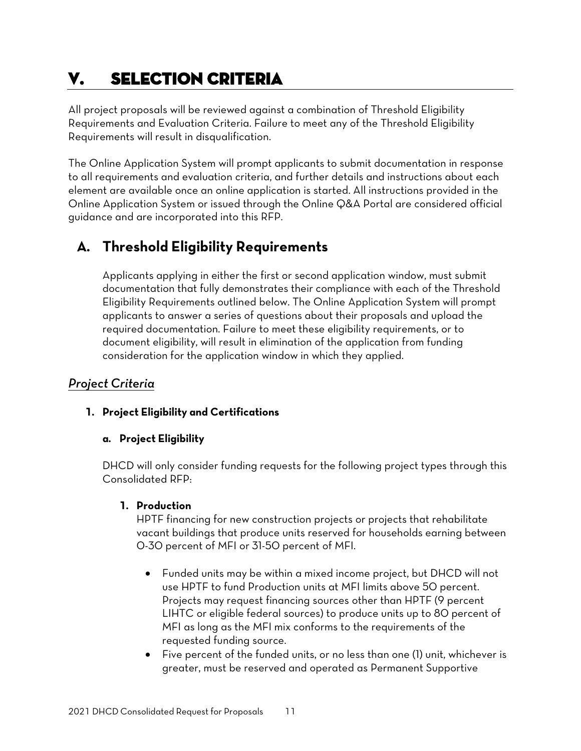# <span id="page-10-0"></span>V. SELECTION CRITERIA

All project proposals will be reviewed against a combination of Threshold Eligibility Requirements and Evaluation Criteria. Failure to meet any of the Threshold Eligibility Requirements will result in disqualification.

The Online Application System will prompt applicants to submit documentation in response to all requirements and evaluation criteria, and further details and instructions about each element are available once an online application is started. All instructions provided in the Online Application System or issued through the Online Q&A Portal are considered official guidance and are incorporated into this RFP.

# <span id="page-10-1"></span>**A. Threshold Eligibility Requirements**

Applicants applying in either the first or second application window, must submit documentation that fully demonstrates their compliance with each of the Threshold Eligibility Requirements outlined below. The Online Application System will prompt applicants to answer a series of questions about their proposals and upload the required documentation. Failure to meet these eligibility requirements, or to document eligibility, will result in elimination of the application from funding consideration for the application window in which they applied.

## <span id="page-10-2"></span>*Project Criteria*

### **1. Project Eligibility and Certifications**

### **a. Project Eligibility**

DHCD will only consider funding requests for the following project types through this Consolidated RFP:

### **1. Production**

HPTF financing for new construction projects or projects that rehabilitate vacant buildings that produce units reserved for households earning between 0-30 percent of MFI or 31-50 percent of MFI.

- Funded units may be within a mixed income project, but DHCD will not use HPTF to fund Production units at MFI limits above 50 percent. Projects may request financing sources other than HPTF (9 percent LIHTC or eligible federal sources) to produce units up to 80 percent of MFI as long as the MFI mix conforms to the requirements of the requested funding source.
- Five percent of the funded units, or no less than one (1) unit, whichever is greater, must be reserved and operated as Permanent Supportive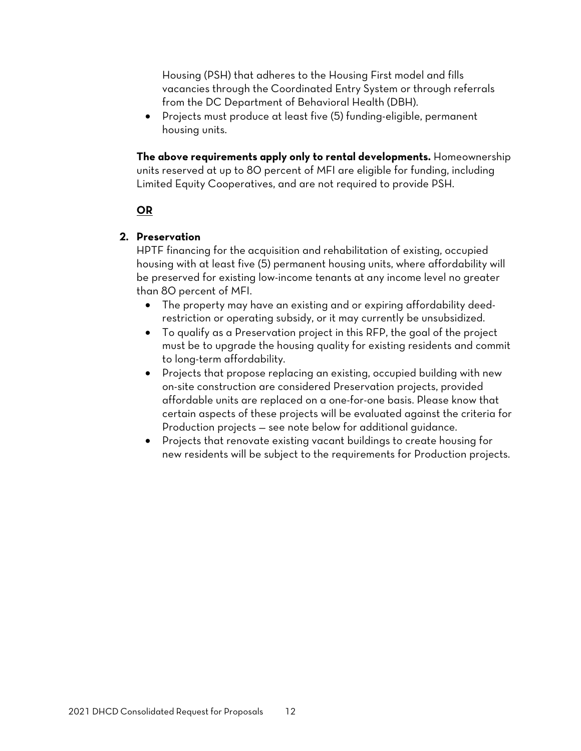Housing (PSH) that adheres to the Housing First model and fills vacancies through the Coordinated Entry System or through referrals from the DC Department of Behavioral Health (DBH).

• Projects must produce at least five (5) funding-eligible, permanent housing units.

**The above requirements apply only to rental developments.** Homeownership units reserved at up to 80 percent of MFI are eligible for funding, including Limited Equity Cooperatives, and are not required to provide PSH.

### **OR**

#### **2. Preservation**

HPTF financing for the acquisition and rehabilitation of existing, occupied housing with at least five (5) permanent housing units, where affordability will be preserved for existing low-income tenants at any income level no greater than 80 percent of MFI.

- The property may have an existing and or expiring affordability deedrestriction or operating subsidy, or it may currently be unsubsidized.
- To qualify as a Preservation project in this RFP, the goal of the project must be to upgrade the housing quality for existing residents and commit to long-term affordability.
- Projects that propose replacing an existing, occupied building with new on-site construction are considered Preservation projects, provided affordable units are replaced on a one-for-one basis. Please know that certain aspects of these projects will be evaluated against the criteria for Production projects — see note below for additional guidance.
- Projects that renovate existing vacant buildings to create housing for new residents will be subject to the requirements for Production projects.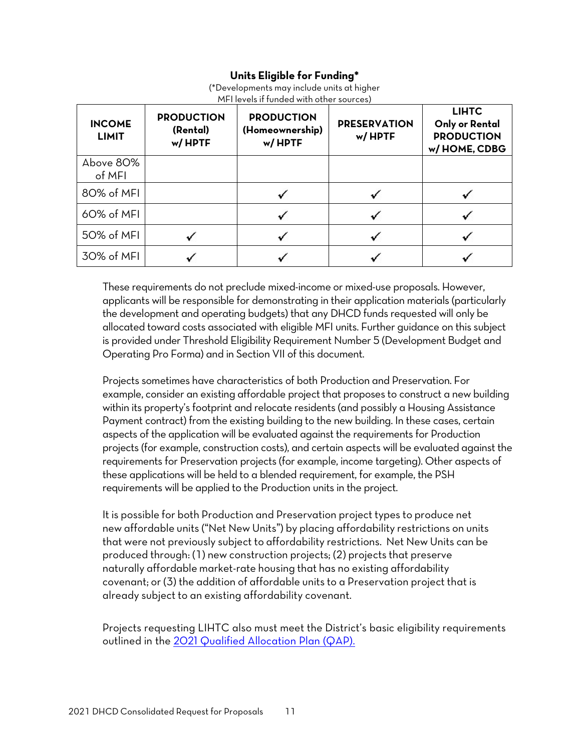### **Units Eligible for Funding\***

| (*Developments may include units at higher |
|--------------------------------------------|
| MFI levels if funded with other sources)   |
|                                            |

| <b>INCOME</b><br><b>LIMIT</b> | <b>PRODUCTION</b><br>(Rental)<br>w/HPTF | <b>PRODUCTION</b><br>(Homeownership)<br>w/HPTF | <b>PRESERVATION</b><br>w/HPTF | <b>LIHTC</b><br>Only or Rental<br><b>PRODUCTION</b><br>w/HOME, CDBG |
|-------------------------------|-----------------------------------------|------------------------------------------------|-------------------------------|---------------------------------------------------------------------|
| Above 80%<br>of MFI           |                                         |                                                |                               |                                                                     |
| 80% of MFI                    |                                         |                                                |                               |                                                                     |
| 60% of MFI                    |                                         |                                                |                               |                                                                     |
| 50% of MFI                    |                                         |                                                |                               |                                                                     |
| 30% of MFI                    |                                         |                                                |                               |                                                                     |

These requirements do not preclude mixed-income or mixed-use proposals. However, applicants will be responsible for demonstrating in their application materials (particularly the development and operating budgets) that any DHCD funds requested will only be allocated toward costs associated with eligible MFI units. Further guidance on this subject is provided under Threshold Eligibility Requirement Number 5 (Development Budget and Operating Pro Forma) and in Section VII of this document.

Projects sometimes have characteristics of both Production and Preservation. For example, consider an existing affordable project that proposes to construct a new building within its property's footprint and relocate residents (and possibly a Housing Assistance Payment contract) from the existing building to the new building. In these cases, certain aspects of the application will be evaluated against the requirements for Production projects (for example, construction costs), and certain aspects will be evaluated against the requirements for Preservation projects (for example, income targeting). Other aspects of these applications will be held to a blended requirement, for example, the PSH requirements will be applied to the Production units in the project.

It is possible for both Production and Preservation project types to produce net new affordable units ("Net New Units") by placing affordability restrictions on units that were not previously subject to affordability restrictions. Net New Units can be produced through: (1) new construction projects; (2) projects that preserve naturally affordable market-rate housing that has no existing affordability covenant; or (3) the addition of affordable units to a Preservation project that is already subject to an existing affordability covenant.

Projects requesting LIHTC also must meet the District's basic eligibility requirements outlined in the 2021 [Qualified Allocation Plan \(QAP\).](https://dhcd.dc.gov/publication/2021-dhcd-low-income-housing-tax-credit-qualified-allocation-plan-draft)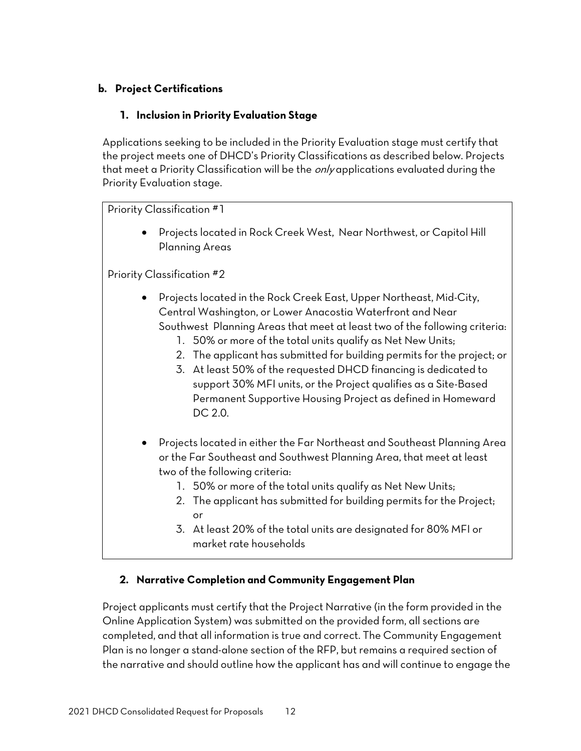### **b. Project Certifications**

#### **1. Inclusion in Priority Evaluation Stage**

Applications seeking to be included in the Priority Evaluation stage must certify that the project meets one of DHCD's Priority Classifications as described below. Projects that meet a Priority Classification will be the *only* applications evaluated during the Priority Evaluation stage.

#### Priority Classification #1

• Projects located in Rock Creek West, Near Northwest, or Capitol Hill Planning Areas

Priority Classification #2

- Projects located in the Rock Creek East, Upper Northeast, Mid-City, Central Washington, or Lower Anacostia Waterfront and Near Southwest Planning Areas that meet at least two of the following criteria:
	- 1. 50% or more of the total units qualify as Net New Units;
	- 2. The applicant has submitted for building permits for the project; or
	- 3. At least 50% of the requested DHCD financing is dedicated to support 30% MFI units, or the Project qualifies as a Site-Based Permanent Supportive Housing Project as defined in Homeward DC 2.0.
- Projects located in either the Far Northeast and Southeast Planning Area or the Far Southeast and Southwest Planning Area, that meet at least two of the following criteria:
	- 1. 50% or more of the total units qualify as Net New Units;
	- 2. The applicant has submitted for building permits for the Project; or
	- 3. At least 20% of the total units are designated for 80% MFI or market rate households

#### **2. Narrative Completion and Community Engagement Plan**

Project applicants must certify that the Project Narrative (in the form provided in the Online Application System) was submitted on the provided form, all sections are completed, and that all information is true and correct. The Community Engagement Plan is no longer a stand-alone section of the RFP, but remains a required section of the narrative and should outline how the applicant has and will continue to engage the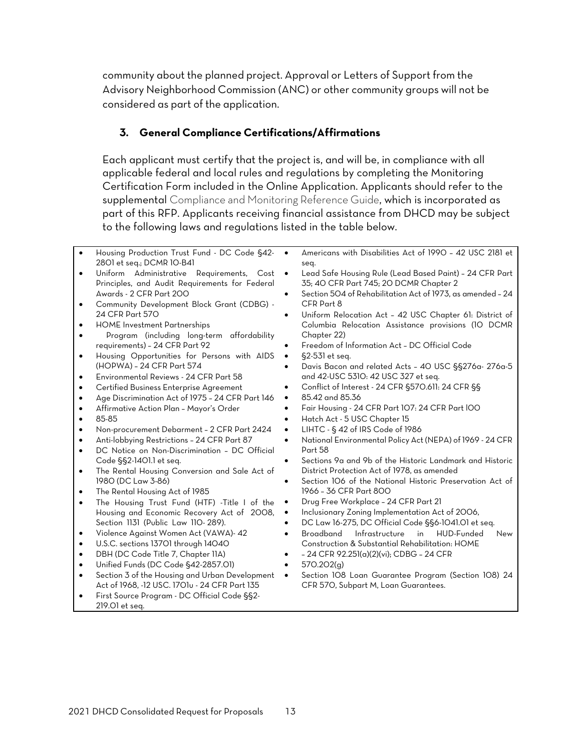community about the planned project. Approval or Letters of Support from the Advisory Neighborhood Commission (ANC) or other community groups will not be considered as part of the application.

### **3. General Compliance Certifications/Affirmations**

Each applicant must certify that the project is, and will be, in compliance with all applicable federal and local rules and regulations by completing the Monitoring Certification Form included in the Online Application. Applicants should refer to the supplemental Compliance and Monitoring Reference Guide, which is incorporated as part of this RFP. Applicants receiving financial assistance from DHCD may be subject to the following laws and regulations listed in the table below.

- Housing Production Trust Fund DC Code §42- 2801 et seq.; DCMR 10-B41
- Uniform Administrative Requirements, Cost Principles, and Audit Requirements for Federal Awards - 2 CFR Part 200
- Community Development Block Grant (CDBG) 24 CFR Part 570
- HOME Investment Partnerships
- Program (including long-term affordability requirements) – 24 CFR Part 92
- Housing Opportunities for Persons with AIDS (HOPWA) – 24 CFR Part 574
- Environmental Reviews 24 CFR Part 58
- Certified Business Enterprise Agreement
- Age Discrimination Act of 1975 24 CFR Part 146
- Affirmative Action Plan Mayor's Order
- 85-85
- Non-procurement Debarment 2 CFR Part 2424
- Anti-lobbying Restrictions 24 CFR Part 87
- DC Notice on Non-Discrimination DC Official Code §§2-1401.1 et seq.
- The Rental Housing Conversion and Sale Act of 1980 (DC Law 3-86)
- The Rental Housing Act of 1985
- The Housing Trust Fund (HTF) -Title I of the Housing and Economic Recovery Act of 2008, Section 1131 (Public Law 110- 289).
- Violence Against Women Act (VAWA)- 42
- U.S.C. sections 13701 through 14040
- DBH (DC Code Title 7, Chapter 11A)
- Unified Funds (DC Code §42-2857.01)
- Section 3 of the Housing and Urban Development Act of 1968, -12 USC. 1701u - 24 CFR Part 135
- First Source Program DC Official Code §§2- 219.01 et seq.
- Americans with Disabilities Act of 1990 42 USC 2181 et seq.
- Lead Safe Housing Rule (Lead Based Paint) 24 CFR Part 35; 40 CFR Part 745; 20 DCMR Chapter 2
- Section 504 of Rehabilitation Act of 1973, as amended 24 CFR Part 8
- Uniform Relocation Act 42 USC Chapter 61: District of Columbia Relocation Assistance provisions (10 DCMR Chapter 22)
- Freedom of Information Act DC Official Code
- §2-531 et seq.
- Davis Bacon and related Acts 40 USC §§276a- 276a-5 and 42-USC 5310: 42 USC 327 et seq.
- Conflict of Interest 24 CFR §570.611: 24 CFR §§
- 85.42 and 85.36
- Fair Housing 24 CFR Part 107: 24 CFR Part l00
- Hatch Act 5 USC Chapter 15
- LIHTC § 42 of IRS Code of 1986
- National Environmental Policy Act (NEPA) of 1969 24 CFR Part 58
- Sections 9a and 9b of the Historic Landmark and Historic District Protection Act of 1978, as amended
- Section 106 of the National Historic Preservation Act of 1966 – 36 CFR Part 800
- Drug Free Workplace 24 CFR Part 21
- Inclusionary Zoning Implementation Act of 2006,
- DC Law 16-275, DC Official Code §§6-1041.01 et seq.
- Broadband Infrastructure in HUD-Funded New Construction & Substantial Rehabilitation: HOME
- – 24 CFR 92.251(a)(2)(vi); CDBG 24 CFR
- 570.202(g)
- [Section 108 Loan Guarantee Program \(Section 108\)](https://www.hud.gov/program_offices/comm_planning/section108) [24](http://www.ecfr.gov/cgi-bin/text-idx?SID=3cf4d7b5c36d8040c0509ac6edf373b3&mc=true&node=sp24.3.570.m&rgn=div6)  [CFR 570,](http://www.ecfr.gov/cgi-bin/text-idx?SID=3cf4d7b5c36d8040c0509ac6edf373b3&mc=true&node=sp24.3.570.m&rgn=div6) Subpart M, Loan Guarantees.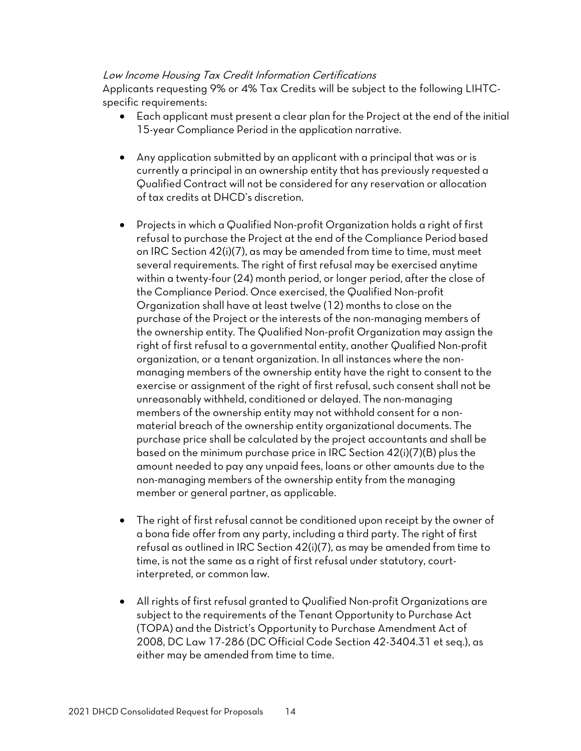#### Low Income Housing Tax Credit Information Certifications

Applicants requesting 9% or 4% Tax Credits will be subject to the following LIHTCspecific requirements:

- Each applicant must present a clear plan for the Project at the end of the initial 15-year Compliance Period in the application narrative.
- Any application submitted by an applicant with a principal that was or is currently a principal in an ownership entity that has previously requested a Qualified Contract will not be considered for any reservation or allocation of tax credits at DHCD's discretion.
- Projects in which a Qualified Non-profit Organization holds a right of first refusal to purchase the Project at the end of the Compliance Period based on IRC Section 42(i)(7), as may be amended from time to time, must meet several requirements. The right of first refusal may be exercised anytime within a twenty-four (24) month period, or longer period, after the close of the Compliance Period. Once exercised, the Qualified Non-profit Organization shall have at least twelve (12) months to close on the purchase of the Project or the interests of the non-managing members of the ownership entity. The Qualified Non-profit Organization may assign the right of first refusal to a governmental entity, another Qualified Non-profit organization, or a tenant organization. In all instances where the nonmanaging members of the ownership entity have the right to consent to the exercise or assignment of the right of first refusal, such consent shall not be unreasonably withheld, conditioned or delayed. The non-managing members of the ownership entity may not withhold consent for a nonmaterial breach of the ownership entity organizational documents. The purchase price shall be calculated by the project accountants and shall be based on the minimum purchase price in IRC Section 42(i)(7)(B) plus the amount needed to pay any unpaid fees, loans or other amounts due to the non-managing members of the ownership entity from the managing member or general partner, as applicable.
- The right of first refusal cannot be conditioned upon receipt by the owner of a bona fide offer from any party, including a third party. The right of first refusal as outlined in IRC Section 42(i)(7), as may be amended from time to time, is not the same as a right of first refusal under statutory, courtinterpreted, or common law.
- All rights of first refusal granted to Qualified Non-profit Organizations are subject to the requirements of the Tenant Opportunity to Purchase Act (TOPA) and the District's Opportunity to Purchase Amendment Act of 2008, DC Law 17-286 (DC Official Code Section 42-3404.31 et seq.), as either may be amended from time to time.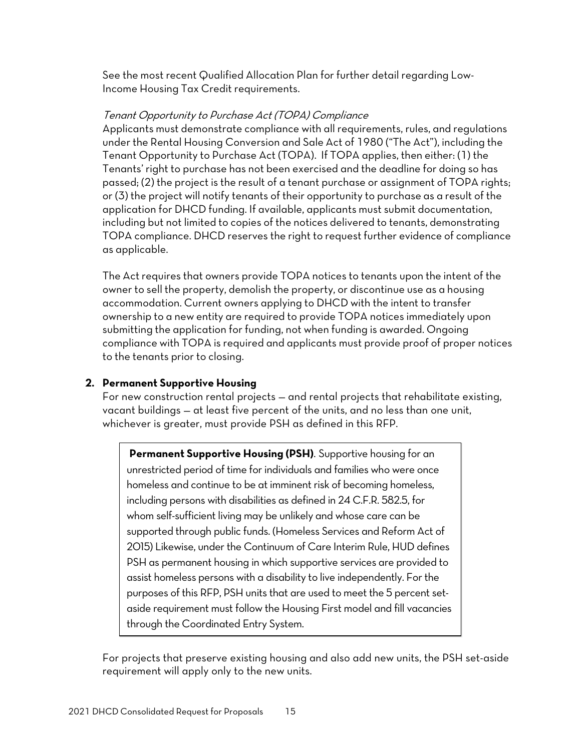See the most recent Qualified Allocation Plan for further detail regarding Low-Income Housing Tax Credit requirements.

#### Tenant Opportunity to Purchase Act (TOPA) Compliance

Applicants must demonstrate compliance with all requirements, rules, and regulations under the Rental Housing Conversion and Sale Act of 1980 ("The Act"), including the Tenant Opportunity to Purchase Act (TOPA). If TOPA applies, then either: (1) the Tenants' right to purchase has not been exercised and the deadline for doing so has passed; (2) the project is the result of a tenant purchase or assignment of TOPA rights; or (3) the project will notify tenants of their opportunity to purchase as a result of the application for DHCD funding. If available, applicants must submit documentation, including but not limited to copies of the notices delivered to tenants, demonstrating TOPA compliance. DHCD reserves the right to request further evidence of compliance as applicable.

The Act requires that owners provide TOPA notices to tenants upon the intent of the owner to sell the property, demolish the property, or discontinue use as a housing accommodation. Current owners applying to DHCD with the intent to transfer ownership to a new entity are required to provide TOPA notices immediately upon submitting the application for funding, not when funding is awarded. Ongoing compliance with TOPA is required and applicants must provide proof of proper notices to the tenants prior to closing.

#### **2. Permanent Supportive Housing**

For new construction rental projects — and rental projects that rehabilitate existing, vacant buildings — at least five percent of the units, and no less than one unit, whichever is greater, must provide PSH as defined in this RFP.

**Permanent Supportive Housing (PSH)**. Supportive housing for an unrestricted period of time for individuals and families who were once homeless and continue to be at imminent risk of becoming homeless, including persons with disabilities as defined in 24 C.F.R. 582.5, for whom self-sufficient living may be unlikely and whose care can be supported through public funds. (Homeless Services and Reform Act of 2015) Likewise, under the Continuum of Care Interim Rule, HUD defines PSH as permanent housing in which supportive services are provided to assist homeless persons with a disability to live independently. For the purposes of this RFP, PSH units that are used to meet the 5 percent setaside requirement must follow the Housing First model and fill vacancies through the Coordinated Entry System.

For projects that preserve existing housing and also add new units, the PSH set-aside requirement will apply only to the new units.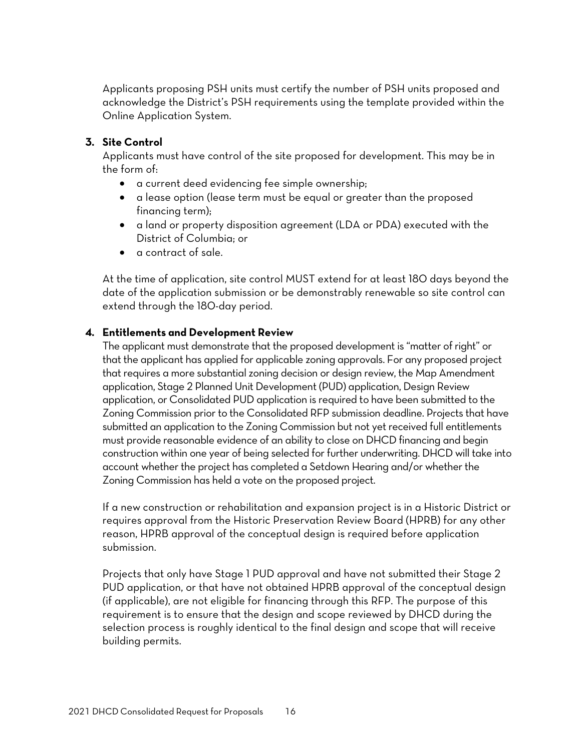Applicants proposing PSH units must certify the number of PSH units proposed and acknowledge the District's PSH requirements using the template provided within the Online Application System.

#### **3. Site Control**

Applicants must have control of the site proposed for development. This may be in the form of:

- a current deed evidencing fee simple ownership;
- a lease option (lease term must be equal or greater than the proposed financing term);
- a land or property disposition agreement (LDA or PDA) executed with the District of Columbia; or
- a contract of sale.

At the time of application, site control MUST extend for at least 180 days beyond the date of the application submission or be demonstrably renewable so site control can extend through the 180-day period.

#### **4. Entitlements and Development Review**

The applicant must demonstrate that the proposed development is "matter of right" or that the applicant has applied for applicable zoning approvals. For any proposed project that requires a more substantial zoning decision or design review, the Map Amendment application, Stage 2 Planned Unit Development (PUD) application, Design Review application, or Consolidated PUD application is required to have been submitted to the Zoning Commission prior to the Consolidated RFP submission deadline. Projects that have submitted an application to the Zoning Commission but not yet received full entitlements must provide reasonable evidence of an ability to close on DHCD financing and begin construction within one year of being selected for further underwriting. DHCD will take into account whether the project has completed a Setdown Hearing and/or whether the Zoning Commission has held a vote on the proposed project.

If a new construction or rehabilitation and expansion project is in a Historic District or requires approval from the Historic Preservation Review Board (HPRB) for any other reason, HPRB approval of the conceptual design is required before application submission.

Projects that only have Stage 1 PUD approval and have not submitted their Stage 2 PUD application, or that have not obtained HPRB approval of the conceptual design (if applicable), are not eligible for financing through this RFP. The purpose of this requirement is to ensure that the design and scope reviewed by DHCD during the selection process is roughly identical to the final design and scope that will receive building permits.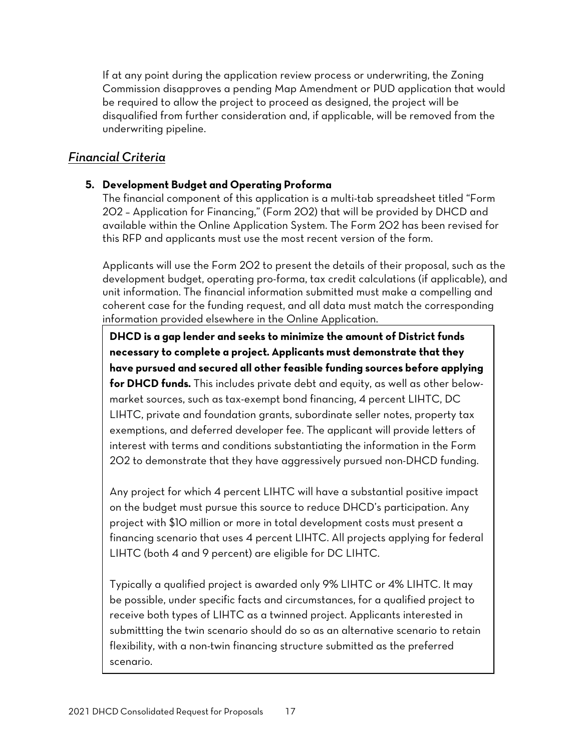If at any point during the application review process or underwriting, the Zoning Commission disapproves a pending Map Amendment or PUD application that would be required to allow the project to proceed as designed, the project will be disqualified from further consideration and, if applicable, will be removed from the underwriting pipeline.

### <span id="page-18-0"></span>*Financial Criteria*

### **5. Development Budget and Operating Proforma**

The financial component of this application is a multi-tab spreadsheet titled "Form 202 – Application for Financing," (Form 202) that will be provided by DHCD and available within the [Online Application System.](https://octo.quickbase.com/db/bjc34b76f) The Form 202 has been revised for this RFP and applicants must use the most recent version of the form.

Applicants will use the Form 202 to present the details of their proposal, such as the development budget, operating pro-forma, tax credit calculations (if applicable), and unit information. The financial information submitted must make a compelling and coherent case for the funding request, and all data must match the corresponding information provided elsewhere in the Online Application.

**DHCD is a gap lender and seeks to minimize the amount of District funds necessary to complete a project. Applicants must demonstrate that they have pursued and secured all other feasible funding sources before applying for DHCD funds.** This includes private debt and equity, as well as other belowmarket sources, such as tax-exempt bond financing, 4 percent LIHTC, DC LIHTC, private and foundation grants, subordinate seller notes, property tax exemptions, and deferred developer fee. The applicant will provide letters of interest with terms and conditions substantiating the information in the Form 202 to demonstrate that they have aggressively pursued non-DHCD funding.

Any project for which 4 percent LIHTC will have a substantial positive impact on the budget must pursue this source to reduce DHCD's participation. Any project with \$10 million or more in total development costs must present a financing scenario that uses 4 percent LIHTC. All projects applying for federal LIHTC (both 4 and 9 percent) are eligible for DC LIHTC.

Typically a qualified project is awarded only 9% LIHTC or 4% LIHTC. It may be possible, under specific facts and circumstances, for a qualified project to receive both types of LIHTC as a twinned project. Applicants interested in submittting the twin scenario should do so as an alternative scenario to retain flexibility, with a non-twin financing structure submitted as the preferred scenario.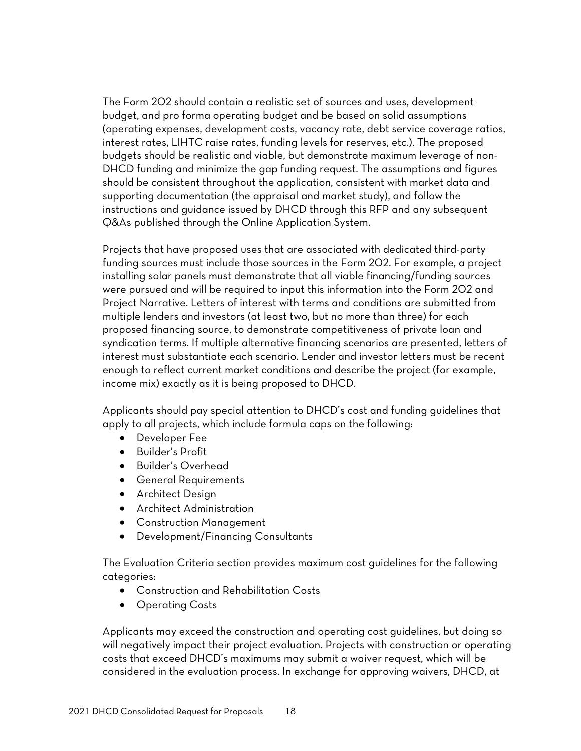The Form 202 should contain a realistic set of sources and uses, development budget, and pro forma operating budget and be based on solid assumptions (operating expenses, development costs, vacancy rate, debt service coverage ratios, interest rates, LIHTC raise rates, funding levels for reserves, etc.). The proposed budgets should be realistic and viable, but demonstrate maximum leverage of non-DHCD funding and minimize the gap funding request. The assumptions and figures should be consistent throughout the application, consistent with market data and supporting documentation (the appraisal and market study), and follow the instructions and guidance issued by DHCD through this RFP and any subsequent Q&As published through the Online Application System.

Projects that have proposed uses that are associated with dedicated third-party funding sources must include those sources in the Form 202. For example, a project installing solar panels must demonstrate that all viable financing/funding sources were pursued and will be required to input this information into the Form 202 and Project Narrative. Letters of interest with terms and conditions are submitted from multiple lenders and investors (at least two, but no more than three) for each proposed financing source, to demonstrate competitiveness of private loan and syndication terms. If multiple alternative financing scenarios are presented, letters of interest must substantiate each scenario. Lender and investor letters must be recent enough to reflect current market conditions and describe the project (for example, income mix) exactly as it is being proposed to DHCD.

Applicants should pay special attention to DHCD's cost and funding guidelines that apply to all projects, which include formula caps on the following:

- Developer Fee
- Builder's Profit
- Builder's Overhead
- General Requirements
- Architect Design
- Architect Administration
- Construction Management
- Development/Financing Consultants

The Evaluation Criteria section provides maximum cost guidelines for the following categories:

- Construction and Rehabilitation Costs
- Operating Costs

Applicants may exceed the construction and operating cost guidelines, but doing so will negatively impact their project evaluation. Projects with construction or operating costs that exceed DHCD's maximums may submit a waiver request, which will be considered in the evaluation process. In exchange for approving waivers, DHCD, at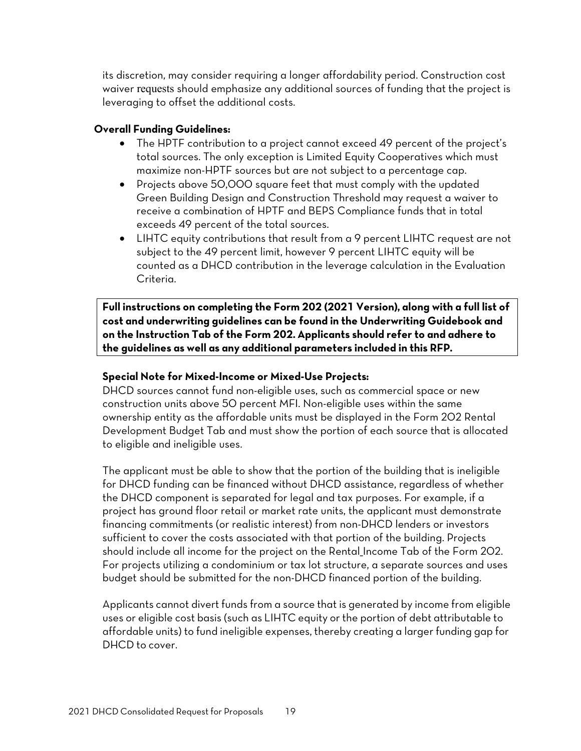its discretion, may consider requiring a longer affordability period. Construction cost waiver requests should emphasize any additional sources of funding that the project is leveraging to offset the additional costs.

#### **Overall Funding Guidelines:**

- The HPTF contribution to a project cannot exceed 49 percent of the project's total sources. The only exception is Limited Equity Cooperatives which must maximize non-HPTF sources but are not subject to a percentage cap.
- Projects above 50,000 square feet that must comply with the updated Green Building Design and Construction Threshold may request a waiver to receive a combination of HPTF and BEPS Compliance funds that in total exceeds 49 percent of the total sources.
- LIHTC equity contributions that result from a 9 percent LIHTC request are not subject to the 49 percent limit, however 9 percent LIHTC equity will be counted as a DHCD contribution in the leverage calculation in the Evaluation Criteria.

**Full instructions on completing the Form 202 (2021 Version), along with a full list of cost and underwriting guidelines can be found in the Underwriting Guidebook and on the Instruction Tab of the Form 202. Applicants should refer to and adhere to the guidelines as well as any additional parameters included in this RFP.**

#### **Special Note for Mixed-Income or Mixed-Use Projects:**

DHCD sources cannot fund non-eligible uses, such as commercial space or new construction units above 50 percent MFI. Non-eligible uses within the same ownership entity as the affordable units must be displayed in the Form 202 Rental Development Budget Tab and must show the portion of each source that is allocated to eligible and ineligible uses.

The applicant must be able to show that the portion of the building that is ineligible for DHCD funding can be financed without DHCD assistance, regardless of whether the DHCD component is separated for legal and tax purposes. For example, if a project has ground floor retail or market rate units, the applicant must demonstrate financing commitments (or realistic interest) from non-DHCD lenders or investors sufficient to cover the costs associated with that portion of the building. Projects should include all income for the project on the Rental\_Income Tab of the Form 202. For projects utilizing a condominium or tax lot structure, a separate sources and uses budget should be submitted for the non-DHCD financed portion of the building.

Applicants cannot divert funds from a source that is generated by income from eligible uses or eligible cost basis (such as LIHTC equity or the portion of debt attributable to affordable units) to fund ineligible expenses, thereby creating a larger funding gap for DHCD to cover.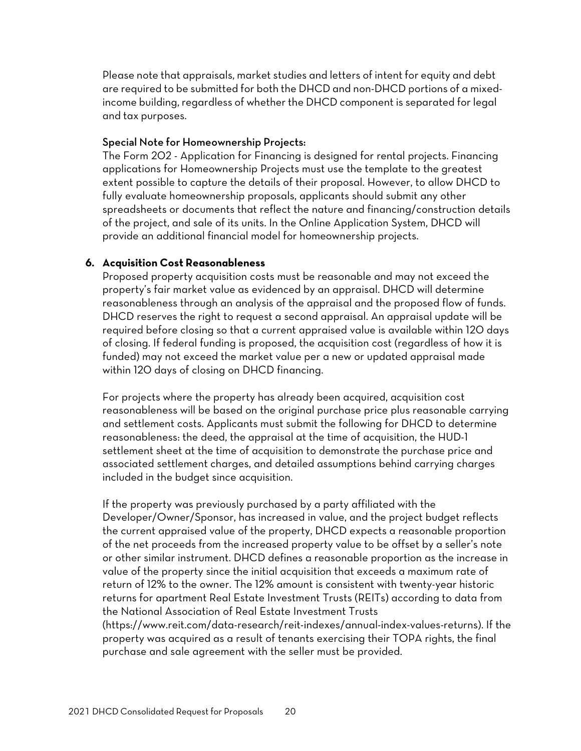Please note that appraisals, market studies and letters of intent for equity and debt are required to be submitted for both the DHCD and non-DHCD portions of a mixedincome building, regardless of whether the DHCD component is separated for legal and tax purposes.

#### Special Note for Homeownership Projects:

The Form 202 - Application for Financing is designed for rental projects. Financing applications for Homeownership Projects must use the template to the greatest extent possible to capture the details of their proposal. However, to allow DHCD to fully evaluate homeownership proposals, applicants should submit any other spreadsheets or documents that reflect the nature and financing/construction details of the project, and sale of its units. In the Online Application System, DHCD will provide an additional financial model for homeownership projects.

#### **6. Acquisition Cost Reasonableness**

Proposed property acquisition costs must be reasonable and may not exceed the property's fair market value as evidenced by an appraisal. DHCD will determine reasonableness through an analysis of the appraisal and the proposed flow of funds. DHCD reserves the right to request a second appraisal. An appraisal update will be required before closing so that a current appraised value is available within 120 days of closing. If federal funding is proposed, the acquisition cost (regardless of how it is funded) may not exceed the market value per a new or updated appraisal made within 120 days of closing on DHCD financing.

For projects where the property has already been acquired, acquisition cost reasonableness will be based on the original purchase price plus reasonable carrying and settlement costs. Applicants must submit the following for DHCD to determine reasonableness: the deed, the appraisal at the time of acquisition, the HUD-1 settlement sheet at the time of acquisition to demonstrate the purchase price and associated settlement charges, and detailed assumptions behind carrying charges included in the budget since acquisition.

If the property was previously purchased by a party affiliated with the Developer/Owner/Sponsor, has increased in value, and the project budget reflects the current appraised value of the property, DHCD expects a reasonable proportion of the net proceeds from the increased property value to be offset by a seller's note or other similar instrument. DHCD defines a reasonable proportion as the increase in value of the property since the initial acquisition that exceeds a maximum rate of return of 12% to the owner. The 12% amount is consistent with twenty-year historic returns for apartment Real Estate Investment Trusts (REITs) according to data from the National Association of Real Estate Investment Trusts (https://www.reit.com/data-research/reit-indexes/annual-index-values-returns). If the property was acquired as a result of tenants exercising their TOPA rights, the final purchase and sale agreement with the seller must be provided.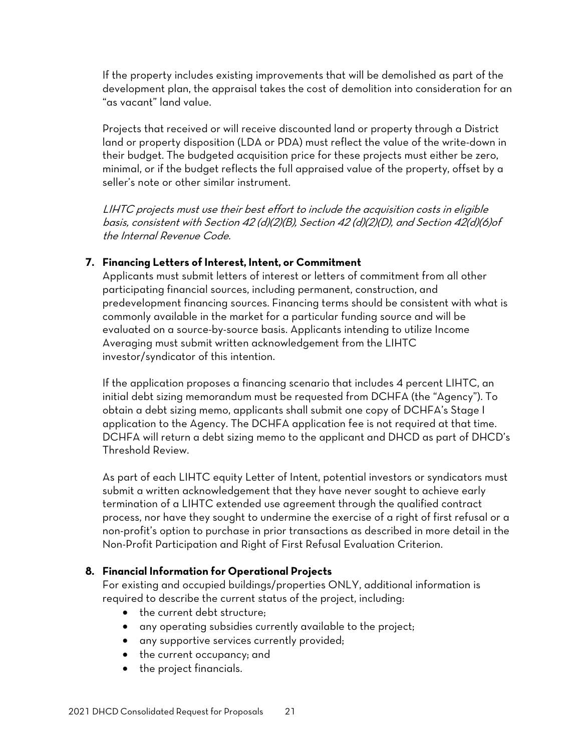If the property includes existing improvements that will be demolished as part of the development plan, the appraisal takes the cost of demolition into consideration for an "as vacant" land value.

Projects that received or will receive discounted land or property through a District land or property disposition (LDA or PDA) must reflect the value of the write-down in their budget. The budgeted acquisition price for these projects must either be zero, minimal, or if the budget reflects the full appraised value of the property, offset by a seller's note or other similar instrument.

LIHTC projects must use their best effort to include the acquisition costs in eligible basis, consistent with Section 42 (d)(2)(B), Section 42 (d)(2)(D), and Section 42(d)(6)of the Internal Revenue Code.

#### **7. Financing Letters of Interest, Intent, or Commitment**

Applicants must submit letters of interest or letters of commitment from all other participating financial sources, including permanent, construction, and predevelopment financing sources. Financing terms should be consistent with what is commonly available in the market for a particular funding source and will be evaluated on a source-by-source basis. Applicants intending to utilize Income Averaging must submit written acknowledgement from the LIHTC investor/syndicator of this intention.

If the application proposes a financing scenario that includes 4 percent LIHTC, an initial debt sizing memorandum must be requested from DCHFA (the "Agency"). To obtain a debt sizing memo, applicants shall submit one copy of DCHFA's Stage I application to the Agency. The DCHFA application fee is not required at that time. DCHFA will return a debt sizing memo to the applicant and DHCD as part of DHCD's Threshold Review.

As part of each LIHTC equity Letter of Intent, potential investors or syndicators must submit a written acknowledgement that they have never sought to achieve early termination of a LIHTC extended use agreement through the qualified contract process, nor have they sought to undermine the exercise of a right of first refusal or a non-profit's option to purchase in prior transactions as described in more detail in the Non-Profit Participation and Right of First Refusal Evaluation Criterion.

#### **8. Financial Information for Operational Projects**

For existing and occupied buildings/properties ONLY, additional information is required to describe the current status of the project, including:

- the current debt structure;
- any operating subsidies currently available to the project;
- any supportive services currently provided;
- the current occupancy; and
- the project financials.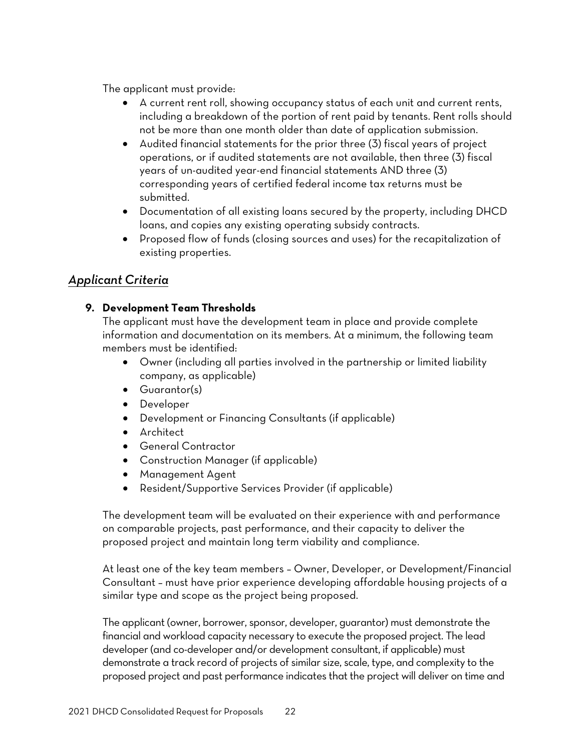The applicant must provide:

- A current rent roll, showing occupancy status of each unit and current rents, including a breakdown of the portion of rent paid by tenants. Rent rolls should not be more than one month older than date of application submission.
- Audited financial statements for the prior three (3) fiscal years of project operations, or if audited statements are not available, then three (3) fiscal years of un-audited year-end financial statements AND three (3) corresponding years of certified federal income tax returns must be submitted.
- Documentation of all existing loans secured by the property, including DHCD loans, and copies any existing operating subsidy contracts.
- Proposed flow of funds (closing sources and uses) for the recapitalization of existing properties.

## <span id="page-23-0"></span>*Applicant Criteria*

### **9. Development Team Thresholds**

The applicant must have the development team in place and provide complete information and documentation on its members. At a minimum, the following team members must be identified:

- Owner (including all parties involved in the partnership or limited liability company, as applicable)
- Guarantor(s)
- Developer
- Development or Financing Consultants (if applicable)
- Architect
- General Contractor
- Construction Manager (if applicable)
- Management Agent
- Resident/Supportive Services Provider (if applicable)

The development team will be evaluated on their experience with and performance on comparable projects, past performance, and their capacity to deliver the proposed project and maintain long term viability and compliance.

At least one of the key team members – Owner, Developer, or Development/Financial Consultant – must have prior experience developing affordable housing projects of a similar type and scope as the project being proposed.

The applicant (owner, borrower, sponsor, developer, guarantor) must demonstrate the financial and workload capacity necessary to execute the proposed project. The lead developer (and co-developer and/or development consultant, if applicable) must demonstrate a track record of projects of similar size, scale, type, and complexity to the proposed project and past performance indicates that the project will deliver on time and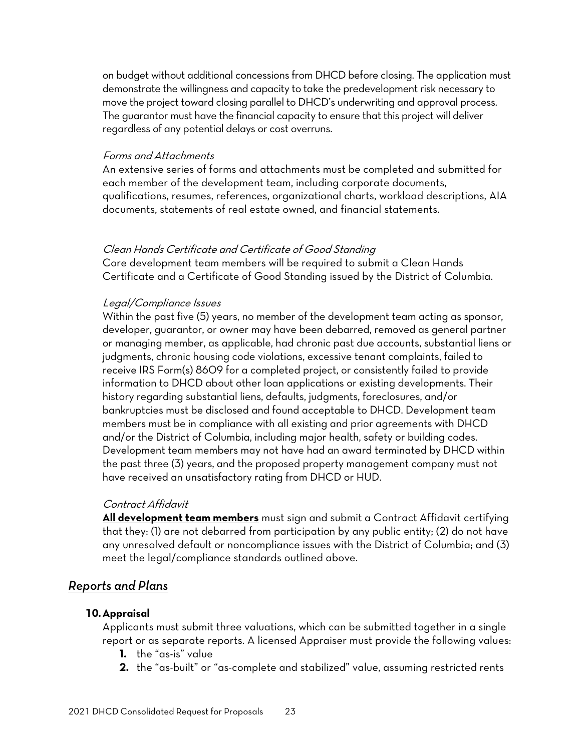on budget without additional concessions from DHCD before closing. The application must demonstrate the willingness and capacity to take the predevelopment risk necessary to move the project toward closing parallel to DHCD's underwriting and approval process. The guarantor must have the financial capacity to ensure that this project will deliver regardless of any potential delays or cost overruns.

#### Forms and Attachments

An extensive series of forms and attachments must be completed and submitted for each member of the development team, including corporate documents, qualifications, resumes, references, organizational charts, workload descriptions, AIA documents, statements of real estate owned, and financial statements.

#### Clean Hands Certificate and Certificate of Good Standing

Core development team members will be required to submit a Clean Hands Certificate and a Certificate of Good Standing issued by the District of Columbia.

#### Legal/Compliance Issues

Within the past five (5) years, no member of the development team acting as sponsor, developer, guarantor, or owner may have been debarred, removed as general partner or managing member, as applicable, had chronic past due accounts, substantial liens or judgments, chronic housing code violations, excessive tenant complaints, failed to receive IRS Form(s) 8609 for a completed project, or consistently failed to provide information to DHCD about other loan applications or existing developments. Their history regarding substantial liens, defaults, judgments, foreclosures, and/or bankruptcies must be disclosed and found acceptable to DHCD. Development team members must be in compliance with all existing and prior agreements with DHCD and/or the District of Columbia, including major health, safety or building codes. Development team members may not have had an award terminated by DHCD within the past three (3) years, and the proposed property management company must not have received an unsatisfactory rating from DHCD or HUD.

#### Contract Affidavit

**All development team members** must sign and submit a Contract Affidavit certifying that they: (1) are not debarred from participation by any public entity; (2) do not have any unresolved default or noncompliance issues with the District of Columbia; and (3) meet the legal/compliance standards outlined above.

#### <span id="page-24-0"></span>*Reports and Plans*

#### **10.Appraisal**

Applicants must submit three valuations, which can be submitted together in a single report or as separate reports. A licensed Appraiser must provide the following values:

- **1.** the "as-is" value
- **2.** the "as-built" or "as-complete and stabilized" value, assuming restricted rents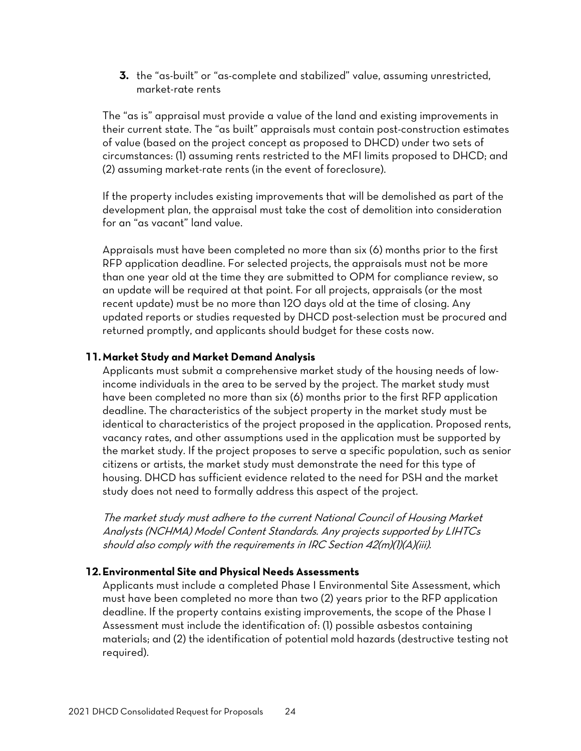**3.** the "as-built" or "as-complete and stabilized" value, assuming unrestricted, market-rate rents

The "as is" appraisal must provide a value of the land and existing improvements in their current state. The "as built" appraisals must contain post-construction estimates of value (based on the project concept as proposed to DHCD) under two sets of circumstances: (1) assuming rents restricted to the MFI limits proposed to DHCD; and (2) assuming market-rate rents (in the event of foreclosure).

If the property includes existing improvements that will be demolished as part of the development plan, the appraisal must take the cost of demolition into consideration for an "as vacant" land value.

Appraisals must have been completed no more than six (6) months prior to the first RFP application deadline. For selected projects, the appraisals must not be more than one year old at the time they are submitted to OPM for compliance review, so an update will be required at that point. For all projects, appraisals (or the most recent update) must be no more than 120 days old at the time of closing. Any updated reports or studies requested by DHCD post-selection must be procured and returned promptly, and applicants should budget for these costs now.

#### **11.Market Study and Market Demand Analysis**

Applicants must submit a comprehensive market study of the housing needs of lowincome individuals in the area to be served by the project. The market study must have been completed no more than six (6) months prior to the first RFP application deadline. The characteristics of the subject property in the market study must be identical to characteristics of the project proposed in the application. Proposed rents, vacancy rates, and other assumptions used in the application must be supported by the market study. If the project proposes to serve a specific population, such as senior citizens or artists, the market study must demonstrate the need for this type of housing. DHCD has sufficient evidence related to the need for PSH and the market study does not need to formally address this aspect of the project.

The market study must adhere to the current National Council of Housing Market Analysts (NCHMA) Model Content Standards. Any projects supported by LIHTCs should also comply with the requirements in IRC Section 42(m)(1)(A)(iii).

#### **12.Environmental Site and Physical Needs Assessments**

Applicants must include a completed Phase I Environmental Site Assessment, which must have been completed no more than two (2) years prior to the RFP application deadline. If the property contains existing improvements, the scope of the Phase I Assessment must include the identification of: (1) possible asbestos containing materials; and (2) the identification of potential mold hazards (destructive testing not required).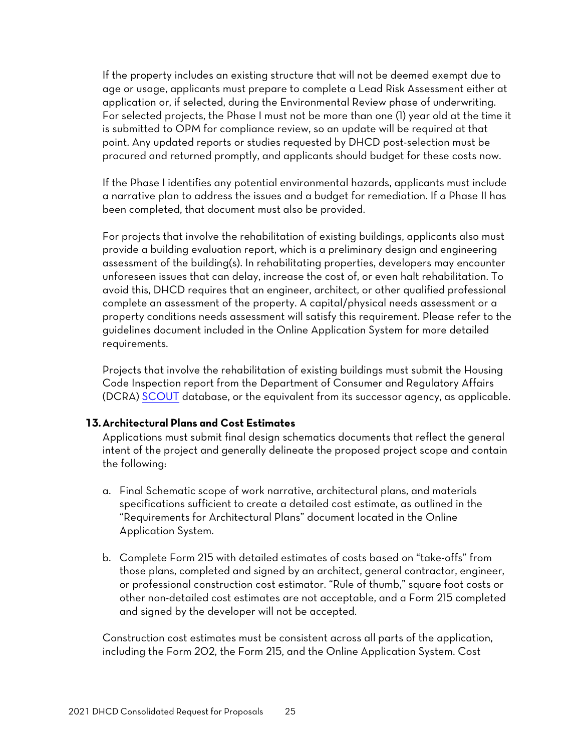If the property includes an existing structure that will not be deemed exempt due to age or usage, applicants must prepare to complete a Lead Risk Assessment either at application or, if selected, during the Environmental Review phase of underwriting. For selected projects, the Phase I must not be more than one (1) year old at the time it is submitted to OPM for compliance review, so an update will be required at that point. Any updated reports or studies requested by DHCD post-selection must be procured and returned promptly, and applicants should budget for these costs now.

If the Phase I identifies any potential environmental hazards, applicants must include a narrative plan to address the issues and a budget for remediation. If a Phase II has been completed, that document must also be provided.

For projects that involve the rehabilitation of existing buildings, applicants also must provide a building evaluation report, which is a preliminary design and engineering assessment of the building(s). In rehabilitating properties, developers may encounter unforeseen issues that can delay, increase the cost of, or even halt rehabilitation. To avoid this, DHCD requires that an engineer, architect, or other qualified professional complete an assessment of the property. A capital/physical needs assessment or a property conditions needs assessment will satisfy this requirement. Please refer to the guidelines document included in the Online Application System for more detailed requirements.

Projects that involve the rehabilitation of existing buildings must submit the Housing Code Inspection report from the Department of Consumer and Regulatory Affairs (DCRA) [SCOUT](https://scout.dcra.dc.gov/login) database, or the equivalent from its successor agency, as applicable.

#### **13.Architectural Plans and Cost Estimates**

Applications must submit final design schematics documents that reflect the general intent of the project and generally delineate the proposed project scope and contain the following:

- a. Final Schematic scope of work narrative, architectural plans, and materials specifications sufficient to create a detailed cost estimate, as outlined in the "Requirements for Architectural Plans" document located in the Online Application System.
- b. Complete Form 215 with detailed estimates of costs based on "take-offs" from those plans, completed and signed by an architect, general contractor, engineer, or professional construction cost estimator. "Rule of thumb," square foot costs or other non-detailed cost estimates are not acceptable, and a Form 215 completed and signed by the developer will not be accepted.

Construction cost estimates must be consistent across all parts of the application, including the Form 202, the Form 215, and the Online Application System. Cost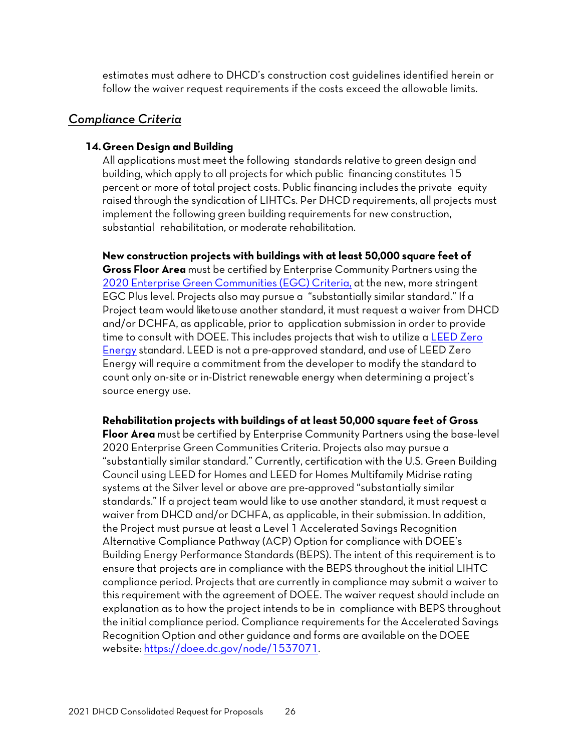estimates must adhere to DHCD's construction cost guidelines identified herein or follow the waiver request requirements if the costs exceed the allowable limits.

#### <span id="page-27-0"></span>*Compliance Criteria*

#### **14.Green Design and Building**

All applications must meet the following standards relative to green design and building, which apply to all projects for which public financing constitutes 15 percent or more of total project costs. Public financing includes the private equity raised through the syndication of LIHTCs. Per DHCD requirements, all projects must implement the following green building requirements for new construction, substantial rehabilitation, or moderate rehabilitation.

**New construction projects with buildings with at least 50,000 square feet of** 

**Gross Floor Area** must be certified by Enterprise Community Partners using the 2020 [Enterprise Green](https://www.greencommunitiesonline.org/introduction) Communities (EGC) Criteria, at the new, more stringent EGC Plus level. Projects also may pursue a "substantially similar standard." If a Project team would like touse another standard, it must request a waiver from DHCD and/or DCHFA, as applicable, prior to application submission in order to provide time to consult with DOEE. This includes projects that wish to utilize a [LEED Zero](https://www.usgbc.org/programs/leed-zero)  [Energy](https://www.usgbc.org/programs/leed-zero) standard. LEED is not a pre-approved standard, and use of LEED Zero Energy will require a commitment from the developer to modify the standard to count only on-site or in-District renewable energy when determining a project's source energy use.

#### **Rehabilitation projects with buildings of at least 50,000 square feet of Gross**

**Floor Area** must be certified by Enterprise Community Partners using the base-level 2020 Enterprise Green Communities Criteria. Projects also may pursue a "substantially similar standard." Currently, certification with the U.S. Green Building Council using LEED for Homes and LEED for Homes Multifamily Midrise rating systems at the Silver level or above are pre-approved "substantially similar standards." If a project team would like to use another standard, it must request a waiver from DHCD and/or DCHFA, as applicable, in their submission. In addition, the Project must pursue at least a Level 1 Accelerated Savings Recognition Alternative Compliance Pathway (ACP) Option for compliance with DOEE's Building Energy Performance Standards (BEPS). The intent of this requirement is to ensure that projects are in compliance with the BEPS throughout the initial LIHTC compliance period. Projects that are currently in compliance may submit a waiver to this requirement with the agreement of DOEE. The waiver request should include an explanation as to how the project intends to be in compliance with BEPS throughout the initial compliance period. Compliance requirements for the Accelerated Savings Recognition Option and other guidance and forms are available on the DOEE website[: https://doee.dc.gov/node/1537071.](https://doee.dc.gov/node/1537071)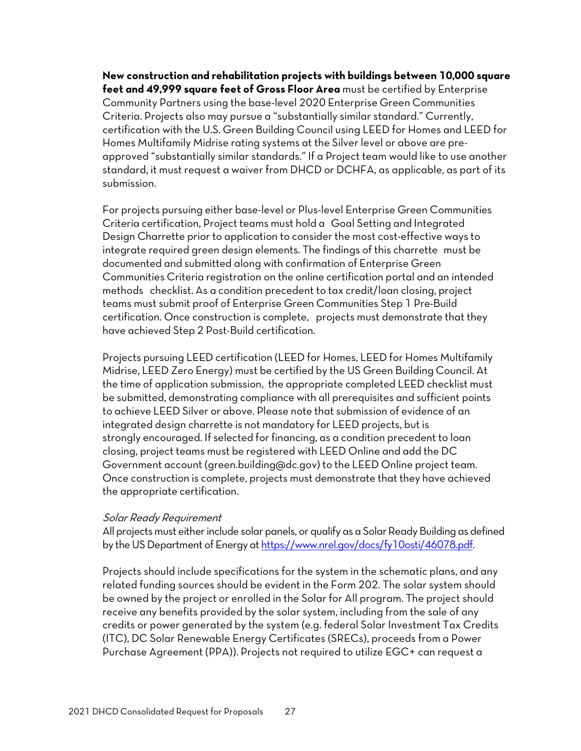**New construction and rehabilitation projects with buildings between 10,000 square feet and 49,999 square feet of Gross Floor Area** must be certified by Enterprise Community Partners using the base-level 2020 Enterprise Green Communities Criteria. Projects also may pursue a "substantially similar standard." Currently, certification with the U.S. Green Building Council using LEED for Homes and LEED for Homes Multifamily Midrise rating systems at the Silver level or above are preapproved "substantially similar standards." If a Project team would like to use another standard, it must request a waiver from DHCD or DCHFA, as applicable, as part of its submission.

For projects pursuing either base-level or Plus-level Enterprise Green Communities Criteria certification, Project teams must hold a Goal Setting and Integrated Design Charrette prior to application to consider the most cost-effective ways to integrate required green design elements. The findings of this charrette must be documented and submitted along with confirmation of Enterprise Green Communities Criteria registration on the online certification portal and an intended methods checklist. As a condition precedent to tax credit/loan closing, project teams must submit proof of Enterprise Green Communities Step 1 Pre-Build certification. Once construction is complete, projects must demonstrate that they have achieved Step 2 Post-Build certification.

Projects pursuing LEED certification (LEED for Homes, LEED for Homes Multifamily Midrise, LEED Zero Energy) must be certified by the US Green Building Council. At the time of application submission, the appropriate completed LEED checklist must be submitted, demonstrating compliance with all prerequisites and sufficient points to achieve LEED Silver or above. Please note that submission of evidence of an integrated design charrette is not mandatory for LEED projects, but is strongly encouraged. If selected for financing, as a condition precedent to loan closing, project teams must be registered with LEED Online and add the DC Government account [\(green.building@dc.gov\)](mailto:green.building@dc.gov) to the LEED Online project team. Once construction is complete, projects must demonstrate that they have achieved the appropriate certification.

#### Solar Ready Requirement

All projects must either include solar panels, or qualify as a Solar Ready Building as defined by the US Department of Energy at [https://www.nrel.gov/docs/fy10osti/46078.pdf.](https://www.nrel.gov/docs/fy10osti/46078.pdf)

Projects should include specifications for the system in the schematic plans, and any related funding sources should be evident in the Form 202. The solar system should be owned by the project or enrolled in the Solar for All program. The project should receive any benefits provided by the solar system, including from the sale of any credits or power generated by the system (e.g. federal Solar Investment Tax Credits (ITC), DC Solar Renewable Energy Certificates (SRECs), proceeds from a Power Purchase Agreement (PPA)). Projects not required to utilize EGC+ can request a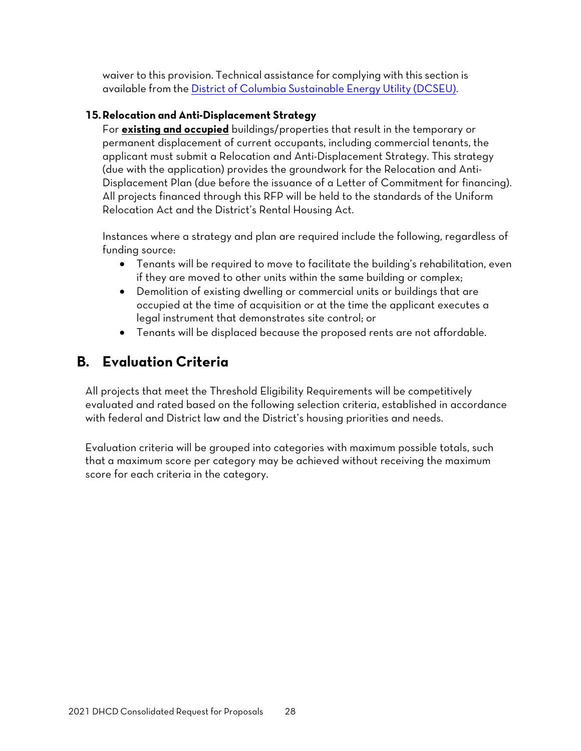waiver to this provision. Technical assistance for complying with this section is available from th[e District of Columbia Sustainable Energy Utility \(DCSEU\).](https://www.dcseu.com/)

### **15.Relocation and Anti-Displacement Strategy**

For **existing and occupied** buildings/properties that result in the temporary or permanent displacement of current occupants, including commercial tenants, the applicant must submit a Relocation and Anti-Displacement Strategy. This strategy (due with the application) provides the groundwork for the Relocation and Anti-Displacement Plan (due before the issuance of a Letter of Commitment for financing). All projects financed through this RFP will be held to the standards of the Uniform Relocation Act and the District's Rental Housing Act.

Instances where a strategy and plan are required include the following, regardless of funding source:

- Tenants will be required to move to facilitate the building's rehabilitation, even if they are moved to other units within the same building or complex;
- Demolition of existing dwelling or commercial units or buildings that are occupied at the time of acquisition or at the time the applicant executes a legal instrument that demonstrates site control; or
- Tenants will be displaced because the proposed rents are not affordable.

# <span id="page-29-0"></span>**B. Evaluation Criteria**

All projects that meet the Threshold Eligibility Requirements will be competitively evaluated and rated based on the following selection criteria, established in accordance with federal and District law and the District's housing priorities and needs.

Evaluation criteria will be grouped into categories with maximum possible totals, such that a maximum score per category may be achieved without receiving the maximum score for each criteria in the category.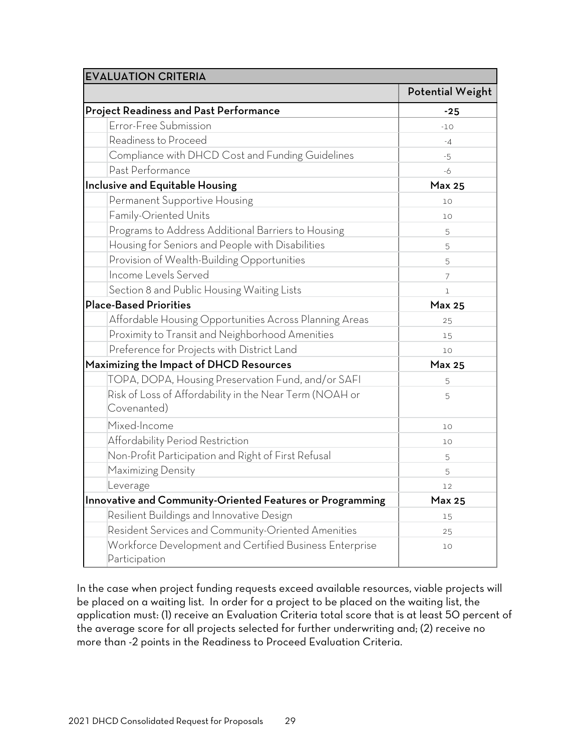| <b>EVALUATION CRITERIA</b>                                               |                         |
|--------------------------------------------------------------------------|-------------------------|
|                                                                          | <b>Potential Weight</b> |
| <b>Project Readiness and Past Performance</b>                            | $-25$                   |
| Error-Free Submission                                                    | $-10$                   |
| Readiness to Proceed                                                     | $-4$                    |
| Compliance with DHCD Cost and Funding Guidelines                         | -5                      |
| Past Performance                                                         | -6                      |
| Inclusive and Equitable Housing                                          | <b>Max 25</b>           |
| Permanent Supportive Housing                                             | 10                      |
| Family-Oriented Units                                                    | 10                      |
| Programs to Address Additional Barriers to Housing                       | 5                       |
| Housing for Seniors and People with Disabilities                         | 5                       |
| Provision of Wealth-Building Opportunities                               | 5                       |
| Income Levels Served                                                     | 7                       |
| Section 8 and Public Housing Waiting Lists                               | $\mathbb{I}$            |
| <b>Place-Based Priorities</b>                                            | <b>Max 25</b>           |
| Affordable Housing Opportunities Across Planning Areas                   | 25                      |
| Proximity to Transit and Neighborhood Amenities                          | 15                      |
| Preference for Projects with District Land                               | 10                      |
| Maximizing the Impact of DHCD Resources                                  | <b>Max 25</b>           |
| TOPA, DOPA, Housing Preservation Fund, and/or SAFI                       | 5                       |
| Risk of Loss of Affordability in the Near Term (NOAH or<br>Covenanted)   | 5                       |
| Mixed-Income                                                             | 10                      |
| Affordability Period Restriction                                         | 10                      |
| Non-Profit Participation and Right of First Refusal                      | 5                       |
| Maximizing Density                                                       | 5                       |
| Leverage                                                                 | 12                      |
| Innovative and Community-Oriented Features or Programming                | <b>Max 25</b>           |
| Resilient Buildings and Innovative Design                                | 15                      |
| Resident Services and Community-Oriented Amenities                       | 25                      |
| Workforce Development and Certified Business Enterprise<br>Participation | 10                      |

In the case when project funding requests exceed available resources, viable projects will be placed on a waiting list. In order for a project to be placed on the waiting list, the application must: (1) receive an Evaluation Criteria total score that is at least 50 percent of the average score for all projects selected for further underwriting and; (2) receive no more than -2 points in the Readiness to Proceed Evaluation Criteria.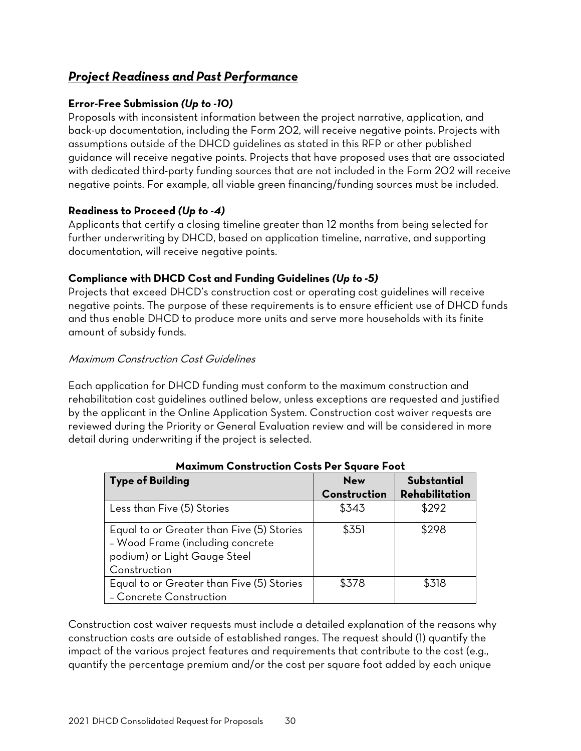## <span id="page-31-0"></span>*Project Readiness and Past Performance*

#### **Error-Free Submission** *(Up to -10)*

Proposals with inconsistent information between the project narrative, application, and back-up documentation, including the Form 202, will receive negative points. Projects with assumptions outside of the DHCD guidelines as stated in this RFP or other published guidance will receive negative points. Projects that have proposed uses that are associated with dedicated third-party funding sources that are not included in the Form 202 will receive negative points. For example, all viable green financing/funding sources must be included.

#### **Readiness to Proceed** *(Up to -4)*

Applicants that certify a closing timeline greater than 12 months from being selected for further underwriting by DHCD, based on application timeline, narrative, and supporting documentation, will receive negative points.

### **Compliance with DHCD Cost and Funding Guidelines** *(Up to -5)*

Projects that exceed DHCD's construction cost or operating cost guidelines will receive negative points. The purpose of these requirements is to ensure efficient use of DHCD funds and thus enable DHCD to produce more units and serve more households with its finite amount of subsidy funds.

#### Maximum Construction Cost Guidelines

Each application for DHCD funding must conform to the maximum construction and rehabilitation cost guidelines outlined below, unless exceptions are requested and justified by the applicant in the Online Application System. Construction cost waiver requests are reviewed during the Priority or General Evaluation review and will be considered in more detail during underwriting if the project is selected.

| <b>Type of Building</b>                                                                                                       | <b>New</b>   | Substantial    |
|-------------------------------------------------------------------------------------------------------------------------------|--------------|----------------|
|                                                                                                                               | Construction | Rehabilitation |
| Less than Five (5) Stories                                                                                                    | \$343        | \$292          |
| Equal to or Greater than Five (5) Stories<br>- Wood Frame (including concrete<br>podium) or Light Gauge Steel<br>Construction | \$351        | \$298          |
| Equal to or Greater than Five (5) Stories<br>- Concrete Construction                                                          | \$378        | \$318          |

#### **Maximum Construction Costs Per Square Foot**

Construction cost waiver requests must include a detailed explanation of the reasons why construction costs are outside of established ranges. The request should (1) quantify the impact of the various project features and requirements that contribute to the cost (e.g., quantify the percentage premium and/or the cost per square foot added by each unique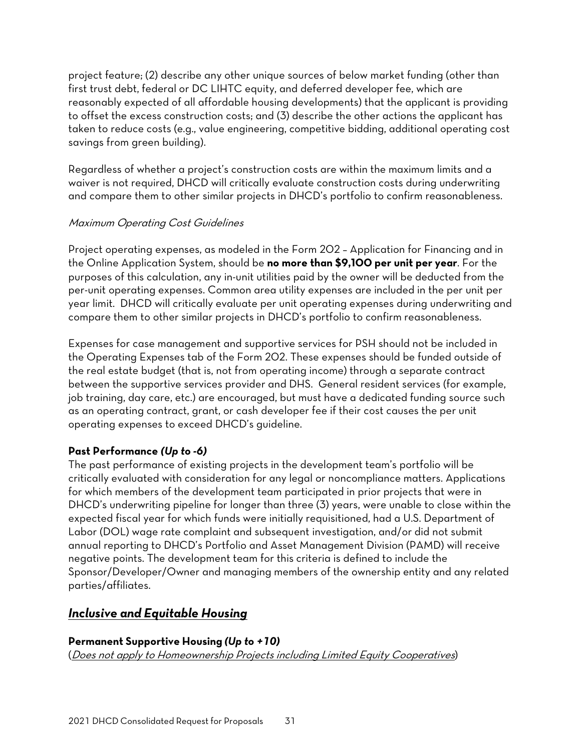project feature; (2) describe any other unique sources of below market funding (other than first trust debt, federal or DC LIHTC equity, and deferred developer fee, which are reasonably expected of all affordable housing developments) that the applicant is providing to offset the excess construction costs; and (3) describe the other actions the applicant has taken to reduce costs (e.g., value engineering, competitive bidding, additional operating cost savings from green building).

Regardless of whether a project's construction costs are within the maximum limits and a waiver is not required, DHCD will critically evaluate construction costs during underwriting and compare them to other similar projects in DHCD's portfolio to confirm reasonableness.

#### Maximum Operating Cost Guidelines

Project operating expenses, as modeled in the Form 202 – Application for Financing and in the Online Application System, should be **no more than \$9,100 per unit per year**. For the purposes of this calculation, any in-unit utilities paid by the owner will be deducted from the per-unit operating expenses. Common area utility expenses are included in the per unit per year limit. DHCD will critically evaluate per unit operating expenses during underwriting and compare them to other similar projects in DHCD's portfolio to confirm reasonableness.

Expenses for case management and supportive services for PSH should not be included in the Operating Expenses tab of the Form 202. These expenses should be funded outside of the real estate budget (that is, not from operating income) through a separate contract between the supportive services provider and DHS. General resident services (for example, job training, day care, etc.) are encouraged, but must have a dedicated funding source such as an operating contract, grant, or cash developer fee if their cost causes the per unit operating expenses to exceed DHCD's guideline.

### **Past Performance** *(Up to -6)*

The past performance of existing projects in the development team's portfolio will be critically evaluated with consideration for any legal or noncompliance matters. Applications for which members of the development team participated in prior projects that were in DHCD's underwriting pipeline for longer than three (3) years, were unable to close within the expected fiscal year for which funds were initially requisitioned, had a U.S. Department of Labor (DOL) wage rate complaint and subsequent investigation, and/or did not submit annual reporting to DHCD's Portfolio and Asset Management Division (PAMD) will receive negative points. The development team for this criteria is defined to include the Sponsor/Developer/Owner and managing members of the ownership entity and any related parties/affiliates.

## <span id="page-32-0"></span>*Inclusive and Equitable Housing*

#### **Permanent Supportive Housing** *(Up to +10)*

(Does not apply to Homeownership Projects including Limited Equity Cooperatives)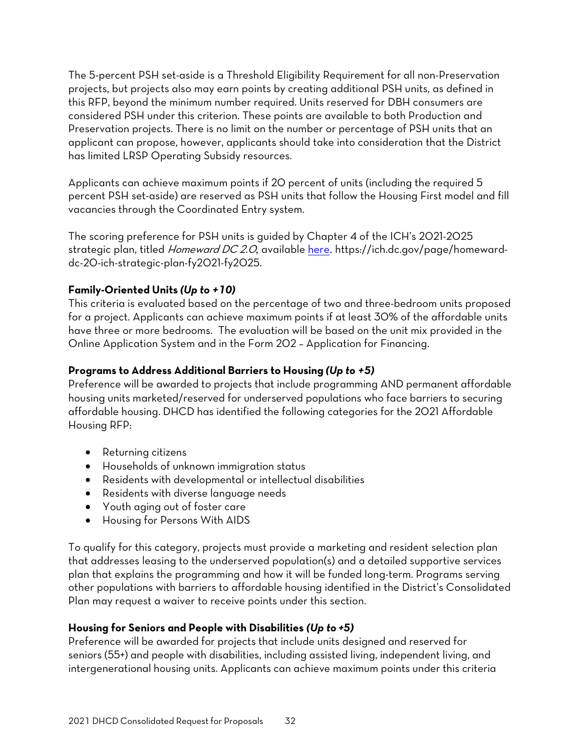The 5-percent PSH set-aside is a Threshold Eligibility Requirement for all non-Preservation projects, but projects also may earn points by creating additional PSH units, as defined in this RFP, beyond the minimum number required. Units reserved for DBH consumers are considered PSH under this criterion. These points are available to both Production and Preservation projects. There is no limit on the number or percentage of PSH units that an applicant can propose, however, applicants should take into consideration that the District has limited LRSP Operating Subsidy resources.

Applicants can achieve maximum points if 20 percent of units (including the required 5 percent PSH set-aside) are reserved as PSH units that follow the Housing First model and fill vacancies through the Coordinated Entry system.

The scoring preference for PSH units is guided by Chapter 4 of the ICH's 2021-2025 strategic plan, titled [Homeward DC](http://ich.dc.gov/sites/default/files/dc/sites/ich/page_content/attachments/ICH-StratPlan2.7-Web.pdf) 2.0, available [here](https://ich.dc.gov/page/homeward-dc-20-ich-strategic-plan-fy2021-fy2025). https://ich.dc.gov/page/homewarddc-20-ich-strategic-plan-fy2021-fy2025.

#### **Family-Oriented Units** *(Up to +10)*

This criteria is evaluated based on the percentage of two and three-bedroom units proposed for a project. Applicants can achieve maximum points if at least 30% of the affordable units have three or more bedrooms. The evaluation will be based on the unit mix provided in the Online Application System and in the Form 202 – Application for Financing.

#### **Programs to Address Additional Barriers to Housing** *(Up to +5)*

Preference will be awarded to projects that include programming AND permanent affordable housing units marketed/reserved for underserved populations who face barriers to securing affordable housing. DHCD has identified the following categories for the 2021 Affordable Housing RFP:

- Returning citizens
- Households of unknown immigration status
- Residents with developmental or intellectual disabilities
- Residents with diverse language needs
- Youth aging out of foster care
- Housing for Persons With AIDS

To qualify for this category, projects must provide a marketing and resident selection plan that addresses leasing to the underserved population(s) and a detailed supportive services plan that explains the programming and how it will be funded long-term. Programs serving other populations with barriers to affordable housing identified in the District's Consolidated Plan may request a waiver to receive points under this section.

#### **Housing for Seniors and People with Disabilities** *(Up to +5)*

Preference will be awarded for projects that include units designed and reserved for seniors (55+) and people with disabilities, including assisted living, independent living, and intergenerational housing units. Applicants can achieve maximum points under this criteria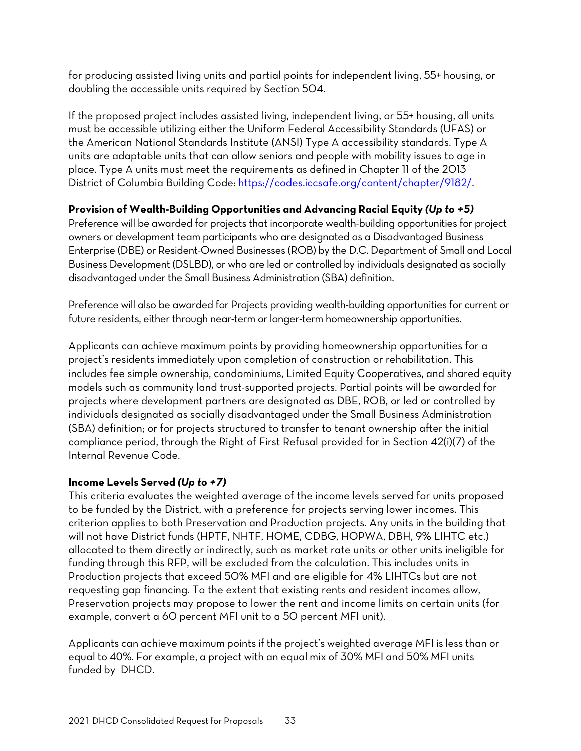for producing assisted living units and partial points for independent living, 55+ housing, or doubling the accessible units required by Section 504.

If the proposed project includes assisted living, independent living, or 55+ housing, all units must be accessible utilizing either the Uniform Federal Accessibility Standards (UFAS) or the American National Standards Institute (ANSI) Type A accessibility standards. Type A units are adaptable units that can allow seniors and people with mobility issues to age in place. Type A units must meet the requirements as defined in Chapter 11 of the 2013 District of Columbia Building Code: [https://codes.iccsafe.org/content/chapter/9182/.](https://codes.iccsafe.org/content/DCBC2013/chapter-11-accessibility)

#### **Provision of Wealth-Building Opportunities and Advancing Racial Equity** *(Up to +5)*

Preference will be awarded for projects that incorporate wealth-building opportunities for project owners or development team participants who are designated as a Disadvantaged Business Enterprise (DBE) or Resident-Owned Businesses (ROB) by the D.C. Department of Small and Local Business Development (DSLBD), or who are led or controlled by individuals designated as socially disadvantaged under the Small Business Administration (SBA) definition.

Preference will also be awarded for Projects providing wealth-building opportunities for current or future residents, either through near-term or longer-term homeownership opportunities.

Applicants can achieve maximum points by providing homeownership opportunities for a project's residents immediately upon completion of construction or rehabilitation. This includes fee simple ownership, condominiums, Limited Equity Cooperatives, and shared equity models such as community land trust-supported projects. Partial points will be awarded for projects where development partners are designated as DBE, ROB, or led or controlled by individuals designated as socially disadvantaged under the Small Business Administration (SBA) definition; or for projects structured to transfer to tenant ownership after the initial compliance period, through the Right of First Refusal provided for in Section 42(i)(7) of the Internal Revenue Code.

### **Income Levels Served** *(Up to +7)*

This criteria evaluates the weighted average of the income levels served for units proposed to be funded by the District, with a preference for projects serving lower incomes. This criterion applies to both Preservation and Production projects. Any units in the building that will not have District funds (HPTF, NHTF, HOME, CDBG, HOPWA, DBH, 9% LIHTC etc.) allocated to them directly or indirectly, such as market rate units or other units ineligible for funding through this RFP, will be excluded from the calculation. This includes units in Production projects that exceed 50% MFI and are eligible for 4% LIHTCs but are not requesting gap financing. To the extent that existing rents and resident incomes allow, Preservation projects may propose to lower the rent and income limits on certain units (for example, convert a 60 percent MFI unit to a 50 percent MFI unit).

Applicants can achieve maximum points if the project's weighted average MFI is less than or equal to 40%. For example, a project with an equal mix of 30% MFI and 50% MFI units funded by DHCD.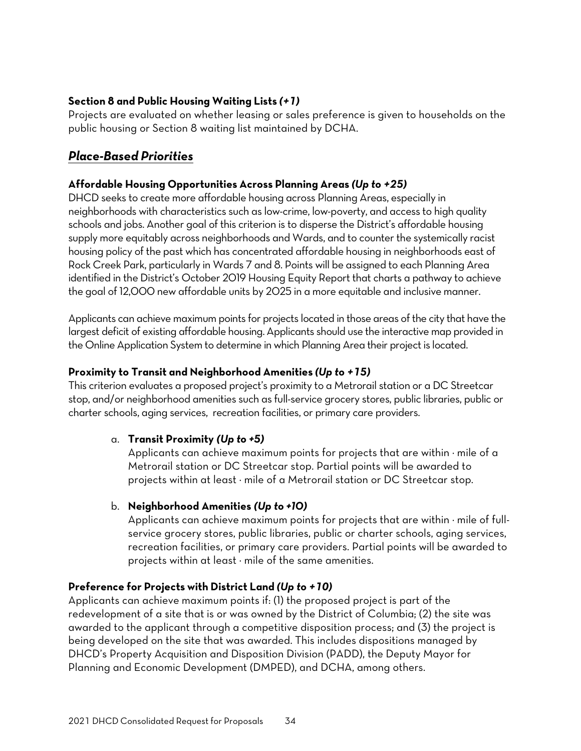#### **Section 8 and Public Housing Waiting Lists** *(+1)*

Projects are evaluated on whether leasing or sales preference is given to households on the public housing or Section 8 waiting list maintained by DCHA.

### <span id="page-35-0"></span>*Place-Based Priorities*

#### **Affordable Housing Opportunities Across Planning Areas** *(Up to +25)*

DHCD seeks to create more affordable housing across Planning Areas, especially in neighborhoods with characteristics such as low-crime, low-poverty, and access to high quality schools and jobs. Another goal of this criterion is to disperse the District's affordable housing supply more equitably across neighborhoods and Wards, and to counter the systemically racist housing policy of the past which has concentrated affordable housing in neighborhoods east of Rock Creek Park, particularly in Wards 7 and 8. Points will be assigned to each Planning Area identified in the District's October 2019 Housing Equity Report that charts a pathway to achieve the goal of 12,000 new affordable units by 2025 in a more equitable and inclusive manner.

Applicants can achieve maximum points for projects located in those areas of the city that have the largest deficit of existing affordable housing. Applicants should use the interactive map provided in the Online Application System to determine in which Planning Area their project is located.

#### **Proximity to Transit and Neighborhood Amenities** *(Up to +15)*

This criterion evaluates a proposed project's proximity to a Metrorail station or a DC Streetcar stop, and/or neighborhood amenities such as full-service grocery stores, public libraries, public or charter schools, aging services, recreation facilities, or primary care providers.

#### a. **Transit Proximity** *(Up to +5)*

Applicants can achieve maximum points for projects that are within  $\cdot$  mile of a Metrorail station or DC Streetcar stop. Partial points will be awarded to projects within at least  $\cdot$  mile of a Metrorail station or DC Streetcar stop.

#### b. **Neighborhood Amenities** *(Up to +10)*

Applicants can achieve maximum points for projects that are within  $\cdot$  mile of fullservice grocery stores, public libraries, public or charter schools, aging services, recreation facilities, or primary care providers. Partial points will be awarded to projects within at least  $\cdot$  mile of the same amenities.

#### **Preference for Projects with District Land** *(Up to +10)*

Applicants can achieve maximum points if: (1) the proposed project is part of the redevelopment of a site that is or was owned by the District of Columbia; (2) the site was awarded to the applicant through a competitive disposition process; and (3) the project is being developed on the site that was awarded. This includes dispositions managed by DHCD's Property Acquisition and Disposition Division (PADD), the Deputy Mayor for Planning and Economic Development (DMPED), and DCHA, among others.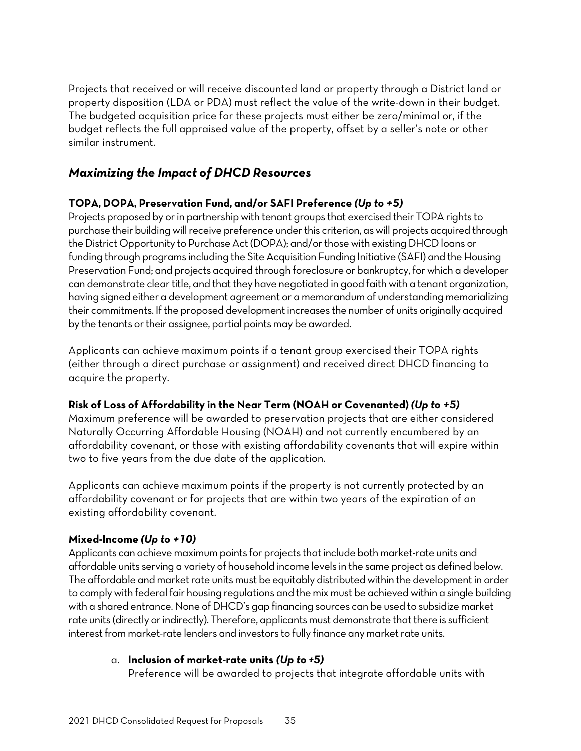Projects that received or will receive discounted land or property through a District land or property disposition (LDA or PDA) must reflect the value of the write-down in their budget. The budgeted acquisition price for these projects must either be zero/minimal or, if the budget reflects the full appraised value of the property, offset by a seller's note or other similar instrument.

### <span id="page-36-0"></span>*Maximizing the Impact of DHCD Resources*

#### **TOPA, DOPA, Preservation Fund, and/or SAFI Preference** *(Up to +5)*

Projects proposed by or in partnership with tenant groups that exercised their TOPA rights to purchase their building will receive preference under this criterion, as will projects acquired through the District Opportunity to Purchase Act (DOPA); and/or those with existing DHCD loans or funding through programs including the Site Acquisition Funding Initiative (SAFI) and the Housing Preservation Fund; and projects acquired through foreclosure or bankruptcy, for which a developer can demonstrate clear title, and that they have negotiated in good faith with a tenant organization, having signed either a development agreement or a memorandum of understanding memorializing their commitments. If the proposed development increases the number of units originally acquired by the tenants or their assignee, partial points may be awarded.

Applicants can achieve maximum points if a tenant group exercised their TOPA rights (either through a direct purchase or assignment) and received direct DHCD financing to acquire the property.

### **Risk of Loss of Affordability in the Near Term (NOAH or Covenanted)** *(Up to +5)*

Maximum preference will be awarded to preservation projects that are either considered Naturally Occurring Affordable Housing (NOAH) and not currently encumbered by an affordability covenant, or those with existing affordability covenants that will expire within two to five years from the due date of the application.

Applicants can achieve maximum points if the property is not currently protected by an affordability covenant or for projects that are within two years of the expiration of an existing affordability covenant.

#### **Mixed-Income** *(Up to +10)*

Applicants can achieve maximum points for projects that include both market-rate units and affordable units serving a variety of household income levels in the same project as defined below. The affordable and market rate units must be equitably distributed within the development in order to comply with federal fair housing regulations and the mix must be achieved within a single building with a shared entrance. None of DHCD's gap financing sources can be used to subsidize market rate units (directly or indirectly). Therefore, applicants must demonstrate that there is sufficient interest from market-rate lenders and investors to fully finance any market rate units.

#### a. **Inclusion of market-rate units** *(Up to +5)*

Preference will be awarded to projects that integrate affordable units with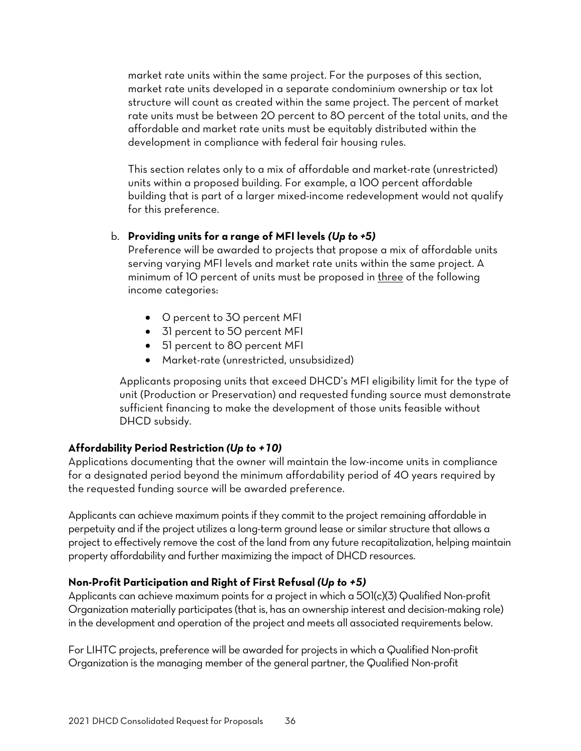market rate units within the same project. For the purposes of this section, market rate units developed in a separate condominium ownership or tax lot structure will count as created within the same project. The percent of market rate units must be between 20 percent to 80 percent of the total units, and the affordable and market rate units must be equitably distributed within the development in compliance with federal fair housing rules.

This section relates only to a mix of affordable and market-rate (unrestricted) units within a proposed building. For example, a 100 percent affordable building that is part of a larger mixed-income redevelopment would not qualify for this preference.

#### b. **Providing units for a range of MFI levels** *(Up to +5)*

Preference will be awarded to projects that propose a mix of affordable units serving varying MFI levels and market rate units within the same project. A minimum of 10 percent of units must be proposed in three of the following income categories:

- 0 percent to 30 percent MFI
- 31 percent to 50 percent MFI
- 51 percent to 80 percent MFI
- Market-rate (unrestricted, unsubsidized)

Applicants proposing units that exceed DHCD's MFI eligibility limit for the type of unit (Production or Preservation) and requested funding source must demonstrate sufficient financing to make the development of those units feasible without DHCD subsidy.

### **Affordability Period Restriction** *(Up to +10)*

Applications documenting that the owner will maintain the low-income units in compliance for a designated period beyond the minimum affordability period of 40 years required by the requested funding source will be awarded preference.

Applicants can achieve maximum points if they commit to the project remaining affordable in perpetuity and if the project utilizes a long-term ground lease or similar structure that allows a project to effectively remove the cost of the land from any future recapitalization, helping maintain property affordability and further maximizing the impact of DHCD resources.

### **Non-Profit Participation and Right of First Refusal** *(Up to +5)*

Applicants can achieve maximum points for a project in which a 501(c)(3) Qualified Non-profit Organization materially participates (that is, has an ownership interest and decision-making role) in the development and operation of the project and meets all associated requirements below.

For LIHTC projects, preference will be awarded for projects in which a Qualified Non-profit Organization is the managing member of the general partner, the Qualified Non-profit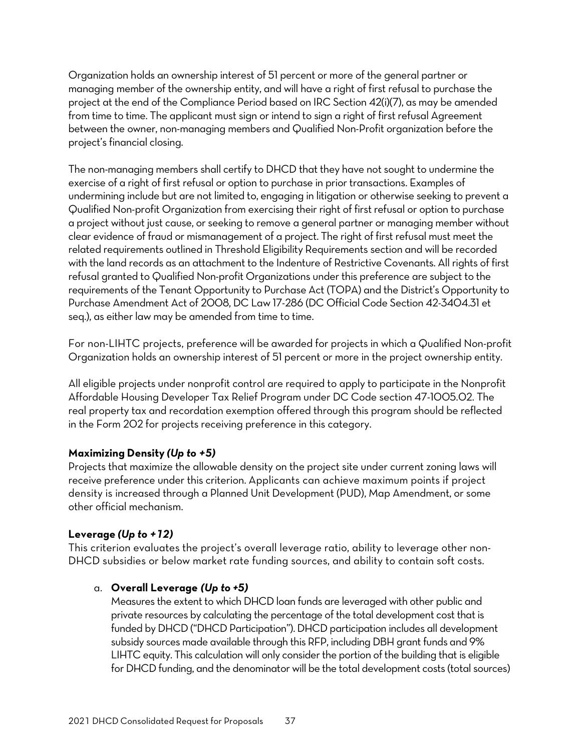Organization holds an ownership interest of 51 percent or more of the general partner or managing member of the ownership entity, and will have a right of first refusal to purchase the project at the end of the Compliance Period based on IRC Section 42(i)(7), as may be amended from time to time. The applicant must sign or intend to sign a right of first refusal Agreement between the owner, non-managing members and Qualified Non-Profit organization before the project's financial closing.

The non-managing members shall certify to DHCD that they have not sought to undermine the exercise of a right of first refusal or option to purchase in prior transactions. Examples of undermining include but are not limited to, engaging in litigation or otherwise seeking to prevent a Qualified Non-profit Organization from exercising their right of first refusal or option to purchase a project without just cause, or seeking to remove a general partner or managing member without clear evidence of fraud or mismanagement of a project. The right of first refusal must meet the related requirements outlined in Threshold Eligibility Requirements section and will be recorded with the land records as an attachment to the Indenture of Restrictive Covenants. All rights of first refusal granted to Qualified Non-profit Organizations under this preference are subject to the requirements of the Tenant Opportunity to Purchase Act (TOPA) and the District's Opportunity to Purchase Amendment Act of 2008, DC Law 17-286 (DC Official Code Section 42-3404.31 et seq.), as either law may be amended from time to time.

For non-LIHTC projects, preference will be awarded for projects in which a Qualified Non-profit Organization holds an ownership interest of 51 percent or more in the project ownership entity.

All eligible projects under nonprofit control are required to apply to participate in the Nonprofit Affordable Housing Developer Tax Relief Program under DC Code section 47-1005.02. The real property tax and recordation exemption offered through this program should be reflected in the Form 202 for projects receiving preference in this category.

#### **Maximizing Density** *(Up to +5)*

Projects that maximize the allowable density on the project site under current zoning laws will receive preference under this criterion. Applicants can achieve maximum points if project density is increased through a Planned Unit Development (PUD), Map Amendment, or some other official mechanism.

#### **Leverage** *(Up to +12)*

This criterion evaluates the project's overall leverage ratio, ability to leverage other non-DHCD subsidies or below market rate funding sources, and ability to contain soft costs.

#### a. **Overall Leverage** *(Up to +5)*

Measures the extent to which DHCD loan funds are leveraged with other public and private resources by calculating the percentage of the total development cost that is funded by DHCD ("DHCD Participation"). DHCD participation includes all development subsidy sources made available through this RFP, including DBH grant funds and 9% LIHTC equity. This calculation will only consider the portion of the building that is eligible for DHCD funding, and the denominator will be the total development costs (total sources)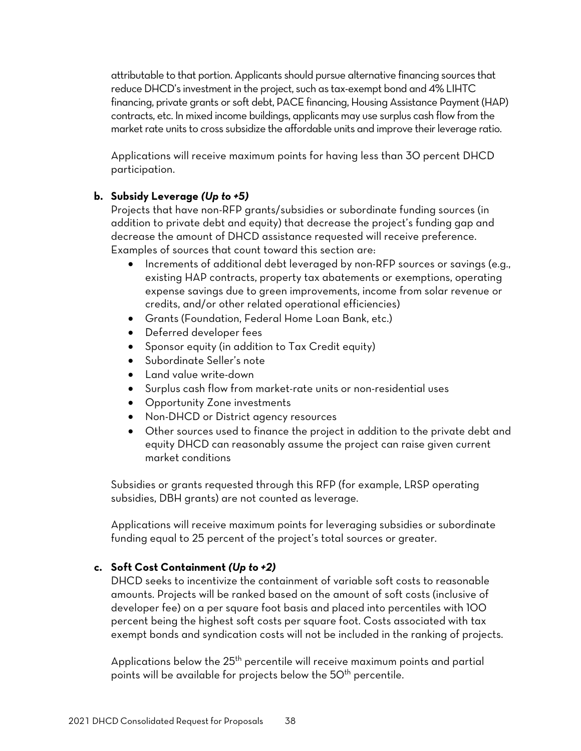attributable to that portion. Applicants should pursue alternative financing sources that reduce DHCD's investment in the project, such as tax-exempt bond and 4% LIHTC financing, private grants or soft debt, PACE financing, Housing Assistance Payment (HAP) contracts, etc. In mixed income buildings, applicants may use surplus cash flow from the market rate units to cross subsidize the affordable units and improve their leverage ratio.

Applications will receive maximum points for having less than 30 percent DHCD participation.

#### **b. Subsidy Leverage** *(Up to +5)*

Projects that have non-RFP grants/subsidies or subordinate funding sources (in addition to private debt and equity) that decrease the project's funding gap and decrease the amount of DHCD assistance requested will receive preference. Examples of sources that count toward this section are:

- Increments of additional debt leveraged by non-RFP sources or savings (e.g., existing HAP contracts, property tax abatements or exemptions, operating expense savings due to green improvements, income from solar revenue or credits, and/or other related operational efficiencies)
- Grants (Foundation, Federal Home Loan Bank, etc.)
- Deferred developer fees
- Sponsor equity (in addition to Tax Credit equity)
- Subordinate Seller's note
- Land value write-down
- Surplus cash flow from market-rate units or non-residential uses
- Opportunity Zone investments
- Non-DHCD or District agency resources
- Other sources used to finance the project in addition to the private debt and equity DHCD can reasonably assume the project can raise given current market conditions

Subsidies or grants requested through this RFP (for example, LRSP operating subsidies, DBH grants) are not counted as leverage.

Applications will receive maximum points for leveraging subsidies or subordinate funding equal to 25 percent of the project's total sources or greater.

#### **c. Soft Cost Containment** *(Up to +2)*

DHCD seeks to incentivize the containment of variable soft costs to reasonable amounts. Projects will be ranked based on the amount of soft costs (inclusive of developer fee) on a per square foot basis and placed into percentiles with 100 percent being the highest soft costs per square foot. Costs associated with tax exempt bonds and syndication costs will not be included in the ranking of projects.

Applications below the  $25<sup>th</sup>$  percentile will receive maximum points and partial points will be available for projects below the 50<sup>th</sup> percentile.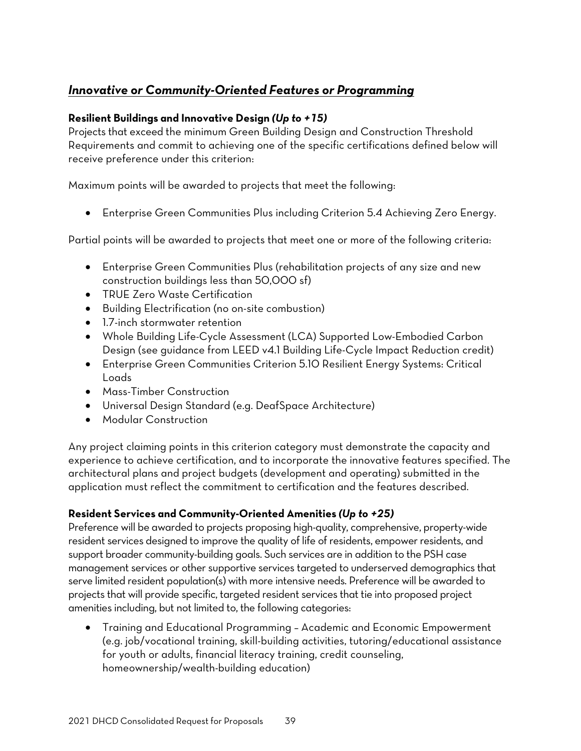# *Innovative or Community-Oriented Features or Programming*

#### **Resilient Buildings and Innovative Design** *(Up to +15)*

Projects that exceed the minimum Green Building Design and Construction Threshold Requirements and commit to achieving one of the specific certifications defined below will receive preference under this criterion:

Maximum points will be awarded to projects that meet the following:

• Enterprise Green Communities Plus including Criterion 5.4 Achieving Zero Energy.

Partial points will be awarded to projects that meet one or more of the following criteria:

- Enterprise Green Communities Plus (rehabilitation projects of any size and new construction buildings less than 50,000 sf)
- TRUE Zero Waste Certification
- Building Electrification (no on-site combustion)
- 1.7-inch stormwater retention
- Whole Building Life-Cycle Assessment (LCA) Supported Low-Embodied Carbon Design (see guidance from LEED v4.1 [Building Life-Cycle Impact Reduction](https://www.usgbc.org/credits/new-construction-core-and-shell-schools-new-construction-retail-new-construction-data-27) credit)
- Enterprise Green Communities Criterion 5.10 Resilient Energy Systems: Critical Loads
- Mass-Timber Construction
- Universal Design Standard (e.g. DeafSpace Architecture)
- Modular Construction

Any project claiming points in this criterion category must demonstrate the capacity and experience to achieve certification, and to incorporate the innovative features specified. The architectural plans and project budgets (development and operating) submitted in the application must reflect the commitment to certification and the features described.

#### **Resident Services and Community-Oriented Amenities** *(Up to +25)*

Preference will be awarded to projects proposing high-quality, comprehensive, property-wide resident services designed to improve the quality of life of residents, empower residents, and support broader community-building goals. Such services are in addition to the PSH case management services or other supportive services targeted to underserved demographics that serve limited resident population(s) with more intensive needs. Preference will be awarded to projects that will provide specific, targeted resident services that tie into proposed project amenities including, but not limited to, the following categories:

• Training and Educational Programming – Academic and Economic Empowerment (e.g. job/vocational training, skill-building activities, tutoring/educational assistance for youth or adults, financial literacy training, credit counseling, homeownership/wealth-building education)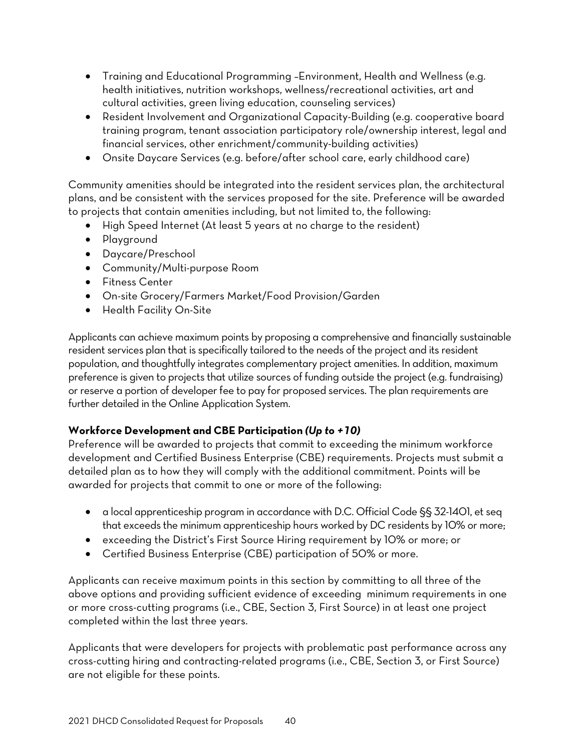- Training and Educational Programming –Environment, Health and Wellness (e.g. health initiatives, nutrition workshops, wellness/recreational activities, art and cultural activities, green living education, counseling services)
- Resident Involvement and Organizational Capacity-Building (e.g. cooperative board training program, tenant association participatory role/ownership interest, legal and financial services, other enrichment/community-building activities)
- Onsite Daycare Services (e.g. before/after school care, early childhood care)

Community amenities should be integrated into the resident services plan, the architectural plans, and be consistent with the services proposed for the site. Preference will be awarded to projects that contain amenities including, but not limited to, the following:

- High Speed Internet (At least 5 years at no charge to the resident)
- Playground
- Daycare/Preschool
- Community/Multi-purpose Room
- Fitness Center
- On-site Grocery/Farmers Market/Food Provision/Garden
- Health Facility On-Site

Applicants can achieve maximum points by proposing a comprehensive and financially sustainable resident services plan that is specifically tailored to the needs of the project and its resident population, and thoughtfully integrates complementary project amenities. In addition, maximum preference is given to projects that utilize sources of funding outside the project (e.g. fundraising) or reserve a portion of developer fee to pay for proposed services. The plan requirements are further detailed in the Online Application System.

#### **Workforce Development and CBE Participation** *(Up to +10)*

Preference will be awarded to projects that commit to exceeding the minimum workforce development and Certified Business Enterprise (CBE) requirements. Projects must submit a detailed plan as to how they will comply with the additional commitment. Points will be awarded for projects that commit to one or more of the following:

- a local apprenticeship program in accordance with D.C. Official Code §§ 32-1401, et seq that exceeds the minimum apprenticeship hours worked by DC residents by 10% or more;
- exceeding the District's First Source Hiring requirement by 10% or more; or
- Certified Business Enterprise (CBE) participation of 50% or more.

Applicants can receive maximum points in this section by committing to all three of the above options and providing sufficient evidence of exceeding minimum requirements in one or more cross-cutting programs (i.e., CBE, Section 3, First Source) in at least one project completed within the last three years.

Applicants that were developers for projects with problematic past performance across any cross-cutting hiring and contracting-related programs (i.e., CBE, Section 3, or First Source) are not eligible for these points.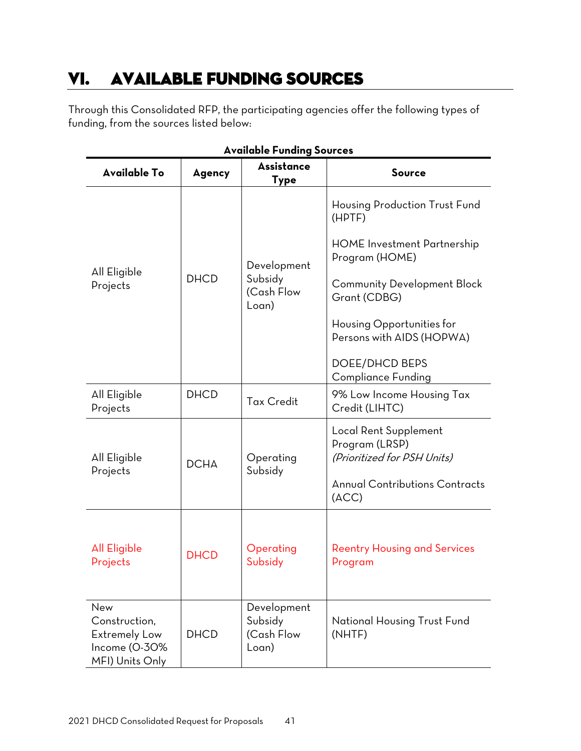# <span id="page-42-0"></span>VI. AVAILABLE FUNDING SOURCES

Through this Consolidated RFP, the participating agencies offer the following types of funding, from the sources listed below:

| Available Funding Sources                                                 |             |                                |                                                                        |  |  |
|---------------------------------------------------------------------------|-------------|--------------------------------|------------------------------------------------------------------------|--|--|
| <b>Available To</b>                                                       | Agency      | <b>Assistance</b><br>Type      | <b>Source</b>                                                          |  |  |
|                                                                           | <b>DHCD</b> |                                | Housing Production Trust Fund<br>(HPTF)                                |  |  |
|                                                                           |             | Development                    | <b>HOME</b> Investment Partnership<br>Program (HOME)                   |  |  |
| All Eligible<br>Projects                                                  |             | Subsidy<br>(Cash Flow<br>Loan) | <b>Community Development Block</b><br>Grant (CDBG)                     |  |  |
|                                                                           |             |                                | Housing Opportunities for<br>Persons with AIDS (HOPWA)                 |  |  |
|                                                                           |             |                                | <b>DOEE/DHCD BEPS</b><br><b>Compliance Funding</b>                     |  |  |
| All Eligible<br>Projects                                                  | <b>DHCD</b> | <b>Tax Credit</b>              | 9% Low Income Housing Tax<br>Credit (LIHTC)                            |  |  |
| All Eligible<br>Projects                                                  | <b>DCHA</b> | Operating<br>Subsidy           | Local Rent Supplement<br>Program (LRSP)<br>(Prioritized for PSH Units) |  |  |
|                                                                           |             |                                | <b>Annual Contributions Contracts</b><br>(ACC)                         |  |  |
| <b>All Eligible</b><br>Projects                                           | <b>DHCD</b> | Operating<br>Subsidy           | <b>Reentry Housing and Services</b><br>Program                         |  |  |
| New                                                                       |             | Development                    |                                                                        |  |  |
| Construction,<br><b>Extremely Low</b><br>Income (O-30%<br>MFI) Units Only | <b>DHCD</b> | Subsidy<br>(Cash Flow<br>Loan) | <b>National Housing Trust Fund</b><br>(NHTF)                           |  |  |

### **Available Funding Sources**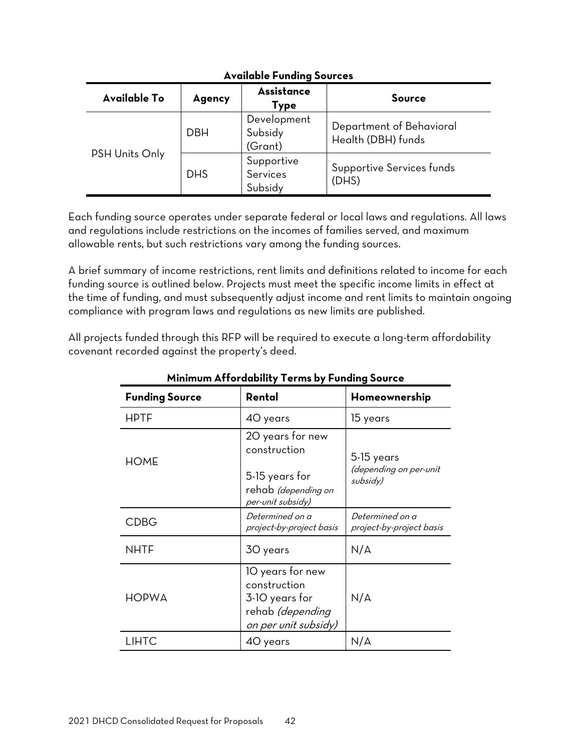| <b>A</b> , where I chaing cool cas |            |                                   |                                                |  |
|------------------------------------|------------|-----------------------------------|------------------------------------------------|--|
| Available To                       | Agency     | Assistance<br>Type                | Source                                         |  |
|                                    | <b>DBH</b> | Development<br>Subsidy<br>(Grant) | Department of Behavioral<br>Health (DBH) funds |  |
| <b>PSH Units Only</b>              | <b>DHS</b> | Supportive<br>Services<br>Subsidy | Supportive Services funds<br>(DHS)             |  |

#### **Available Funding Sources**

Each funding source operates under separate federal or local laws and regulations. All laws and regulations include restrictions on the incomes of families served, and maximum allowable rents, but such restrictions vary among the funding sources.

A brief summary of income restrictions, rent limits and definitions related to income for each funding source is outlined below. Projects must meet the specific income limits in effect at the time of funding, and must subsequently adjust income and rent limits to maintain ongoing compliance with program laws and regulations as new limits are published.

All projects funded through this RFP will be required to execute a long-term affordability covenant recorded against the property's deed.

| <u>Minimum Affordability Terms by Funding Source</u> |                                                                                                                                                    |                                             |  |  |
|------------------------------------------------------|----------------------------------------------------------------------------------------------------------------------------------------------------|---------------------------------------------|--|--|
| <b>Funding Source</b>                                | Rental                                                                                                                                             | Homeownership                               |  |  |
| <b>HPTF</b>                                          | 40 years                                                                                                                                           | 15 years                                    |  |  |
| <b>HOME</b>                                          | 20 years for new<br>construction<br>5-15 years<br>(depending on per-unit<br>5-15 years for<br>subsidy)<br>rehab (depending on<br>per-unit subsidy) |                                             |  |  |
| <b>CDBG</b>                                          | Determined on a<br>project-by-project basis                                                                                                        | Determined on a<br>project-by-project basis |  |  |
| <b>NHTF</b>                                          | 30 years                                                                                                                                           | N/A                                         |  |  |
| <b>HOPWA</b>                                         | 10 years for new<br>construction<br>3-10 years for<br>rehab <i>(depending</i><br>on per unit subsidy)                                              | N/A                                         |  |  |
| LIHTC                                                | 40 years                                                                                                                                           | N/A                                         |  |  |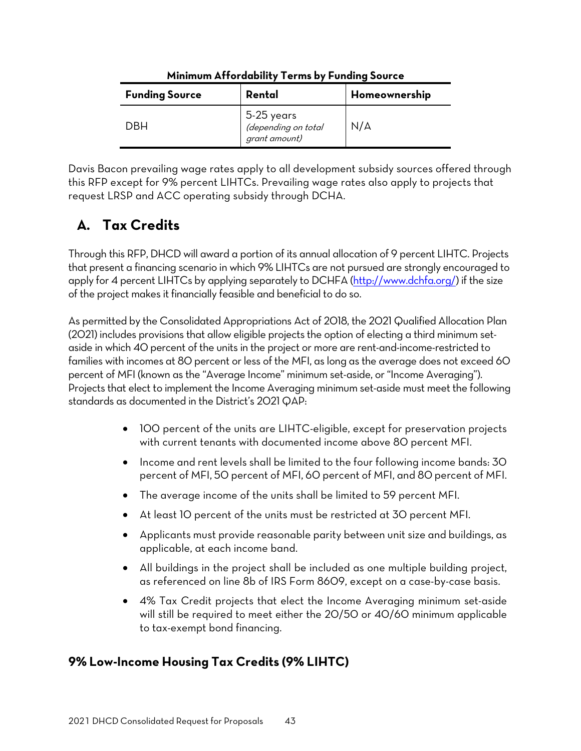| <b>Funding Source</b> | Rental                                             | Homeownership |
|-----------------------|----------------------------------------------------|---------------|
| DRH                   | 5-25 years<br>(depending on total<br>grant amount) | N/A           |

#### **Minimum Affordability Terms by Funding Source**

Davis Bacon prevailing wage rates apply to all development subsidy sources offered through this RFP except for 9% percent LIHTCs. Prevailing wage rates also apply to projects that request LRSP and ACC operating subsidy through DCHA.

# <span id="page-44-0"></span>**A. Tax Credits**

Through this RFP, DHCD will award a portion of its annual allocation of 9 percent LIHTC. Projects that present a financing scenario in which 9% LIHTCs are not pursued are strongly encouraged to apply for 4 percent LIHTCs by applying separately to DCHFA [\(http://www.dchfa.org/\)](http://www.dchfa.org/) if the size of the project makes it financially feasible and beneficial to do so.

As permitted by the Consolidated Appropriations Act of 2018, the 2021 Qualified Allocation Plan (2021) includes provisions that allow eligible projects the option of electing a third minimum setaside in which 40 percent of the units in the project or more are rent-and-income-restricted to families with incomes at 80 percent or less of the MFI, as long as the average does not exceed 60 percent of MFI (known as the "Average Income" minimum set-aside, or "Income Averaging"). Projects that elect to implement the Income Averaging minimum set-aside must meet the following standards as documented in the District's 2021 QAP:

- 100 percent of the units are LIHTC-eligible, except for preservation projects with current tenants with documented income above 80 percent MFI.
- Income and rent levels shall be limited to the four following income bands: 30 percent of MFI, 50 percent of MFI, 60 percent of MFI, and 80 percent of MFI.
- The average income of the units shall be limited to 59 percent MFI.
- At least 10 percent of the units must be restricted at 30 percent MFI.
- Applicants must provide reasonable parity between unit size and buildings, as applicable, at each income band.
- All buildings in the project shall be included as one multiple building project, as referenced on line 8b of IRS Form 8609, except on a case-by-case basis.
- 4% Tax Credit projects that elect the Income Averaging minimum set-aside will still be required to meet either the 20/50 or 40/60 minimum applicable to tax-exempt bond financing.

# <span id="page-44-1"></span>**9% Low-Income Housing Tax Credits (9% LIHTC)**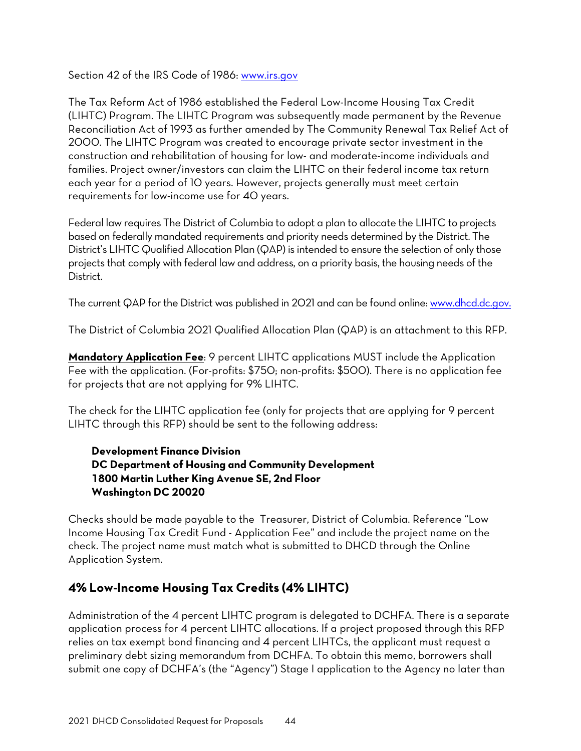Section 42 of the IRS Code of 1986: [www.irs.gov](http://www.irs.gov/)

The Tax Reform Act of 1986 established the Federal Low-Income Housing Tax Credit (LIHTC) Program. The LIHTC Program was subsequently made permanent by the Revenue Reconciliation Act of 1993 as further amended by The Community Renewal Tax Relief Act of 2000. The LIHTC Program was created to encourage private sector investment in the construction and rehabilitation of housing for low- and moderate-income individuals and families. Project owner/investors can claim the LIHTC on their federal income tax return each year for a period of 10 years. However, projects generally must meet certain requirements for low-income use for 40 years.

Federal law requires The District of Columbia to adopt a plan to allocate the LIHTC to projects based on federally mandated requirements and priority needs determined by the District. The District's LIHTC Qualified Allocation Plan (QAP) is intended to ensure the selection of only those projects that comply with federal law and address, on a priority basis, the housing needs of the District.

The current QAP for the District was published in 2021 and can be found online: www.dhcd.dc.gov.

The District of Columbia 2021 Qualified Allocation Plan (QAP) is an attachment to this RFP.

**Mandatory Application Fee**: 9 percent LIHTC applications MUST include the Application Fee with the application. (For-profits: \$750; non-profits: \$500). There is no application fee for projects that are not applying for 9% LIHTC.

The check for the LIHTC application fee (only for projects that are applying for 9 percent LIHTC through this RFP) should be sent to the following address:

#### **Development Finance Division DC Department of Housing and Community Development 1800 Martin Luther King Avenue SE, 2nd Floor Washington DC 20020**

Checks should be made payable to the Treasurer, District of Columbia. Reference "Low Income Housing Tax Credit Fund - Application Fee" and include the project name on the check. The project name must match what is submitted to DHCD through the Online Application System.

### <span id="page-45-0"></span>**4% Low-Income Housing Tax Credits (4% LIHTC)**

Administration of the 4 percent LIHTC program is delegated to DCHFA. There is a separate application process for 4 percent LIHTC allocations. If a project proposed through this RFP relies on tax exempt bond financing and 4 percent LIHTCs, the applicant must request a preliminary debt sizing memorandum from DCHFA. To obtain this memo, borrowers shall submit one copy of DCHFA's (the "Agency") Stage I application to the Agency no later than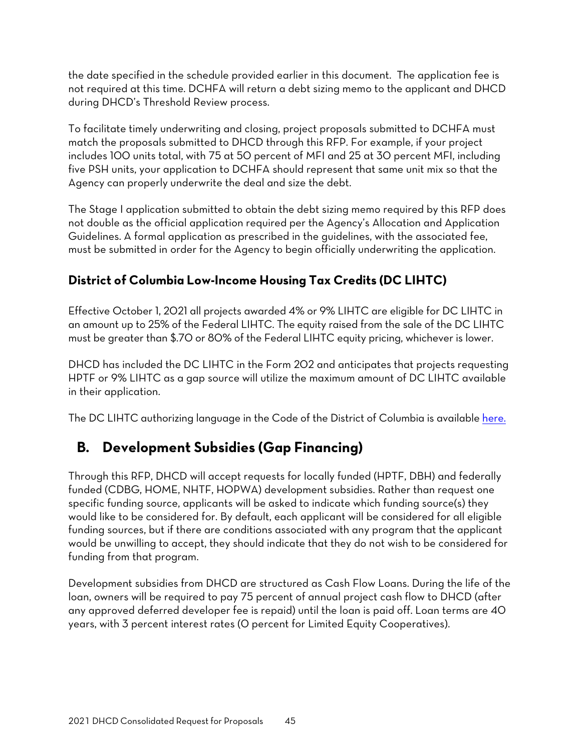the date specified in the schedule provided earlier in this document. The application fee is not required at this time. DCHFA will return a debt sizing memo to the applicant and DHCD during DHCD's Threshold Review process.

To facilitate timely underwriting and closing, project proposals submitted to DCHFA must match the proposals submitted to DHCD through this RFP. For example, if your project includes 100 units total, with 75 at 50 percent of MFI and 25 at 30 percent MFI, including five PSH units, your application to DCHFA should represent that same unit mix so that the Agency can properly underwrite the deal and size the debt.

The Stage I application submitted to obtain the debt sizing memo required by this RFP does not double as the official application required per the Agency's Allocation and Application Guidelines. A formal application as prescribed in the guidelines, with the associated fee, must be submitted in order for the Agency to begin officially underwriting the application.

# **District of Columbia Low-Income Housing Tax Credits (DC LIHTC)**

Effective October 1, 2021 all projects awarded 4% or 9% LIHTC are eligible for DC LIHTC in an amount up to 25% of the Federal LIHTC. The equity raised from the sale of the DC LIHTC must be greater than \$.70 or 80% of the Federal LIHTC equity pricing, whichever is lower.

DHCD has included the DC LIHTC in the Form 202 and anticipates that projects requesting HPTF or 9% LIHTC as a gap source will utilize the maximum amount of DC LIHTC available in their application.

The DC LIHTC authorizing language in the Code of the District of Columbia is available [here.](https://code.dccouncil.us/dc/council/code/titles/47/chapters/48/)

# <span id="page-46-0"></span>**B. Development Subsidies (Gap Financing)**

Through this RFP, DHCD will accept requests for locally funded (HPTF, DBH) and federally funded (CDBG, HOME, NHTF, HOPWA) development subsidies. Rather than request one specific funding source, applicants will be asked to indicate which funding source(s) they would like to be considered for. By default, each applicant will be considered for all eligible funding sources, but if there are conditions associated with any program that the applicant would be unwilling to accept, they should indicate that they do not wish to be considered for funding from that program.

Development subsidies from DHCD are structured as Cash Flow Loans. During the life of the loan, owners will be required to pay 75 percent of annual project cash flow to DHCD (after any approved deferred developer fee is repaid) until the loan is paid off. Loan terms are 40 years, with 3 percent interest rates (0 percent for Limited Equity Cooperatives).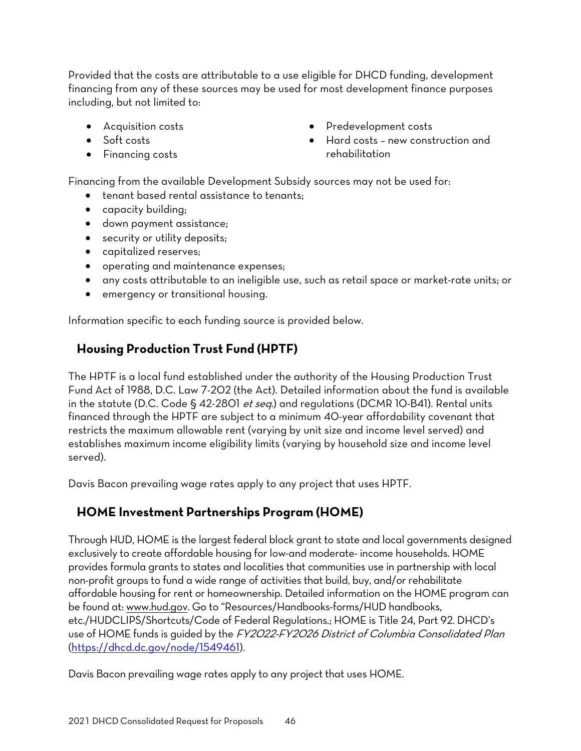Provided that the costs are attributable to a use eligible for DHCD funding, development financing from any of these sources may be used for most development finance purposes including, but not limited to:

- Acquisition costs
- Soft costs
- Financing costs
- Predevelopment costs
- Hard costs new construction and rehabilitation

Financing from the available Development Subsidy sources may not be used for:

- tenant based rental assistance to tenants;
- capacity building;
- down payment assistance;
- security or utility deposits;
- capitalized reserves;
- operating and maintenance expenses;
- any costs attributable to an ineligible use, such as retail space or market-rate units; or
- emergency or transitional housing.

Information specific to each funding source is provided below.

## <span id="page-47-0"></span>**Housing Production Trust Fund (HPTF)**

The HPTF is a local fund established under the authority of the Housing Production Trust Fund Act of 1988, D.C. Law 7-202 (the Act). Detailed information about the fund is available in the statute (D.C. Code § 42-2801 *et seq.*) and regulations (DCMR 10-B41). Rental units financed through the HPTF are subject to a minimum 40-year affordability covenant that restricts the maximum allowable rent (varying by unit size and income level served) and establishes maximum income eligibility limits (varying by household size and income level served).

Davis Bacon prevailing wage rates apply to any project that uses HPTF.

# <span id="page-47-1"></span>**HOME Investment Partnerships Program (HOME)**

Through HUD, HOME is the largest federal block grant to state and local governments designed exclusively to create affordable housing for low-and moderate- income households. HOME provides formula grants to states and localities that communities use in partnership with local non-profit groups to fund a wide range of activities that build, buy, and/or rehabilitate affordable housing for rent or homeownership. Detailed information on the HOME program can be found at: [www.hud.gov.](http://www.hud.gov/) Go to "Resources/Handbooks-forms/HUD handbooks, etc./HUDCLIPS/Shortcuts/Code of Federal Regulations.; HOME is Title 24, Part 92. DHCD's use of HOME funds is guided by the FY2022-FY2026 District of Columbia Consolidated Plan [\(https://dhcd.dc.gov/node/1549461\)](https://dhcd.dc.gov/node/1549461).

Davis Bacon prevailing wage rates apply to any project that uses HOME.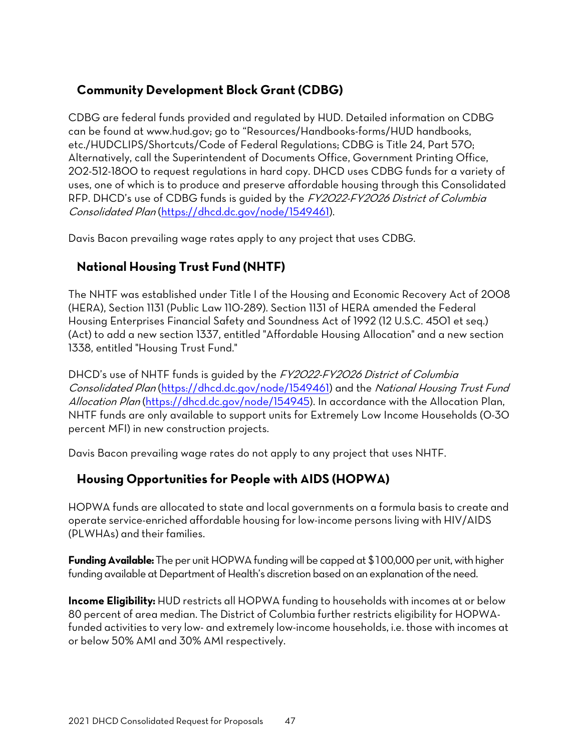# <span id="page-48-0"></span>**Community Development Block Grant (CDBG)**

CDBG are federal funds provided and regulated by HUD. Detailed information on CDBG can be found at [www.hud.gov;](http://www.hud.gov/) go to "Resources/Handbooks-forms/HUD handbooks, etc./HUDCLIPS/Shortcuts/Code of Federal Regulations; CDBG is Title 24, Part 570; Alternatively, call the Superintendent of Documents Office, Government Printing Office, 202-512-1800 to request regulations in hard copy. DHCD uses CDBG funds for a variety of uses, one of which is to produce and preserve affordable housing through this Consolidated RFP. DHCD's use of CDBG funds is guided by the FY2022-FY2026 District of Columbia Consolidated Plan [\(https://dhcd.dc.gov/node/1549461\)](https://dhcd.dc.gov/node/1549461).

Davis Bacon prevailing wage rates apply to any project that uses CDBG.

## <span id="page-48-1"></span>**National Housing Trust Fund (NHTF)**

The NHTF was established under Title I of the Housing and Economic Recovery Act of 2008 (HERA), Section 1131 (Public Law 110-289). Section 1131 of HERA amended the Federal Housing Enterprises Financial Safety and Soundness Act of 1992 (12 U.S.C. 4501 et seq.) (Act) to add a new section 1337, entitled "Affordable Housing Allocation" and a new section 1338, entitled "Housing Trust Fund."

DHCD's use of NHTF funds is guided by the FY2022-FY2026 District of Columbia Consolidated Plan [\(https://dhcd.dc.gov/node/1549461\)](https://dhcd.dc.gov/node/1549461) and the National Housing Trust Fund Allocation Plan [\(https://dhcd.dc.gov/node/154945\)](https://dhcd.dc.gov/node/154945). In accordance with the Allocation Plan, NHTF funds are only available to support units for Extremely Low Income Households (0-30 percent MFI) in new construction projects.

Davis Bacon prevailing wage rates do not apply to any project that uses NHTF.

# <span id="page-48-2"></span>**Housing Opportunities for People with AIDS (HOPWA)**

HOPWA funds are allocated to state and local governments on a formula basis to create and operate service-enriched affordable housing for low-income persons living with HIV/AIDS (PLWHAs) and their families.

**Funding Available:** The per unit HOPWA funding will be capped at \$100,000 per unit, with higher funding available at Department of Health's discretion based on an explanation of the need.

**Income Eligibility:** HUD restricts all HOPWA funding to households with incomes at or below 80 percent of area median. The District of Columbia further restricts eligibility for HOPWAfunded activities to very low- and extremely low-income households, i.e. those with incomes at or below 50% AMI and 30% AMI respectively.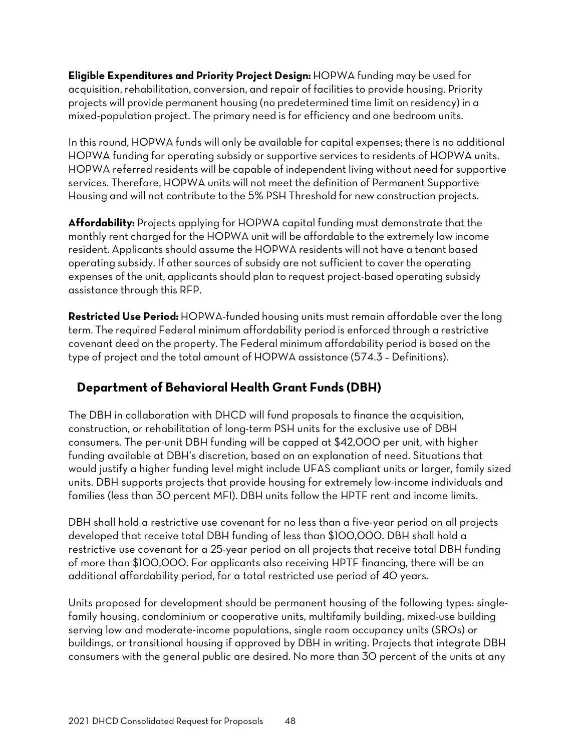**Eligible Expenditures and Priority Project Design:** HOPWA funding may be used for acquisition, rehabilitation, conversion, and repair of facilities to provide housing. Priority projects will provide permanent housing (no predetermined time limit on residency) in a mixed-population project. The primary need is for efficiency and one bedroom units.

In this round, HOPWA funds will only be available for capital expenses; there is no additional HOPWA funding for operating subsidy or supportive services to residents of HOPWA units. HOPWA referred residents will be capable of independent living without need for supportive services. Therefore, HOPWA units will not meet the definition of Permanent Supportive Housing and will not contribute to the 5% PSH Threshold for new construction projects.

**Affordability:** Projects applying for HOPWA capital funding must demonstrate that the monthly rent charged for the HOPWA unit will be affordable to the extremely low income resident. Applicants should assume the HOPWA residents will not have a tenant based operating subsidy. If other sources of subsidy are not sufficient to cover the operating expenses of the unit, applicants should plan to request project-based operating subsidy assistance through this RFP.

**Restricted Use Period:** HOPWA-funded housing units must remain affordable over the long term. The required Federal minimum affordability period is enforced through a restrictive covenant deed on the property. The Federal minimum affordability period is based on the type of project and the total amount of HOPWA assistance (574.3 – Definitions).

# <span id="page-49-0"></span>**Department of Behavioral Health Grant Funds (DBH)**

The DBH in collaboration with DHCD will fund proposals to finance the acquisition, construction, or rehabilitation of long-term PSH units for the exclusive use of DBH consumers. The per-unit DBH funding will be capped at \$42,000 per unit, with higher funding available at DBH's discretion, based on an explanation of need. Situations that would justify a higher funding level might include UFAS compliant units or larger, family sized units. DBH supports projects that provide housing for extremely low-income individuals and families (less than 30 percent MFI). DBH units follow the HPTF rent and income limits.

DBH shall hold a restrictive use covenant for no less than a five-year period on all projects developed that receive total DBH funding of less than \$100,000. DBH shall hold a restrictive use covenant for a 25-year period on all projects that receive total DBH funding of more than \$100,000. For applicants also receiving HPTF financing, there will be an additional affordability period, for a total restricted use period of 40 years.

Units proposed for development should be permanent housing of the following types: singlefamily housing, condominium or cooperative units, multifamily building, mixed-use building serving low and moderate-income populations, single room occupancy units (SROs) or buildings, or transitional housing if approved by DBH in writing. Projects that integrate DBH consumers with the general public are desired. No more than 30 percent of the units at any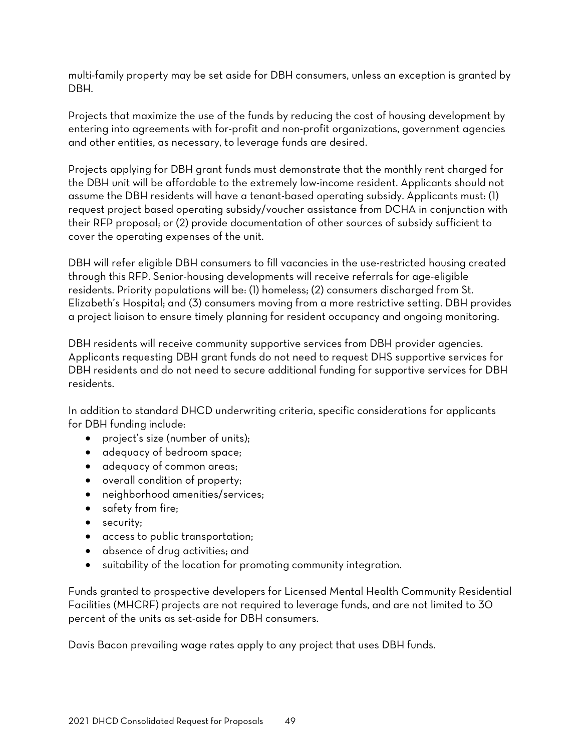multi-family property may be set aside for DBH consumers, unless an exception is granted by DBH.

Projects that maximize the use of the funds by reducing the cost of housing development by entering into agreements with for-profit and non-profit organizations, government agencies and other entities, as necessary, to leverage funds are desired.

Projects applying for DBH grant funds must demonstrate that the monthly rent charged for the DBH unit will be affordable to the extremely low-income resident. Applicants should not assume the DBH residents will have a tenant-based operating subsidy. Applicants must: (1) request project based operating subsidy/voucher assistance from DCHA in conjunction with their RFP proposal; or (2) provide documentation of other sources of subsidy sufficient to cover the operating expenses of the unit.

DBH will refer eligible DBH consumers to fill vacancies in the use-restricted housing created through this RFP. Senior-housing developments will receive referrals for age-eligible residents. Priority populations will be: (1) homeless; (2) consumers discharged from St. Elizabeth's Hospital; and (3) consumers moving from a more restrictive setting. DBH provides a project liaison to ensure timely planning for resident occupancy and ongoing monitoring.

DBH residents will receive community supportive services from DBH provider agencies. Applicants requesting DBH grant funds do not need to request DHS supportive services for DBH residents and do not need to secure additional funding for supportive services for DBH residents.

In addition to standard DHCD underwriting criteria, specific considerations for applicants for DBH funding include:

- project's size (number of units);
- adequacy of bedroom space;
- adequacy of common areas;
- overall condition of property;
- neighborhood amenities/services;
- safety from fire;
- security;
- access to public transportation;
- absence of drug activities; and
- suitability of the location for promoting community integration.

Funds granted to prospective developers for Licensed Mental Health Community Residential Facilities (MHCRF) projects are not required to leverage funds, and are not limited to 30 percent of the units as set-aside for DBH consumers.

Davis Bacon prevailing wage rates apply to any project that uses DBH funds.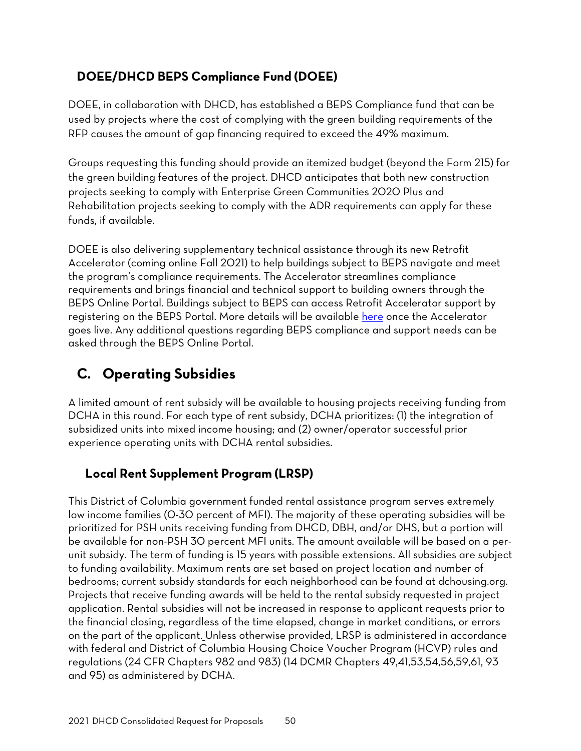# <span id="page-51-0"></span>**DOEE/DHCD BEPS Compliance Fund (DOEE)**

DOEE, in collaboration with DHCD, has established a BEPS Compliance fund that can be used by projects where the cost of complying with the green building requirements of the RFP causes the amount of gap financing required to exceed the 49% maximum.

Groups requesting this funding should provide an itemized budget (beyond the Form 215) for the green building features of the project. DHCD anticipates that both new construction projects seeking to comply with Enterprise Green Communities 2020 Plus and Rehabilitation projects seeking to comply with the ADR requirements can apply for these funds, if available.

DOEE is also delivering supplementary technical assistance through its new Retrofit Accelerator (coming online Fall 2021) to help buildings subject to BEPS navigate and meet the program's compliance requirements. The Accelerator streamlines compliance requirements and brings financial and technical support to building owners through the BEPS Online Portal. Buildings subject to BEPS can access Retrofit Accelerator support by registering on the BEPS Portal. More details will be available [here](https://doee.dc.gov/service/building-energy-performance-benchmarking) once the Accelerator goes live. Any additional questions regarding BEPS compliance and support needs can be asked through the BEPS Online Portal.

# <span id="page-51-1"></span>**C. Operating Subsidies**

A limited amount of rent subsidy will be available to housing projects receiving funding from DCHA in this round. For each type of rent subsidy, DCHA prioritizes: (1) the integration of subsidized units into mixed income housing; and (2) owner/operator successful prior experience operating units with DCHA rental subsidies.

# <span id="page-51-2"></span>**Local Rent Supplement Program (LRSP)**

This District of Columbia government funded rental assistance program serves extremely low income families (0-30 percent of MFI). The majority of these operating subsidies will be prioritized for PSH units receiving funding from DHCD, DBH, and/or DHS, but a portion will be available for non-PSH 30 percent MFI units. The amount available will be based on a perunit subsidy. The term of funding is 15 years with possible extensions. All subsidies are subject to funding availability. Maximum rents are set based on project location and number of bedrooms; current subsidy standards for each neighborhood can be found at dchousing.org. Projects that receive funding awards will be held to the rental subsidy requested in project application. Rental subsidies will not be increased in response to applicant requests prior to the financial closing, regardless of the time elapsed, change in market conditions, or errors on the part of the applicant. Unless otherwise provided, LRSP is administered in accordance with federal and District of Columbia Housing Choice Voucher Program (HCVP) rules and regulations (24 CFR Chapters 982 and 983) (14 DCMR Chapters 49,41,53,54,56,59,61, 93 and 95) as administered by DCHA.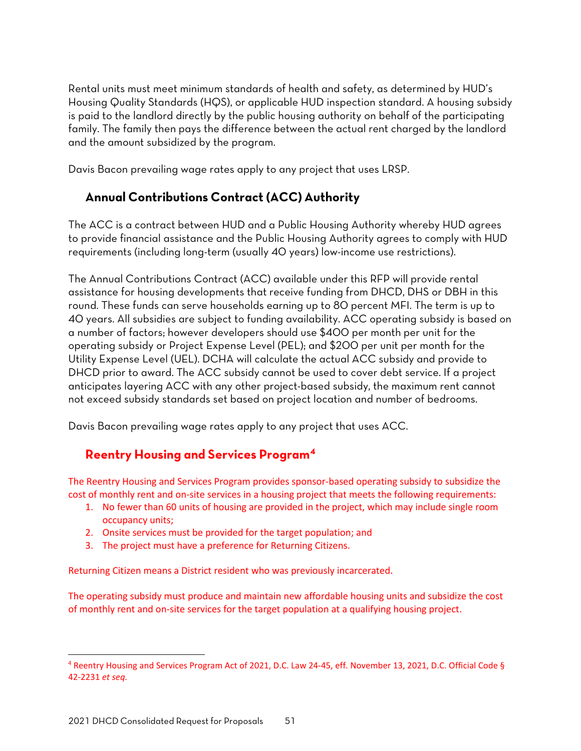Rental units must meet minimum standards of health and safety, as determined by HUD's Housing Quality Standards (HQS), or applicable HUD inspection standard. A housing subsidy is paid to the landlord directly by the public housing authority on behalf of the participating family. The family then pays the difference between the actual rent charged by the landlord and the amount subsidized by the program.

Davis Bacon prevailing wage rates apply to any project that uses LRSP.

## <span id="page-52-0"></span>**Annual Contributions Contract (ACC) Authority**

The ACC is a contract between HUD and a Public Housing Authority whereby HUD agrees to provide financial assistance and the Public Housing Authority agrees to comply with HUD requirements (including long-term (usually 40 years) low-income use restrictions).

The Annual Contributions Contract (ACC) available under this RFP will provide rental assistance for housing developments that receive funding from DHCD, DHS or DBH in this round. These funds can serve households earning up to 80 percent MFI. The term is up to 40 years. All subsidies are subject to funding availability. ACC operating subsidy is based on a number of factors; however developers should use \$400 per month per unit for the operating subsidy or Project Expense Level (PEL); and \$200 per unit per month for the Utility Expense Level (UEL). DCHA will calculate the actual ACC subsidy and provide to DHCD prior to award. The ACC subsidy cannot be used to cover debt service. If a project anticipates layering ACC with any other project-based subsidy, the maximum rent cannot not exceed subsidy standards set based on project location and number of bedrooms.

Davis Bacon prevailing wage rates apply to any project that uses ACC.

## **Reentry Housing and Services Program[4](#page-52-1)**

The Reentry Housing and Services Program provides sponsor-based operating subsidy to subsidize the cost of monthly rent and on-site services in a housing project that meets the following requirements:

- 1. No fewer than 60 units of housing are provided in the project, which may include single room occupancy units;
- 2. Onsite services must be provided for the target population; and
- 3. The project must have a preference for Returning Citizens.

Returning Citizen means a District resident who was previously incarcerated.

The operating subsidy must produce and maintain new affordable housing units and subsidize the cost of monthly rent and on-site services for the target population at a qualifying housing project.

<span id="page-52-1"></span><sup>4</sup> Reentry Housing and Services Program Act of 2021, D.C. Law 24-45, eff. November 13, 2021, D.C. Official Code § 42-2231 *et seq.*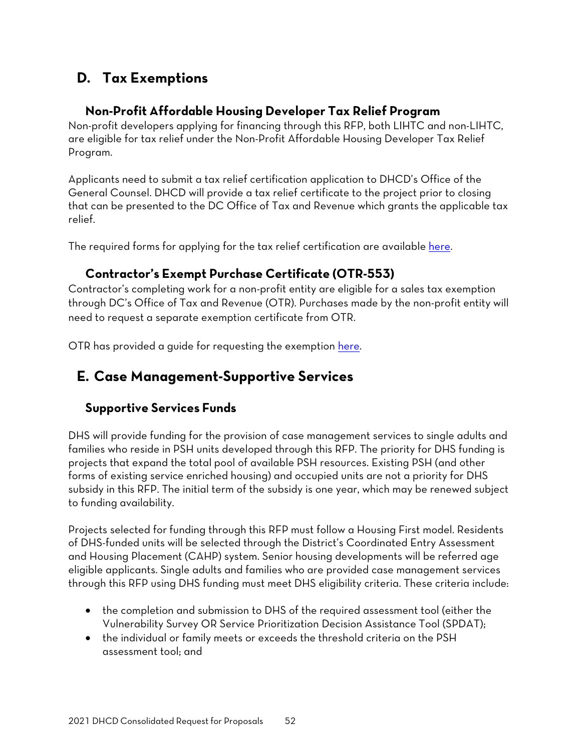# <span id="page-53-0"></span>**D. Tax Exemptions**

### **Non-Profit Affordable Housing Developer Tax Relief Program**

<span id="page-53-1"></span>Non-profit developers applying for financing through this RFP, both LIHTC and non-LIHTC, are eligible for tax relief under the Non-Profit Affordable Housing Developer Tax Relief Program.

Applicants need to submit a tax relief certification application to DHCD's Office of the General Counsel. DHCD will provide a tax relief certificate to the project prior to closing that can be presented to the DC Office of Tax and Revenue which grants the applicable tax relief.

The required forms for applying for the tax relief certification are available [here.](https://dhcd.dc.gov/page/tax-relief-certification-forms-nonprofit-affordable-housing-developers)

### **Contractor's Exempt Purchase Certificate (OTR-553)**

<span id="page-53-2"></span>Contractor's completing work for a non-profit entity are eligible for a sales tax exemption through DC's Office of Tax and Revenue (OTR). Purchases made by the non-profit entity will need to request a separate exemption certificate from OTR.

OTR has provided a guide for requesting the exemption [here.](https://otr.cfo.dc.gov/sites/default/files/dc/sites/otr/publication/attachments/How_to_Request_a_Contractors_Exempt_Purchase_Certificate_OTR-553_1220.pdf)

# **E. Case Management-Supportive Services**

## <span id="page-53-3"></span>**Supportive Services Funds**

DHS will provide funding for the provision of case management services to single adults and families who reside in PSH units developed through this RFP. The priority for DHS funding is projects that expand the total pool of available PSH resources. Existing PSH (and other forms of existing service enriched housing) and occupied units are not a priority for DHS subsidy in this RFP. The initial term of the subsidy is one year, which may be renewed subject to funding availability.

Projects selected for funding through this RFP must follow a Housing First model. Residents of DHS-funded units will be selected through the District's Coordinated Entry Assessment and Housing Placement (CAHP) system. Senior housing developments will be referred age eligible applicants. Single adults and families who are provided case management services through this RFP using DHS funding must meet DHS eligibility criteria. These criteria include:

- the completion and submission to DHS of the required assessment tool (either the Vulnerability Survey OR Service Prioritization Decision Assistance Tool (SPDAT);
- the individual or family meets or exceeds the threshold criteria on the PSH assessment tool; and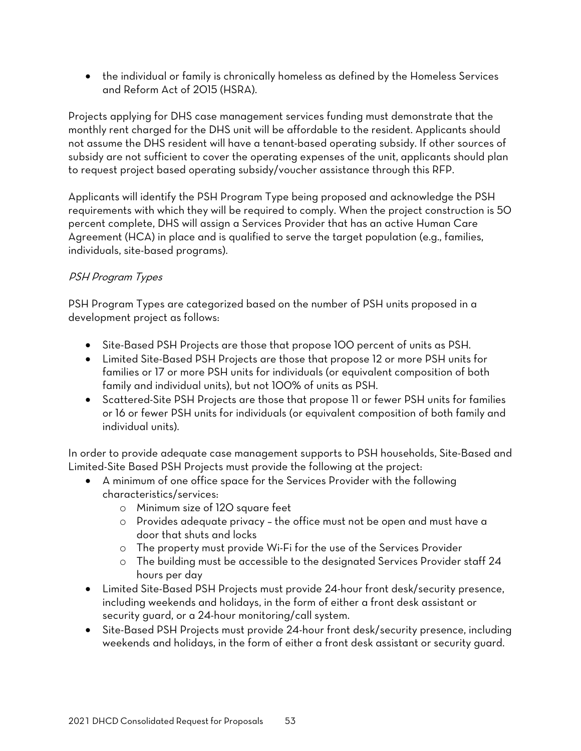• the individual or family is chronically homeless as defined by the Homeless Services and Reform Act of 2015 (HSRA).

Projects applying for DHS case management services funding must demonstrate that the monthly rent charged for the DHS unit will be affordable to the resident. Applicants should not assume the DHS resident will have a tenant-based operating subsidy. If other sources of subsidy are not sufficient to cover the operating expenses of the unit, applicants should plan to request project based operating subsidy/voucher assistance through this RFP.

Applicants will identify the PSH Program Type being proposed and acknowledge the PSH requirements with which they will be required to comply. When the project construction is 50 percent complete, DHS will assign a Services Provider that has an active Human Care Agreement (HCA) in place and is qualified to serve the target population (e.g., families, individuals, site-based programs).

### PSH Program Types

PSH Program Types are categorized based on the number of PSH units proposed in a development project as follows:

- Site-Based PSH Projects are those that propose 100 percent of units as PSH.
- Limited Site-Based PSH Projects are those that propose 12 or more PSH units for families or 17 or more PSH units for individuals (or equivalent composition of both family and individual units), but not 100% of units as PSH.
- Scattered-Site PSH Projects are those that propose 11 or fewer PSH units for families or 16 or fewer PSH units for individuals (or equivalent composition of both family and individual units).

In order to provide adequate case management supports to PSH households, Site-Based and Limited-Site Based PSH Projects must provide the following at the project:

- A minimum of one office space for the Services Provider with the following characteristics/services:
	- o Minimum size of 120 square feet
	- o Provides adequate privacy the office must not be open and must have a door that shuts and locks
	- o The property must provide Wi-Fi for the use of the Services Provider
	- o The building must be accessible to the designated Services Provider staff 24 hours per day
- Limited Site-Based PSH Projects must provide 24-hour front desk/security presence, including weekends and holidays, in the form of either a front desk assistant or security guard, or a 24-hour monitoring/call system.
- Site-Based PSH Projects must provide 24-hour front desk/security presence, including weekends and holidays, in the form of either a front desk assistant or security guard.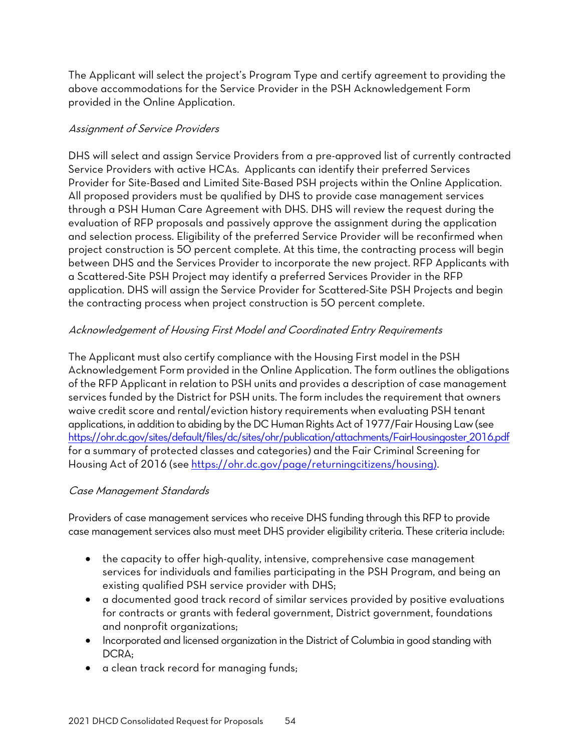The Applicant will select the project's Program Type and certify agreement to providing the above accommodations for the Service Provider in the PSH Acknowledgement Form provided in the Online Application.

#### Assignment of Service Providers

DHS will select and assign Service Providers from a pre-approved list of currently contracted Service Providers with active HCAs. Applicants can identify their preferred Services Provider for Site-Based and Limited Site-Based PSH projects within the Online Application. All proposed providers must be qualified by DHS to provide case management services through a PSH Human Care Agreement with DHS. DHS will review the request during the evaluation of RFP proposals and passively approve the assignment during the application and selection process. Eligibility of the preferred Service Provider will be reconfirmed when project construction is 50 percent complete. At this time, the contracting process will begin between DHS and the Services Provider to incorporate the new project. RFP Applicants with a Scattered-Site PSH Project may identify a preferred Services Provider in the RFP application. DHS will assign the Service Provider for Scattered-Site PSH Projects and begin the contracting process when project construction is 50 percent complete.

### Acknowledgement of Housing First Model and Coordinated Entry Requirements

The Applicant must also certify compliance with the Housing First model in the PSH Acknowledgement Form provided in the Online Application. The form outlines the obligations of the RFP Applicant in relation to PSH units and provides a description of case management services funded by the District for PSH units. The form includes the requirement that owners waive credit score and rental/eviction history requirements when evaluating PSH tenant applications, in addition to abiding by the DC Human Rights Act of 1977/Fair Housing Law (see [https://ohr.dc.gov/sites/default/files/dc/sites/ohr/publication/attachments/FairHousingoster\\_2016.pdf](https://ohr.dc.gov/sites/default/files/dc/sites/ohr/publication/attachments/FairHousingoster_2016.pdf) for a summary of protected classes and categories) and the Fair Criminal Screening for Housing Act of 2016 (se[e https://ohr.dc.gov/page/returningcitizens/housing\)](https://ohr.dc.gov/page/returningcitizens/housing).

#### Case Management Standards

Providers of case management services who receive DHS funding through this RFP to provide case management services also must meet DHS provider eligibility criteria. These criteria include:

- the capacity to offer high-quality, intensive, comprehensive case management services for individuals and families participating in the PSH Program, and being an existing qualified PSH service provider with DHS;
- a documented good track record of similar services provided by positive evaluations for contracts or grants with federal government, District government, foundations and nonprofit organizations;
- Incorporated and licensed organization in the District of Columbia in good standing with DCRA;
- a clean track record for managing funds;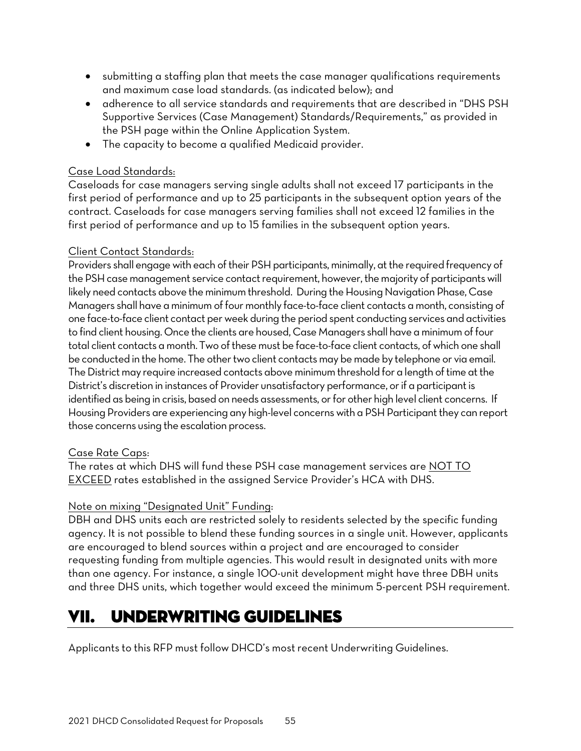- submitting a staffing plan that meets the case manager qualifications requirements and maximum case load standards. (as indicated below); and
- adherence to all service standards and requirements that are described in "DHS PSH Supportive Services (Case Management) Standards/Requirements," as provided in the PSH page within the Online Application System.
- The capacity to become a qualified Medicaid provider.

#### Case Load Standards:

Caseloads for case managers serving single adults shall not exceed 17 participants in the first period of performance and up to 25 participants in the subsequent option years of the contract. Caseloads for case managers serving families shall not exceed 12 families in the first period of performance and up to 15 families in the subsequent option years.

#### Client Contact Standards:

Providers shall engage with each of their PSH participants, minimally, at the required frequency of the PSH case management service contact requirement, however, the majority of participants will likely need contacts above the minimum threshold. During the Housing Navigation Phase, Case Managers shall have a minimum of four monthly face-to-face client contacts a month, consisting of one face-to-face client contact per week during the period spent conducting services and activities to find client housing. Once the clients are housed, Case Managers shall have a minimum of four total client contacts a month. Two of these must be face-to-face client contacts, of which one shall be conducted in the home. The other two client contacts may be made by telephone or via email. The District may require increased contacts above minimum threshold for a length of time at the District's discretion in instances of Provider unsatisfactory performance, or if a participant is identified as being in crisis, based on needs assessments, or for other high level client concerns. If Housing Providers are experiencing any high-level concerns with a PSH Participant they can report those concerns using the escalation process.

#### Case Rate Caps:

The rates at which DHS will fund these PSH case management services are NOT TO EXCEED rates established in the assigned Service Provider's HCA with DHS.

### Note on mixing "Designated Unit" Funding:

DBH and DHS units each are restricted solely to residents selected by the specific funding agency. It is not possible to blend these funding sources in a single unit. However, applicants are encouraged to blend sources within a project and are encouraged to consider requesting funding from multiple agencies. This would result in designated units with more than one agency. For instance, a single 100-unit development might have three DBH units and three DHS units, which together would exceed the minimum 5-percent PSH requirement.

# <span id="page-56-0"></span>VII. UNDERWRITING GUIDELINES

Applicants to this RFP must follow DHCD's most recent Underwriting Guidelines.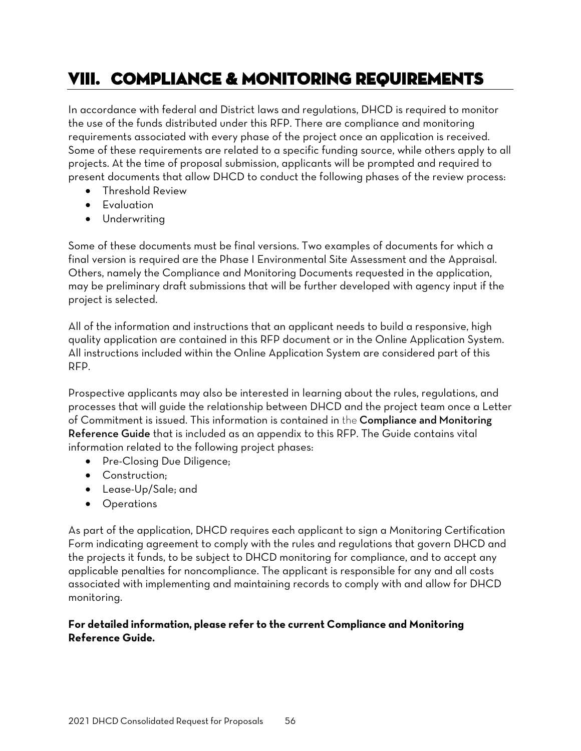# <span id="page-57-0"></span>VIII. COMPLIANCE & MONITORING REQUIREMENTS

In accordance with federal and District laws and regulations, DHCD is required to monitor the use of the funds distributed under this RFP. There are compliance and monitoring requirements associated with every phase of the project once an application is received. Some of these requirements are related to a specific funding source, while others apply to all projects. At the time of proposal submission, applicants will be prompted and required to present documents that allow DHCD to conduct the following phases of the review process:

- Threshold Review
- Evaluation
- Underwriting

Some of these documents must be final versions. Two examples of documents for which a final version is required are the Phase I Environmental Site Assessment and the Appraisal. Others, namely the Compliance and Monitoring Documents requested in the application, may be preliminary draft submissions that will be further developed with agency input if the project is selected.

All of the information and instructions that an applicant needs to build a responsive, high quality application are contained in this RFP document or in the Online Application System. All instructions included within the Online Application System are considered part of this RFP.

Prospective applicants may also be interested in learning about the rules, regulations, and processes that will guide the relationship between DHCD and the project team once a Letter of Commitment is issued. This information is contained in the Compliance and Monitoring Reference Guide that is included as an appendix to this RFP. The Guide contains vital information related to the following project phases:

- Pre-Closing Due Diligence;
- Construction;
- Lease-Up/Sale; and
- Operations

As part of the application, DHCD requires each applicant to sign a Monitoring Certification Form indicating agreement to comply with the rules and regulations that govern DHCD and the projects it funds, to be subject to DHCD monitoring for compliance, and to accept any applicable penalties for noncompliance. The applicant is responsible for any and all costs associated with implementing and maintaining records to comply with and allow for DHCD monitoring.

#### **For detailed information, please refer to the current Compliance and Monitoring Reference Guide.**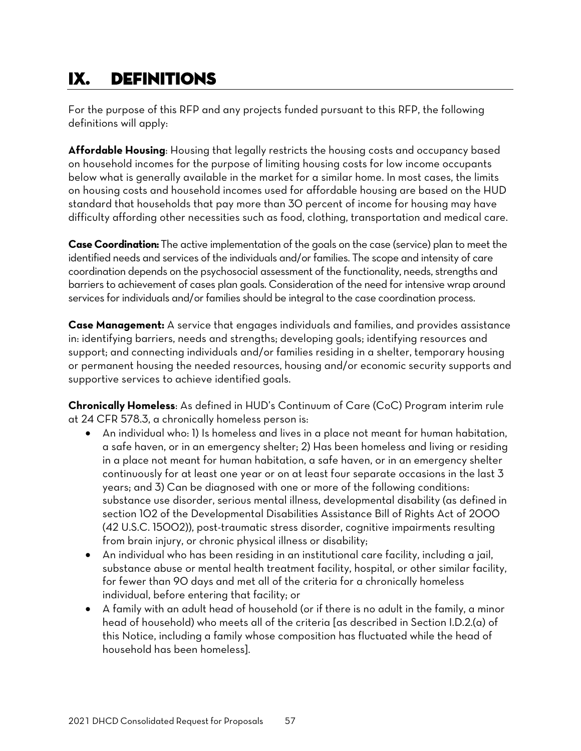# <span id="page-58-0"></span>IX. DEFINITIONS

For the purpose of this RFP and any projects funded pursuant to this RFP, the following definitions will apply:

**Affordable Housing**: Housing that legally restricts the housing costs and occupancy based on household incomes for the purpose of limiting housing costs for low income occupants below what is generally available in the market for a similar home. In most cases, the limits on housing costs and household incomes used for affordable housing are based on the HUD standard that households that pay more than 30 percent of income for housing may have difficulty affording other necessities such as food, clothing, transportation and medical care.

**Case Coordination:** The active implementation of the goals on the case (service) plan to meet the identified needs and services of the individuals and/or families. The scope and intensity of care coordination depends on the psychosocial assessment of the functionality, needs, strengths and barriers to achievement of cases plan goals. Consideration of the need for intensive wrap around services for individuals and/or families should be integral to the case coordination process.

**Case Management:** A service that engages individuals and families, and provides assistance in: identifying barriers, needs and strengths; developing goals; identifying resources and support; and connecting individuals and/or families residing in a shelter, temporary housing or permanent housing the needed resources, housing and/or economic security supports and supportive services to achieve identified goals.

**Chronically Homeless**: As defined in HUD's Continuum of Care (CoC) Program interim rule at 24 CFR 578.3, a chronically homeless person is:

- An individual who: 1) Is homeless and lives in a place not meant for human habitation, a safe haven, or in an emergency shelter; 2) Has been homeless and living or residing in a place not meant for human habitation, a safe haven, or in an emergency shelter continuously for at least one year or on at least four separate occasions in the last 3 years; and 3) Can be diagnosed with one or more of the following conditions: substance use disorder, serious mental illness, developmental disability (as defined in section 102 of the Developmental Disabilities Assistance Bill of Rights Act of 2000 (42 U.S.C. 15002)), post-traumatic stress disorder, cognitive impairments resulting from brain injury, or chronic physical illness or disability;
- An individual who has been residing in an institutional care facility, including a jail, substance abuse or mental health treatment facility, hospital, or other similar facility, for fewer than 90 days and met all of the criteria for a chronically homeless individual, before entering that facility; or
- A family with an adult head of household (or if there is no adult in the family, a minor head of household) who meets all of the criteria [as described in Section I.D.2.(a) of this Notice, including a family whose composition has fluctuated while the head of household has been homeless].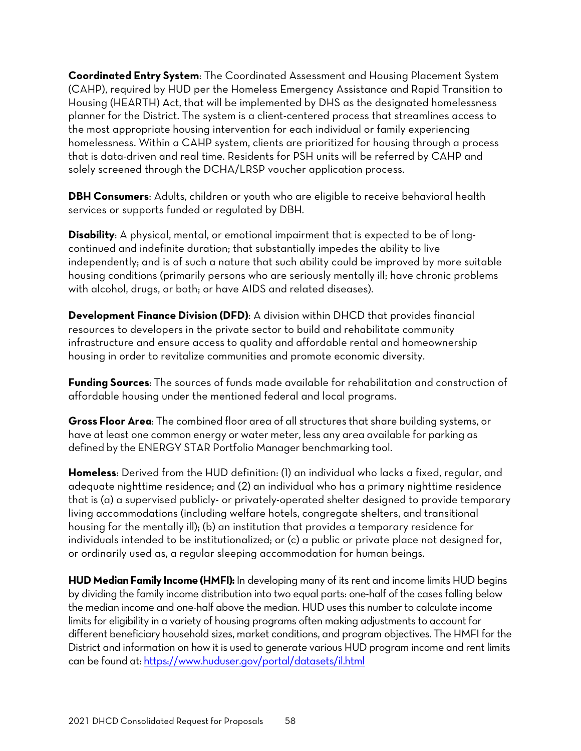**Coordinated Entry System**: The Coordinated Assessment and Housing Placement System (CAHP), required by HUD per the Homeless Emergency Assistance and Rapid Transition to Housing (HEARTH) Act, that will be implemented by DHS as the designated homelessness planner for the District. The system is a client-centered process that streamlines access to the most appropriate housing intervention for each individual or family experiencing homelessness. Within a CAHP system, clients are prioritized for housing through a process that is data-driven and real time. Residents for PSH units will be referred by CAHP and solely screened through the DCHA/LRSP voucher application process.

**DBH Consumers**: Adults, children or youth who are eligible to receive behavioral health services or supports funded or regulated by DBH.

**Disability**: A physical, mental, or emotional impairment that is expected to be of longcontinued and indefinite duration; that substantially impedes the ability to live independently; and is of such a nature that such ability could be improved by more suitable housing conditions (primarily persons who are seriously mentally ill; have chronic problems with alcohol, drugs, or both; or have AIDS and related diseases).

**Development Finance Division (DFD)**: A division within DHCD that provides financial resources to developers in the private sector to build and rehabilitate community infrastructure and ensure access to quality and affordable rental and homeownership housing in order to revitalize communities and promote economic diversity.

**Funding Sources**: The sources of funds made available for rehabilitation and construction of affordable housing under the mentioned federal and local programs.

**Gross Floor Area**: The combined floor area of all structures that share building systems, or have at least one common energy or water meter, less any area available for parking as defined by the ENERGY STAR Portfolio Manager benchmarking tool.

**Homeless**: Derived from the HUD definition: (1) an individual who lacks a fixed, regular, and adequate nighttime residence; and (2) an individual who has a primary nighttime residence that is (a) a supervised publicly- or privately-operated shelter designed to provide temporary living accommodations (including welfare hotels, congregate shelters, and transitional housing for the mentally ill); (b) an institution that provides a temporary residence for individuals intended to be institutionalized; or (c) a public or private place not designed for, or ordinarily used as, a regular sleeping accommodation for human beings.

**HUD Median Family Income (HMFI):** In developing many of its rent and income limits HUD begins by dividing the family income distribution into two equal parts: one-half of the cases falling below the median income and one-half above the median. HUD uses this number to calculate income limits for eligibility in a variety of housing programs often making adjustments to account for different beneficiary household sizes, market conditions, and program objectives. The HMFI for the District and information on how it is used to generate various HUD program income and rent limits can be found at[: https://www.huduser.gov/portal/datasets/il.html](https://www.huduser.gov/portal/datasets/il.html)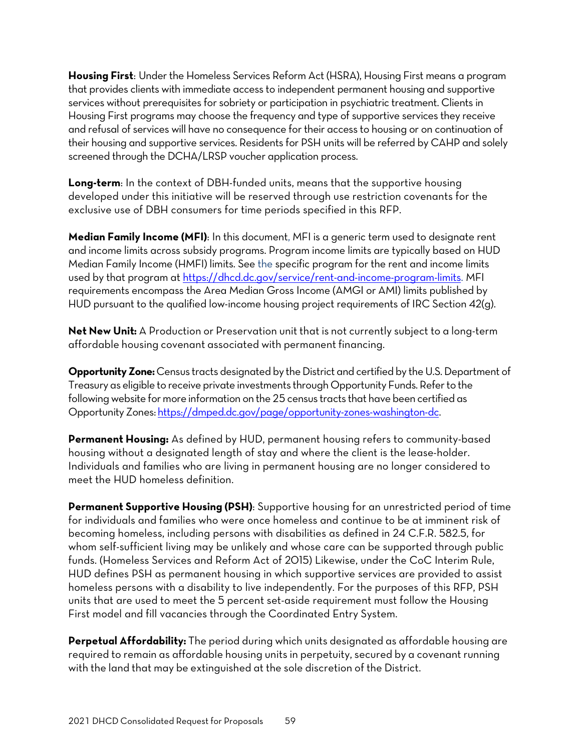**Housing First**: Under the Homeless Services Reform Act (HSRA), Housing First means a program that provides clients with immediate access to independent permanent housing and supportive services without prerequisites for sobriety or participation in psychiatric treatment. Clients in Housing First programs may choose the frequency and type of supportive services they receive and refusal of services will have no consequence for their access to housing or on continuation of their housing and supportive services. Residents for PSH units will be referred by CAHP and solely screened through the DCHA/LRSP voucher application process.

**Long-term**: In the context of DBH-funded units, means that the supportive housing developed under this initiative will be reserved through use restriction covenants for the exclusive use of DBH consumers for time periods specified in this RFP.

**Median Family Income (MFI)**: In this document, MFI is a generic term used to designate rent and income limits across subsidy programs. Program income limits are typically based on HUD Median Family Income (HMFI) limits. See the specific program for the rent and income limits used by that program a[t https://dhcd.dc.gov/service/rent-and-income-program-limits.](https://dhcd.dc.gov/service/rent-and-income-program-limits) MFI requirements encompass the Area Median Gross Income (AMGI or AMI) limits published by HUD pursuant to the qualified low-income housing project requirements of IRC Section 42(g).

**Net New Unit:** A Production or Preservation unit that is not currently subject to a long-term affordable housing covenant associated with permanent financing.

**Opportunity Zone:** Census tracts designated by the District and certified by the U.S. Department of Treasury as eligible to receive private investments through Opportunity Funds. Refer to the following website for more information on the 25 census tracts that have been certified as Opportunity Zones[: https://dmped.dc.gov/page/opportunity-zones-washington-dc.](https://dmped.dc.gov/page/opportunity-zones-washington-dc)

**Permanent Housing:** As defined by HUD, permanent housing refers to community-based housing without a designated length of stay and where the client is the lease-holder. Individuals and families who are living in permanent housing are no longer considered to meet the HUD homeless definition.

**Permanent Supportive Housing (PSH)**: Supportive housing for an unrestricted period of time for individuals and families who were once homeless and continue to be at imminent risk of becoming homeless, including persons with disabilities as defined in 24 C.F.R. 582.5, for whom self-sufficient living may be unlikely and whose care can be supported through public funds. (Homeless Services and Reform Act of 2015) Likewise, under the CoC Interim Rule, HUD defines PSH as permanent housing in which supportive services are provided to assist homeless persons with a disability to live independently. For the purposes of this RFP, PSH units that are used to meet the 5 percent set-aside requirement must follow the Housing First model and fill vacancies through the Coordinated Entry System.

**Perpetual Affordability:** The period during which units designated as affordable housing are required to remain as affordable housing units in perpetuity, secured by a covenant running with the land that may be extinguished at the sole discretion of the District.